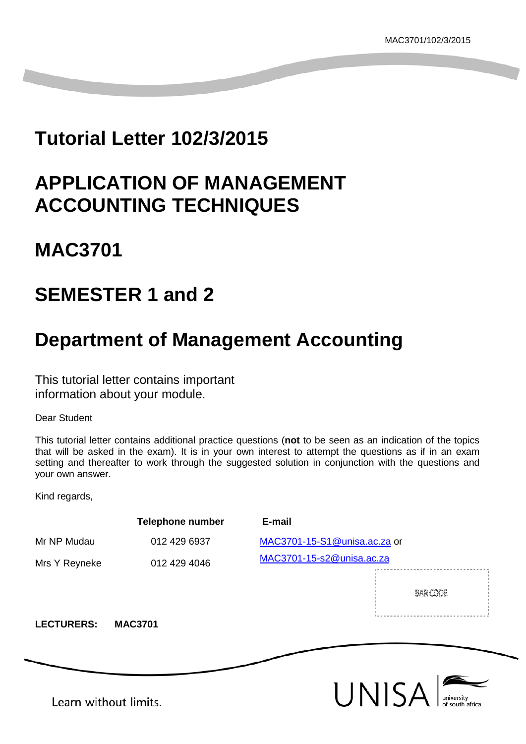## **Tutorial Letter 102/3/2015**

## **APPLICATION OF MANAGEMENT ACCOUNTING TECHNIQUES**

## **MAC3701**

## **SEMESTER 1 and 2**

## **Department of Management Accounting**

This tutorial letter contains important information about your module.

Dear Student

This tutorial letter contains additional practice questions (**not** to be seen as an indication of the topics that will be asked in the exam). It is in your own interest to attempt the questions as if in an exam setting and thereafter to work through the suggested solution in conjunction with the questions and your own answer.

Kind regards,

|                       | <b>Telephone number</b> | E-mail                       |
|-----------------------|-------------------------|------------------------------|
| Mr NP Mudau           | 012 429 6937            | MAC3701-15-S1@unisa.ac.za or |
| Mrs Y Reyneke         | 012 429 4046            | MAC3701-15-s2@unisa.ac.za    |
| <b>LECTURERS:</b>     | <b>MAC3701</b>          | BAR CODE                     |
|                       |                         |                              |
| Learn without limits. |                         | UNISA                        |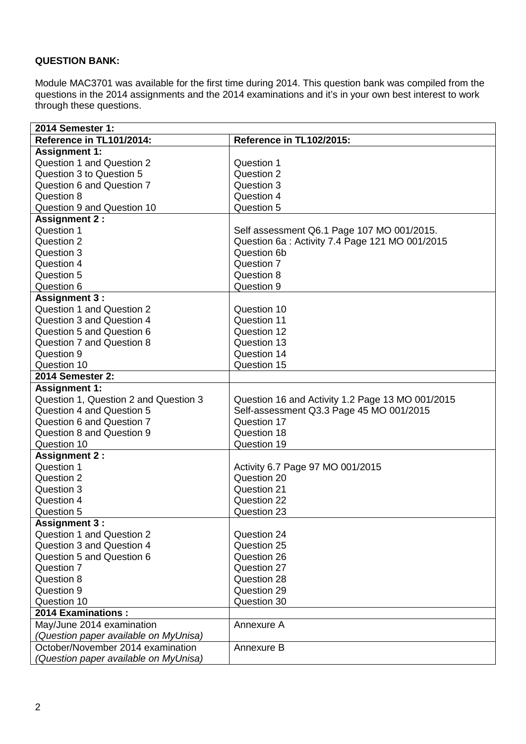## **QUESTION BANK:**

Module MAC3701 was available for the first time during 2014. This question bank was compiled from the questions in the 2014 assignments and the 2014 examinations and it's in your own best interest to work through these questions.

| 2014 Semester 1:                      |                                                  |  |  |
|---------------------------------------|--------------------------------------------------|--|--|
| Reference in TL101/2014:              | Reference in TL102/2015:                         |  |  |
| <b>Assignment 1:</b>                  |                                                  |  |  |
| <b>Question 1 and Question 2</b>      | Question 1                                       |  |  |
| Question 3 to Question 5              | Question 2                                       |  |  |
| Question 6 and Question 7             | Question 3                                       |  |  |
| Question 8                            | Question 4                                       |  |  |
| Question 9 and Question 10            | Question 5                                       |  |  |
| <b>Assignment 2:</b>                  |                                                  |  |  |
| Question 1                            | Self assessment Q6.1 Page 107 MO 001/2015.       |  |  |
| Question 2                            | Question 6a : Activity 7.4 Page 121 MO 001/2015  |  |  |
| Question 3                            | Question 6b                                      |  |  |
| Question 4                            | Question 7                                       |  |  |
| Question 5                            | Question 8                                       |  |  |
| Question 6                            | Question 9                                       |  |  |
| <b>Assignment 3:</b>                  |                                                  |  |  |
| <b>Question 1 and Question 2</b>      | Question 10                                      |  |  |
| Question 3 and Question 4             | Question 11                                      |  |  |
| Question 5 and Question 6             | Question 12                                      |  |  |
| <b>Question 7 and Question 8</b>      | Question 13                                      |  |  |
| Question 9                            | Question 14                                      |  |  |
| Question 10                           | Question 15                                      |  |  |
| 2014 Semester 2:                      |                                                  |  |  |
| <b>Assignment 1:</b>                  |                                                  |  |  |
| Question 1, Question 2 and Question 3 | Question 16 and Activity 1.2 Page 13 MO 001/2015 |  |  |
| Question 4 and Question 5             | Self-assessment Q3.3 Page 45 MO 001/2015         |  |  |
| Question 6 and Question 7             | Question 17                                      |  |  |
| <b>Question 8 and Question 9</b>      | Question 18                                      |  |  |
| Question 10                           | Question 19                                      |  |  |
| <b>Assignment 2:</b>                  |                                                  |  |  |
| Question 1                            | Activity 6.7 Page 97 MO 001/2015                 |  |  |
| Question 2                            | Question 20                                      |  |  |
| Question 3                            | Question 21                                      |  |  |
| Question 4                            | Question 22                                      |  |  |
| Question 5                            | Question 23                                      |  |  |
| <b>Assignment 3:</b>                  |                                                  |  |  |
| <b>Question 1 and Question 2</b>      | Question 24                                      |  |  |
| Question 3 and Question 4             | Question 25                                      |  |  |
| Question 5 and Question 6             | Question 26                                      |  |  |
| Question 7                            | Question 27                                      |  |  |
| Question 8                            | Question 28                                      |  |  |
| Question 9                            | Question 29                                      |  |  |
| Question 10                           | Question 30                                      |  |  |
| 2014 Examinations :                   |                                                  |  |  |
| May/June 2014 examination             | Annexure A                                       |  |  |
| (Question paper available on MyUnisa) |                                                  |  |  |
| October/November 2014 examination     | Annexure B                                       |  |  |
| (Question paper available on MyUnisa) |                                                  |  |  |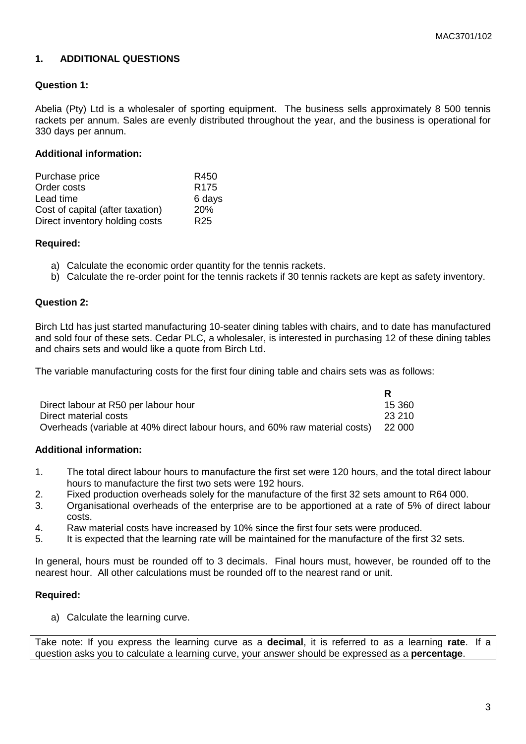## **1. ADDITIONAL QUESTIONS**

## **Question 1:**

Abelia (Pty) Ltd is a wholesaler of sporting equipment. The business sells approximately 8 500 tennis rackets per annum. Sales are evenly distributed throughout the year, and the business is operational for 330 days per annum.

### **Additional information:**

| Purchase price                   | R450             |
|----------------------------------|------------------|
| Order costs                      | R <sub>175</sub> |
| Lead time                        | 6 days           |
| Cost of capital (after taxation) | 20%              |
| Direct inventory holding costs   | R <sub>25</sub>  |

#### **Required:**

- a) Calculate the economic order quantity for the tennis rackets.
- b) Calculate the re-order point for the tennis rackets if 30 tennis rackets are kept as safety inventory.

#### **Question 2:**

Birch Ltd has just started manufacturing 10-seater dining tables with chairs, and to date has manufactured and sold four of these sets. Cedar PLC, a wholesaler, is interested in purchasing 12 of these dining tables and chairs sets and would like a quote from Birch Ltd.

The variable manufacturing costs for the first four dining table and chairs sets was as follows:

| Direct labour at R50 per labour hour                                        | 15.360  |
|-----------------------------------------------------------------------------|---------|
| Direct material costs                                                       | -23.210 |
| Overheads (variable at 40% direct labour hours, and 60% raw material costs) | 22 000  |

#### **Additional information:**

- 1. The total direct labour hours to manufacture the first set were 120 hours, and the total direct labour hours to manufacture the first two sets were 192 hours.
- 2. Fixed production overheads solely for the manufacture of the first 32 sets amount to R64 000.
- 3. Organisational overheads of the enterprise are to be apportioned at a rate of 5% of direct labour costs.
- 4. Raw material costs have increased by 10% since the first four sets were produced.
- 5. It is expected that the learning rate will be maintained for the manufacture of the first 32 sets.

In general, hours must be rounded off to 3 decimals. Final hours must, however, be rounded off to the nearest hour. All other calculations must be rounded off to the nearest rand or unit.

#### **Required:**

a) Calculate the learning curve.

Take note: If you express the learning curve as a **decimal**, it is referred to as a learning **rate**. If a question asks you to calculate a learning curve, your answer should be expressed as a **percentage**.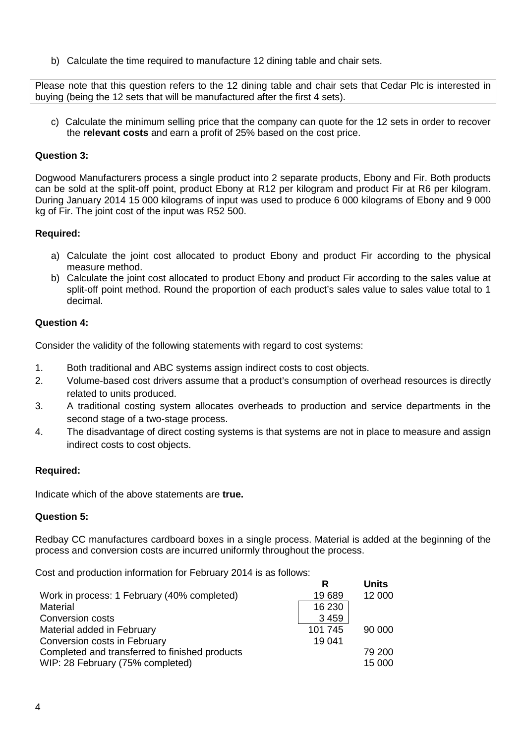b) Calculate the time required to manufacture 12 dining table and chair sets.

Please note that this question refers to the 12 dining table and chair sets that Cedar Plc is interested in buying (being the 12 sets that will be manufactured after the first 4 sets).

c) Calculate the minimum selling price that the company can quote for the 12 sets in order to recover the **relevant costs** and earn a profit of 25% based on the cost price.

### **Question 3:**

Dogwood Manufacturers process a single product into 2 separate products, Ebony and Fir. Both products can be sold at the split-off point, product Ebony at R12 per kilogram and product Fir at R6 per kilogram. During January 2014 15 000 kilograms of input was used to produce 6 000 kilograms of Ebony and 9 000 kg of Fir. The joint cost of the input was R52 500.

#### **Required:**

- a) Calculate the joint cost allocated to product Ebony and product Fir according to the physical measure method.
- b) Calculate the joint cost allocated to product Ebony and product Fir according to the sales value at split-off point method. Round the proportion of each product's sales value to sales value total to 1 decimal.

#### **Question 4:**

Consider the validity of the following statements with regard to cost systems:

- 1. Both traditional and ABC systems assign indirect costs to cost objects.
- 2. Volume-based cost drivers assume that a product's consumption of overhead resources is directly related to units produced.
- 3. A traditional costing system allocates overheads to production and service departments in the second stage of a two-stage process.
- 4. The disadvantage of direct costing systems is that systems are not in place to measure and assign indirect costs to cost objects.

#### **Required:**

Indicate which of the above statements are **true.**

## **Question 5:**

Redbay CC manufactures cardboard boxes in a single process. Material is added at the beginning of the process and conversion costs are incurred uniformly throughout the process.

Cost and production information for February 2014 is as follows:

| R       | Units  |
|---------|--------|
| 19689   | 12 000 |
| 16 230  |        |
| 3 4 5 9 |        |
| 101 745 | 90 000 |
| 19 041  |        |
|         | 79 200 |
|         | 15 000 |
|         |        |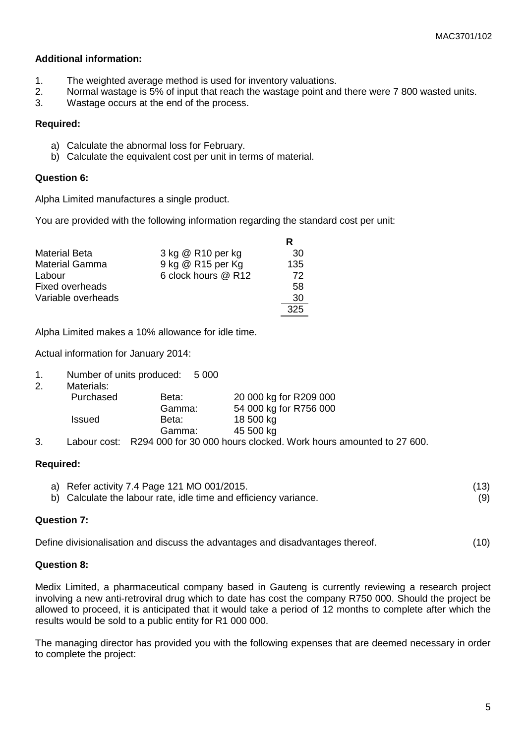- 1. The weighted average method is used for inventory valuations.
- 2. Normal wastage is 5% of input that reach the wastage point and there were 7 800 wasted units.<br>3. Wastage occurs at the end of the process
- Wastage occurs at the end of the process.

#### **Required:**

- a) Calculate the abnormal loss for February.
- b) Calculate the equivalent cost per unit in terms of material.

#### **Question 6:**

Alpha Limited manufactures a single product.

You are provided with the following information regarding the standard cost per unit:

| <b>Material Beta</b>   | 3 kg @ R10 per kg   | 30  |
|------------------------|---------------------|-----|
| <b>Material Gamma</b>  | 9 kg @ R15 per Kg   | 135 |
| Labour                 | 6 clock hours @ R12 | 72  |
| <b>Fixed overheads</b> |                     | 58  |
| Variable overheads     |                     | 30  |
|                        |                     | 325 |

Alpha Limited makes a 10% allowance for idle time.

Actual information for January 2014:

|  | 1. | Number of units produced: | 5 0 0 0 |
|--|----|---------------------------|---------|
|--|----|---------------------------|---------|

| 2. | Materials:    |        |                                                                         |
|----|---------------|--------|-------------------------------------------------------------------------|
|    | Purchased     | Beta:  | 20 000 kg for R209 000                                                  |
|    |               | Gamma: | 54 000 kg for R756 000                                                  |
|    | <b>Issued</b> | Beta:  | 18 500 kg                                                               |
|    |               | Gamma: | 45 500 kg                                                               |
| ົ  |               |        | Lake $\mu$ and $\mu$ DOO 4.000 for 20.000 hours also lead Mark hours of |

3. Labour cost: R294 000 for 30 000 hours clocked. Work hours amounted to 27 600.

#### **Required:**

a) Refer activity 7.4 Page 121 MO 001/2015. (13) b) Calculate the labour rate, idle time and efficiency variance. (9)

#### **Question 7:**

Define divisionalisation and discuss the advantages and disadvantages thereof. (10)

#### **Question 8:**

Medix Limited, a pharmaceutical company based in Gauteng is currently reviewing a research project involving a new anti-retroviral drug which to date has cost the company R750 000. Should the project be allowed to proceed, it is anticipated that it would take a period of 12 months to complete after which the results would be sold to a public entity for R1 000 000.

The managing director has provided you with the following expenses that are deemed necessary in order to complete the project: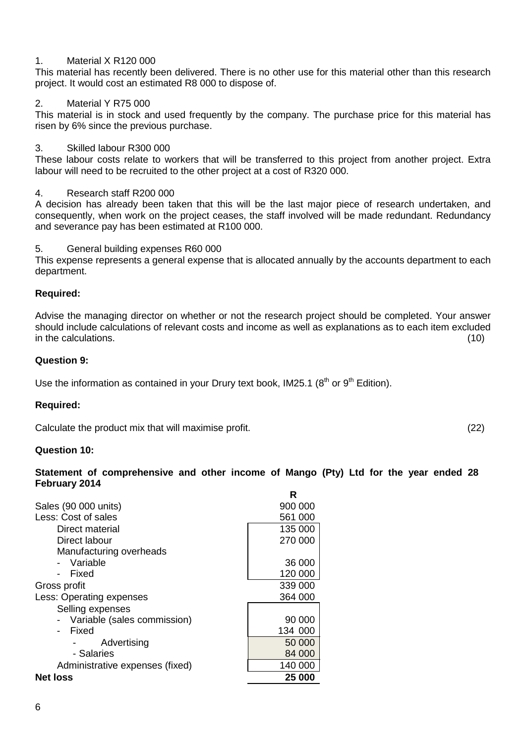#### 1. Material X R120 000

This material has recently been delivered. There is no other use for this material other than this research project. It would cost an estimated R8 000 to dispose of.

#### 2. Material Y R75 000

This material is in stock and used frequently by the company. The purchase price for this material has risen by 6% since the previous purchase.

#### 3. Skilled labour R300 000

These labour costs relate to workers that will be transferred to this project from another project. Extra labour will need to be recruited to the other project at a cost of R320 000.

#### 4. Research staff R200 000

A decision has already been taken that this will be the last major piece of research undertaken, and consequently, when work on the project ceases, the staff involved will be made redundant. Redundancy and severance pay has been estimated at R100 000.

5. General building expenses R60 000

This expense represents a general expense that is allocated annually by the accounts department to each department.

#### **Required:**

Advise the managing director on whether or not the research project should be completed. Your answer should include calculations of relevant costs and income as well as explanations as to each item excluded in the calculations. (10)

#### **Question 9:**

Use the information as contained in your Drury text book, IM25.1  $(8<sup>th</sup>$  or  $9<sup>th</sup>$  Edition).

#### **Required:**

Calculate the product mix that will maximise profit. (22)

#### **Question 10:**

**Statement of comprehensive and other income of Mango (Pty) Ltd for the year ended 28 February 2014**

|                                 | R       |
|---------------------------------|---------|
| Sales (90 000 units)            | 900 000 |
| Less: Cost of sales             | 561 000 |
| Direct material                 | 135 000 |
| Direct labour                   | 270 000 |
| Manufacturing overheads         |         |
| Variable                        | 36 000  |
| Fixed                           | 120 000 |
| Gross profit                    | 339 000 |
| Less: Operating expenses        | 364 000 |
| Selling expenses                |         |
| Variable (sales commission)     | 90 000  |
| Fixed                           | 134 000 |
| Advertising                     | 50 000  |
| - Salaries                      | 84 000  |
| Administrative expenses (fixed) | 140 000 |
| <b>Net loss</b>                 | 25 000  |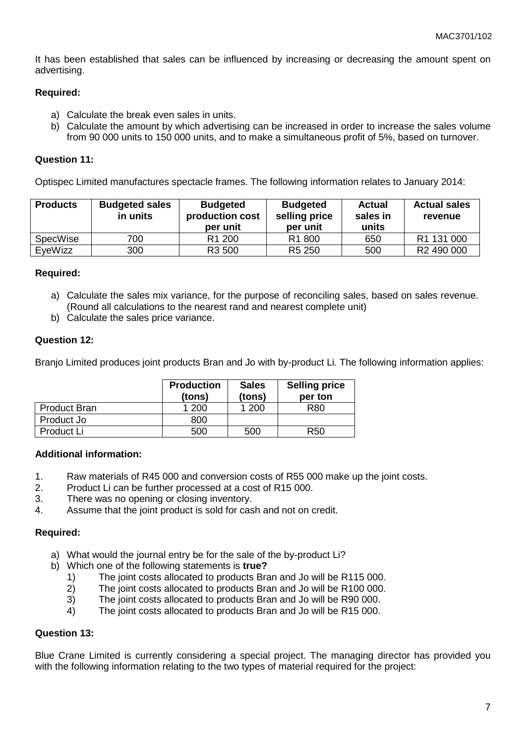It has been established that sales can be influenced by increasing or decreasing the amount spent on advertising.

#### **Required:**

- a) Calculate the break even sales in units.
- b) Calculate the amount by which advertising can be increased in order to increase the sales volume from 90 000 units to 150 000 units, and to make a simultaneous profit of 5%, based on turnover.

#### **Question 11:**

Optispec Limited manufactures spectacle frames. The following information relates to January 2014:

| <b>Products</b> | <b>Budgeted sales</b><br>in units | <b>Budgeted</b><br>production cost<br>per unit | <b>Budgeted</b><br>selling price<br>per unit | Actual<br>sales in<br>units | <b>Actual sales</b><br>revenue |
|-----------------|-----------------------------------|------------------------------------------------|----------------------------------------------|-----------------------------|--------------------------------|
| <b>SpecWise</b> | 700                               | R <sub>1</sub> 200                             | R <sub>1</sub> 800                           | 650                         | R1 131 000                     |
| EveWizz         | 300                               | R3 500                                         | R <sub>5</sub> 250                           | 500                         | R <sub>2</sub> 490 000         |

## **Required:**

- a) Calculate the sales mix variance, for the purpose of reconciling sales, based on sales revenue. (Round all calculations to the nearest rand and nearest complete unit)
- b) Calculate the sales price variance.

#### **Question 12:**

Branjo Limited produces joint products Bran and Jo with by-product Li. The following information applies:

|                     | <b>Production</b><br>(tons) | <b>Sales</b><br>(tons) | <b>Selling price</b><br>per ton |
|---------------------|-----------------------------|------------------------|---------------------------------|
| <b>Product Bran</b> | 1 200                       | 1 200                  | R80                             |
| Product Jo          | 800                         |                        |                                 |
| Product Li          | 500                         | 500                    | R50                             |

#### **Additional information:**

- 1. Raw materials of R45 000 and conversion costs of R55 000 make up the joint costs.
- 2. Product Li can be further processed at a cost of R15 000.
- 3. There was no opening or closing inventory.
- 4. Assume that the joint product is sold for cash and not on credit.

#### **Required:**

- a) What would the journal entry be for the sale of the by-product Li?
- b) Which one of the following statements is **true?**
	- 1) The joint costs allocated to products Bran and Jo will be R115 000.<br>2) The joint costs allocated to products Bran and Jo will be R100 000.
	- 2) The joint costs allocated to products Bran and Jo will be R100 000.
	- 3) The joint costs allocated to products Bran and Jo will be R90 000.
	- 4) The joint costs allocated to products Bran and Jo will be R15 000.

#### **Question 13:**

Blue Crane Limited is currently considering a special project. The managing director has provided you with the following information relating to the two types of material required for the project: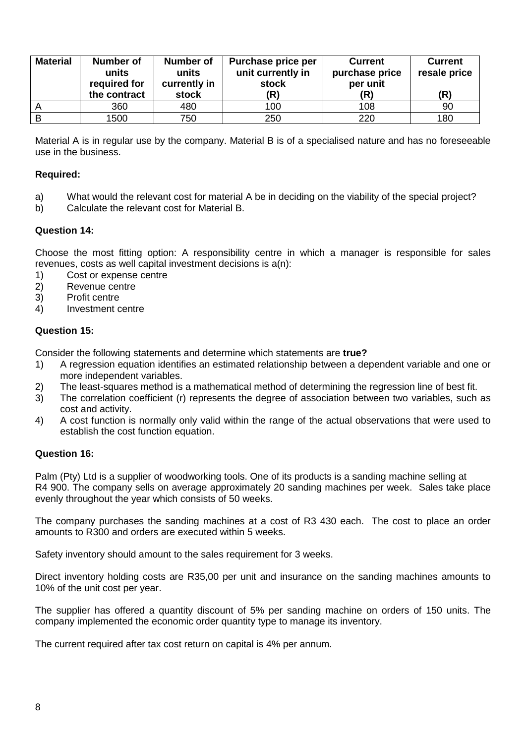| <b>Material</b> | Number of<br>units<br>required for<br>the contract | Number of<br>units<br>currently in<br>stock | Purchase price per<br>unit currently in<br>stock<br>(R) | <b>Current</b><br>purchase price<br>per unit<br>(R) | <b>Current</b><br>resale price<br>(R) |
|-----------------|----------------------------------------------------|---------------------------------------------|---------------------------------------------------------|-----------------------------------------------------|---------------------------------------|
| <u>r</u>        | 360                                                | 480                                         | 100                                                     | 108                                                 | 90                                    |
| B               | 1500                                               | 750                                         | 250                                                     | 220                                                 | 180                                   |

Material A is in regular use by the company. Material B is of a specialised nature and has no foreseeable use in the business.

### **Required:**

- a) What would the relevant cost for material A be in deciding on the viability of the special project?
- b) Calculate the relevant cost for Material B.

## **Question 14:**

Choose the most fitting option: A responsibility centre in which a manager is responsible for sales revenues, costs as well capital investment decisions is a(n):

- 1) Cost or expense centre
- 2) Revenue centre
- 3) Profit centre
- 4) Investment centre

## **Question 15:**

Consider the following statements and determine which statements are **true?**

- 1) A regression equation identifies an estimated relationship between a dependent variable and one or more independent variables.
- 2) The least-squares method is a mathematical method of determining the regression line of best fit.
- 3) The correlation coefficient (r) represents the degree of association between two variables, such as cost and activity.
- 4) A cost function is normally only valid within the range of the actual observations that were used to establish the cost function equation.

#### **Question 16:**

Palm (Pty) Ltd is a supplier of woodworking tools. One of its products is a sanding machine selling at R4 900. The company sells on average approximately 20 sanding machines per week. Sales take place evenly throughout the year which consists of 50 weeks.

The company purchases the sanding machines at a cost of R3 430 each. The cost to place an order amounts to R300 and orders are executed within 5 weeks.

Safety inventory should amount to the sales requirement for 3 weeks.

Direct inventory holding costs are R35,00 per unit and insurance on the sanding machines amounts to 10% of the unit cost per year.

The supplier has offered a quantity discount of 5% per sanding machine on orders of 150 units. The company implemented the economic order quantity type to manage its inventory.

The current required after tax cost return on capital is 4% per annum.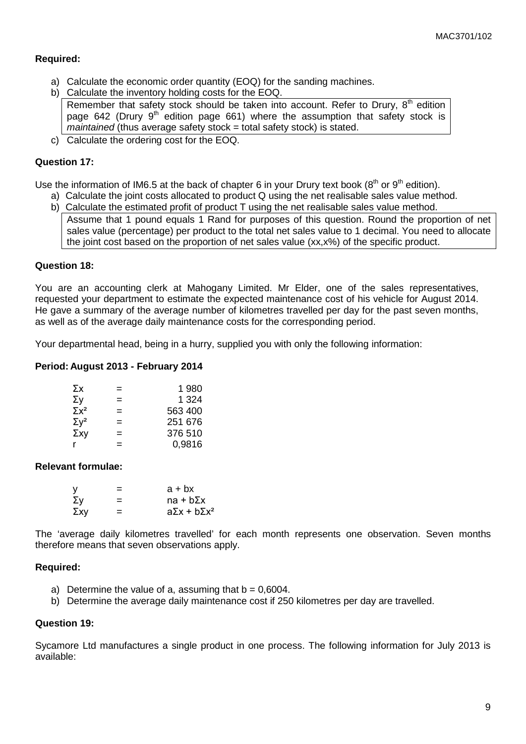#### **Required:**

- a) Calculate the economic order quantity (EOQ) for the sanding machines.
- b) Calculate the inventory holding costs for the EOQ. Remember that safety stock should be taken into account. Refer to Drury,  $8<sup>th</sup>$  edition page 642 (Drury  $9<sup>th</sup>$  edition page 661) where the assumption that safety stock is *maintained* (thus average safety stock = total safety stock) is stated.
- c) Calculate the ordering cost for the EOQ.

#### **Question 17:**

Use the information of IM6.5 at the back of chapter 6 in your Drury text book ( $8<sup>th</sup>$  or  $9<sup>th</sup>$  edition).

- a) Calculate the joint costs allocated to product Q using the net realisable sales value method.
	- b) Calculate the estimated profit of product T using the net realisable sales value method. Assume that 1 pound equals 1 Rand for purposes of this question. Round the proportion of net sales value (percentage) per product to the total net sales value to 1 decimal. You need to allocate the joint cost based on the proportion of net sales value (xx,x%) of the specific product.

#### **Question 18:**

You are an accounting clerk at Mahogany Limited. Mr Elder, one of the sales representatives, requested your department to estimate the expected maintenance cost of his vehicle for August 2014. He gave a summary of the average number of kilometres travelled per day for the past seven months, as well as of the average daily maintenance costs for the corresponding period.

Your departmental head, being in a hurry, supplied you with only the following information:

#### **Period: August 2013 - February 2014**

| Σχ                      | $=$ | 1 980   |
|-------------------------|-----|---------|
| Σγ                      | $=$ | 1 324   |
| $\Sigma x^2$            | =   | 563 400 |
| $\Sigma$ y <sup>2</sup> | =   | 251 676 |
| $\Sigma$ xy             | =   | 376 510 |
|                         | =   | 0.9816  |

#### **Relevant formulae:**

| v   | =   | $a + bx$                  |
|-----|-----|---------------------------|
| Σγ  | =   | $na + b\Sigma x$          |
| Σχγ | $=$ | $a\Sigma x + b\Sigma x^2$ |

The 'average daily kilometres travelled' for each month represents one observation. Seven months therefore means that seven observations apply.

#### **Required:**

- a) Determine the value of a, assuming that  $b = 0.6004$ .
- b) Determine the average daily maintenance cost if 250 kilometres per day are travelled.

#### **Question 19:**

Sycamore Ltd manufactures a single product in one process. The following information for July 2013 is available: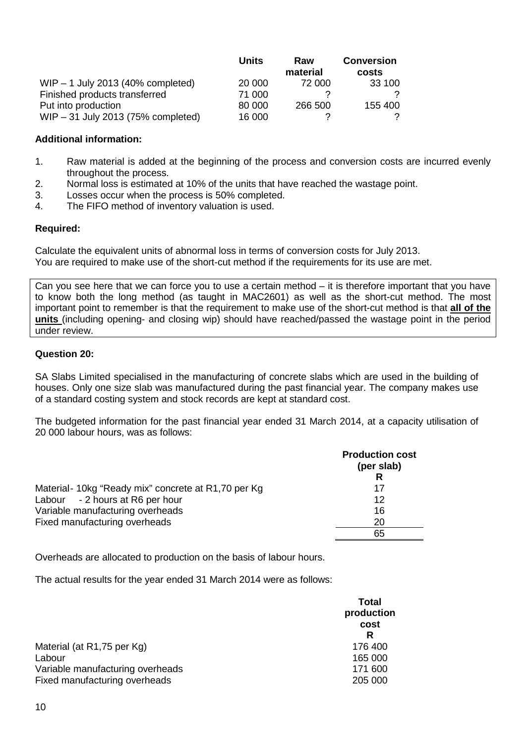|                                     | <b>Units</b> | Raw<br>material | <b>Conversion</b><br>costs |
|-------------------------------------|--------------|-----------------|----------------------------|
| WIP $-$ 1 July 2013 (40% completed) | 20 000       | 72 000          | 33 100                     |
| Finished products transferred       | 71 000       |                 |                            |
| Put into production                 | 80 000       | 266 500         | 155 400                    |
| WIP - 31 July 2013 (75% completed)  | 16 000       |                 | 2                          |

- 1. Raw material is added at the beginning of the process and conversion costs are incurred evenly throughout the process.
- 2. Normal loss is estimated at 10% of the units that have reached the wastage point.
- 3. Losses occur when the process is 50% completed.
- 4. The FIFO method of inventory valuation is used.

#### **Required:**

Calculate the equivalent units of abnormal loss in terms of conversion costs for July 2013. You are required to make use of the short-cut method if the requirements for its use are met.

Can you see here that we can force you to use a certain method – it is therefore important that you have to know both the long method (as taught in MAC2601) as well as the short-cut method. The most important point to remember is that the requirement to make use of the short-cut method is that **all of the units** (including opening- and closing wip) should have reached/passed the wastage point in the period under review.

#### **Question 20:**

SA Slabs Limited specialised in the manufacturing of concrete slabs which are used in the building of houses. Only one size slab was manufactured during the past financial year. The company makes use of a standard costing system and stock records are kept at standard cost.

The budgeted information for the past financial year ended 31 March 2014, at a capacity utilisation of 20 000 labour hours, was as follows:

|                                                    | <b>Production cost</b><br>(per slab)<br>R |
|----------------------------------------------------|-------------------------------------------|
| Material-10kg "Ready mix" concrete at R1,70 per Kg | 17                                        |
| Labour - 2 hours at R6 per hour                    | 12                                        |
| Variable manufacturing overheads                   | 16                                        |
| Fixed manufacturing overheads                      | 20                                        |
|                                                    | 65                                        |

Overheads are allocated to production on the basis of labour hours.

The actual results for the year ended 31 March 2014 were as follows:

| Total<br>production<br>cost<br>R |
|----------------------------------|
| 176 400                          |
| 165 000                          |
| 171 600<br>205 000               |
|                                  |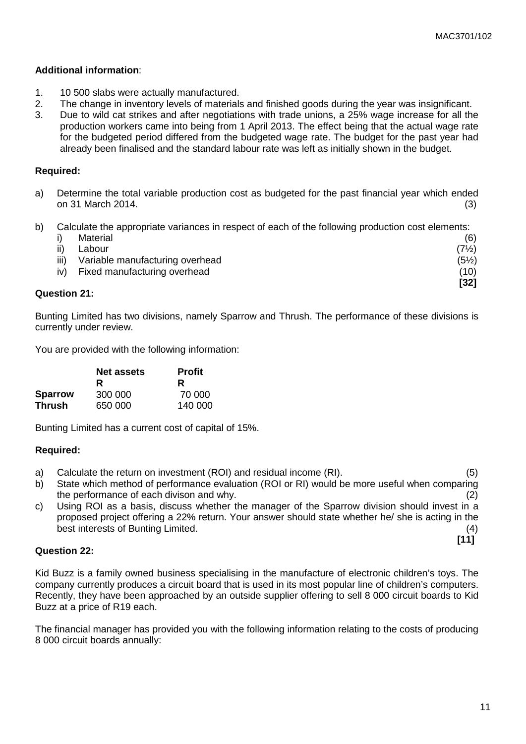- 1. 10 500 slabs were actually manufactured.
- 2. The change in inventory levels of materials and finished goods during the year was insignificant.
- 3. Due to wild cat strikes and after negotiations with trade unions, a 25% wage increase for all the production workers came into being from 1 April 2013. The effect being that the actual wage rate for the budgeted period differed from the budgeted wage rate. The budget for the past year had already been finalised and the standard labour rate was left as initially shown in the budget.

#### **Required:**

- a) Determine the total variable production cost as budgeted for the past financial year which ended on 31 March 2014. (3)
- b) Calculate the appropriate variances in respect of each of the following production cost elements:

|     | Material                             | (6)              |
|-----|--------------------------------------|------------------|
| ii) | Labour                               | $(7\frac{1}{2})$ |
|     | iii) Variable manufacturing overhead | $(5\frac{1}{2})$ |
|     | iv) Fixed manufacturing overhead     | (10)             |
|     |                                      | [32]             |

#### **Question 21:**

Bunting Limited has two divisions, namely Sparrow and Thrush. The performance of these divisions is currently under review.

You are provided with the following information:

|                | Net assets | <b>Profit</b> |
|----------------|------------|---------------|
|                | R          | R             |
| <b>Sparrow</b> | 300 000    | 70.000        |
| <b>Thrush</b>  | 650 000    | 140 000       |

Bunting Limited has a current cost of capital of 15%.

#### **Required:**

- a) Calculate the return on investment (ROI) and residual income (RI). (5)
- b) State which method of performance evaluation (ROI or RI) would be more useful when comparing the performance of each divison and why. (2)
- c) Using ROI as a basis, discuss whether the manager of the Sparrow division should invest in a proposed project offering a 22% return. Your answer should state whether he/ she is acting in the best interests of Bunting Limited. (4)

**Question 22:**

Kid Buzz is a family owned business specialising in the manufacture of electronic children's toys. The company currently produces a circuit board that is used in its most popular line of children's computers. Recently, they have been approached by an outside supplier offering to sell 8 000 circuit boards to Kid Buzz at a price of R19 each.

The financial manager has provided you with the following information relating to the costs of producing 8 000 circuit boards annually:

**[11]**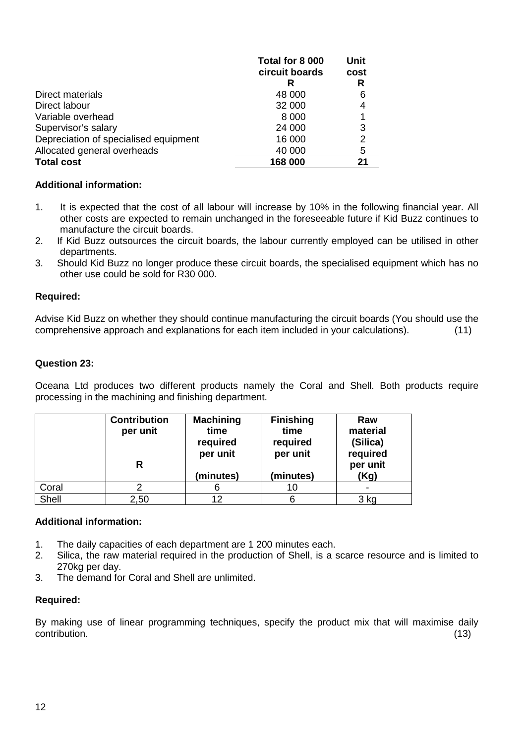|                                       | Total for 8 000 | <b>Unit</b> |
|---------------------------------------|-----------------|-------------|
|                                       | circuit boards  | cost        |
|                                       | R               | R           |
| Direct materials                      | 48 000          | 6           |
| Direct labour                         | 32 000          | 4           |
| Variable overhead                     | 8 0 0 0         |             |
| Supervisor's salary                   | 24 000          | 3           |
| Depreciation of specialised equipment | 16 000          | 2           |
| Allocated general overheads           | 40 000          | 5           |
| <b>Total cost</b>                     | 168 000         | 21          |

- 1. It is expected that the cost of all labour will increase by 10% in the following financial year. All other costs are expected to remain unchanged in the foreseeable future if Kid Buzz continues to manufacture the circuit boards.
- 2. If Kid Buzz outsources the circuit boards, the labour currently employed can be utilised in other departments.
- 3. Should Kid Buzz no longer produce these circuit boards, the specialised equipment which has no other use could be sold for R30 000.

## **Required:**

Advise Kid Buzz on whether they should continue manufacturing the circuit boards (You should use the comprehensive approach and explanations for each item included in your calculations). (11)

## **Question 23:**

Oceana Ltd produces two different products namely the Coral and Shell. Both products require processing in the machining and finishing department.

|       | <b>Contribution</b><br>per unit<br>R | <b>Machining</b><br>time<br>required<br>per unit | <b>Finishing</b><br>time<br>required<br>per unit | Raw<br>material<br>(Silica)<br>required<br>per unit |
|-------|--------------------------------------|--------------------------------------------------|--------------------------------------------------|-----------------------------------------------------|
|       |                                      | (minutes)                                        | (minutes)                                        | (Kg)                                                |
| Coral |                                      |                                                  | 10                                               |                                                     |
| Shell | 2,50                                 | 12                                               |                                                  | 3 kg                                                |

#### **Additional information:**

- 1. The daily capacities of each department are 1 200 minutes each.
- 2. Silica, the raw material required in the production of Shell, is a scarce resource and is limited to 270kg per day.
- 3. The demand for Coral and Shell are unlimited.

#### **Required:**

By making use of linear programming techniques, specify the product mix that will maximise daily contribution. contribution. (13)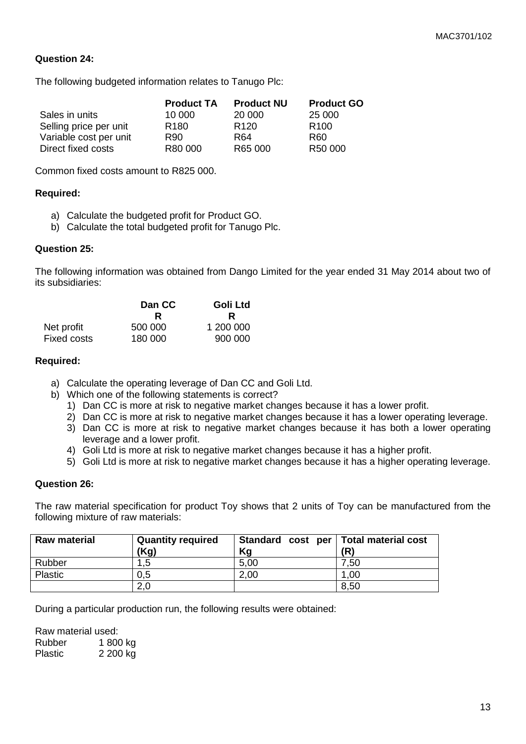#### **Question 24:**

The following budgeted information relates to Tanugo Plc:

|                        | <b>Product TA</b> | <b>Product NU</b> | <b>Product GO</b> |
|------------------------|-------------------|-------------------|-------------------|
| Sales in units         | 10.000            | 20 000            | 25 000            |
| Selling price per unit | R <sub>180</sub>  | R <sub>120</sub>  | R <sub>100</sub>  |
| Variable cost per unit | R90.              | R64               | R60               |
| Direct fixed costs     | R80 000           | R65 000           | R50 000           |

Common fixed costs amount to R825 000.

#### **Required:**

- a) Calculate the budgeted profit for Product GO.
- b) Calculate the total budgeted profit for Tanugo Plc.

#### **Question 25:**

The following information was obtained from Dango Limited for the year ended 31 May 2014 about two of its subsidiaries:

|                    | Dan CC  | Goli Ltd  |
|--------------------|---------|-----------|
|                    | R       | R         |
| Net profit         | 500 000 | 1 200 000 |
| <b>Fixed costs</b> | 180 000 | 900 000   |

#### **Required:**

- a) Calculate the operating leverage of Dan CC and Goli Ltd.
- b) Which one of the following statements is correct?
	- 1) Dan CC is more at risk to negative market changes because it has a lower profit.
	- 2) Dan CC is more at risk to negative market changes because it has a lower operating leverage.
	- 3) Dan CC is more at risk to negative market changes because it has both a lower operating leverage and a lower profit.
	- 4) Goli Ltd is more at risk to negative market changes because it has a higher profit.
	- 5) Goli Ltd is more at risk to negative market changes because it has a higher operating leverage.

#### **Question 26:**

The raw material specification for product Toy shows that 2 units of Toy can be manufactured from the following mixture of raw materials:

| <b>Raw material</b> | <b>Quantity required</b><br>(Kg) | Standard cost per   Total material cost<br>Kg | (R)  |
|---------------------|----------------------------------|-----------------------------------------------|------|
| Rubber              | .5                               | 5,00                                          | 7,50 |
| Plastic             | 0.5                              | 2,00                                          | 1,00 |
|                     | 2,0                              |                                               | 8,50 |

During a particular production run, the following results were obtained:

Raw material used: Rubber 1 800 kg<br>Plastic 2 200 kg 2 200 kg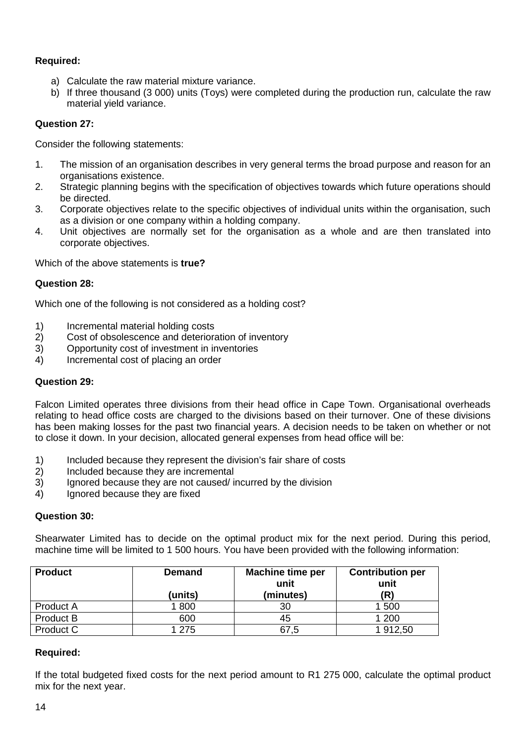## **Required:**

- a) Calculate the raw material mixture variance.
- b) If three thousand (3 000) units (Toys) were completed during the production run, calculate the raw material yield variance.

## **Question 27:**

Consider the following statements:

- 1. The mission of an organisation describes in very general terms the broad purpose and reason for an organisations existence.
- 2. Strategic planning begins with the specification of objectives towards which future operations should be directed.
- 3. Corporate objectives relate to the specific objectives of individual units within the organisation, such as a division or one company within a holding company.
- 4. Unit objectives are normally set for the organisation as a whole and are then translated into corporate objectives.

Which of the above statements is **true?**

## **Question 28:**

Which one of the following is not considered as a holding cost?

- 1) Incremental material holding costs
- 2) Cost of obsolescence and deterioration of inventory
- 3) Opportunity cost of investment in inventories
- 4) Incremental cost of placing an order

#### **Question 29:**

Falcon Limited operates three divisions from their head office in Cape Town. Organisational overheads relating to head office costs are charged to the divisions based on their turnover. One of these divisions has been making losses for the past two financial years. A decision needs to be taken on whether or not to close it down. In your decision, allocated general expenses from head office will be:

- 1) Included because they represent the division's fair share of costs
- 2) Included because they are incremental
- 3) Ignored because they are not caused/ incurred by the division
- 4) Ignored because they are fixed

#### **Question 30:**

Shearwater Limited has to decide on the optimal product mix for the next period. During this period, machine time will be limited to 1 500 hours. You have been provided with the following information:

| <b>Product</b> | <b>Demand</b> | <b>Machine time per</b><br>unit | <b>Contribution per</b><br>unit |  |  |
|----------------|---------------|---------------------------------|---------------------------------|--|--|
|                | (units)       | (minutes)                       | (R)                             |  |  |
| Product A      | 1800          | 30                              | 1 500                           |  |  |
| Product B      | 600           | 45                              | 1 200                           |  |  |
| Product C      | 1 2 7 5       | 67,5                            | 1 912,50                        |  |  |

#### **Required:**

If the total budgeted fixed costs for the next period amount to R1 275 000, calculate the optimal product mix for the next year.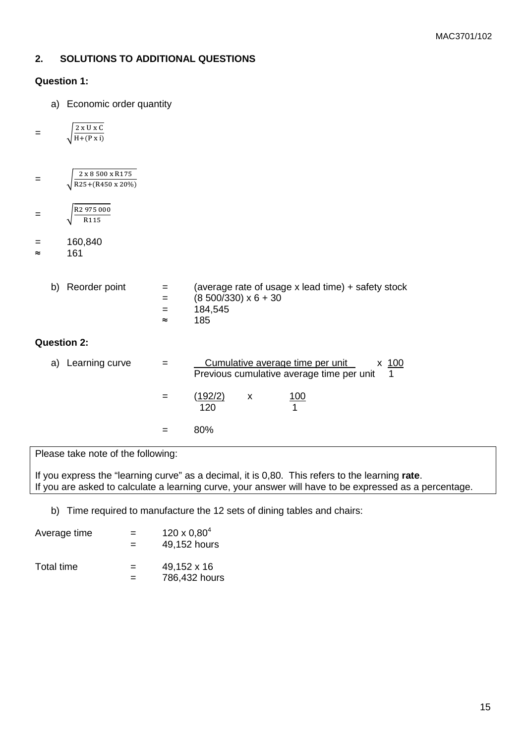## **2. SOLUTIONS TO ADDITIONAL QUESTIONS**

#### **Question 1:**

a) Economic order quantity

$$
= \sqrt{\frac{2 \times U \times C}{H + (P \times i)}}
$$

| 2 x 8 500 x R175                |
|---------------------------------|
| $\sqrt{R25+(R450 \times 20\%)}$ |

$$
= \sqrt{\frac{R2\,975\,000}{R115}}
$$

$$
= 160,840
$$

≈ 161

| b) Reorder point | $=$ $-$            | (average rate of usage x lead time) $+$ safety stock |
|------------------|--------------------|------------------------------------------------------|
|                  | $=$                | $(8\,500/330) \times 6 + 30$                         |
|                  | $=$ $\blacksquare$ | 184.545                                              |
|                  | $\approx$          | 185                                                  |
|                  |                    |                                                      |

## **Question 2:**

| Learning curve<br>a) | Cumulative average time per unit<br>x 100<br>Previous cumulative average time per unit |
|----------------------|----------------------------------------------------------------------------------------|
|                      | <u>(192/2)</u><br><u> 100</u><br>X<br>120                                              |
|                      | 80%                                                                                    |

Please take note of the following:

If you express the "learning curve" as a decimal, it is 0,80. This refers to the learning **rate**. If you are asked to calculate a learning curve, your answer will have to be expressed as a percentage.

b) Time required to manufacture the 12 sets of dining tables and chairs:

| Average time | $=$<br>= | $120 \times 0.80^{4}$<br>49,152 hours |
|--------------|----------|---------------------------------------|
| Total time   | $=$<br>= | 49,152 x 16<br>786,432 hours          |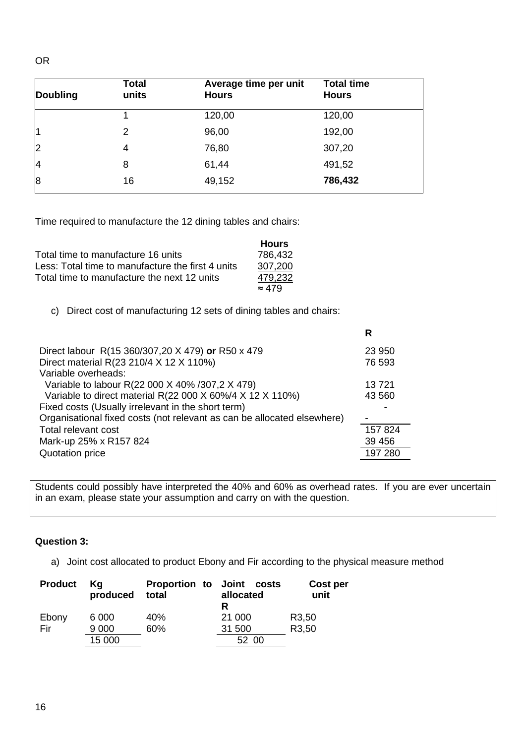| <b>Doubling</b> | <b>Total</b><br>units | Average time per unit<br><b>Hours</b> | <b>Total time</b><br><b>Hours</b> |
|-----------------|-----------------------|---------------------------------------|-----------------------------------|
|                 |                       | 120,00                                | 120,00                            |
| 11              | 2                     | 96,00                                 | 192,00                            |
| $\overline{2}$  | 4                     | 76,80                                 | 307,20                            |
| 4               | 8                     | 61,44                                 | 491,52                            |
| 8               | 16                    | 49,152                                | 786,432                           |

Time required to manufacture the 12 dining tables and chairs:

|                                                   | <b>Hours</b>  |
|---------------------------------------------------|---------------|
| Total time to manufacture 16 units                | 786,432       |
| Less: Total time to manufacture the first 4 units | 307,200       |
| Total time to manufacture the next 12 units       | 479,232       |
|                                                   | $\approx 479$ |

c) Direct cost of manufacturing 12 sets of dining tables and chairs:

|                                                                         | R       |
|-------------------------------------------------------------------------|---------|
| Direct labour R(15 360/307,20 X 479) or R50 x 479                       | 23 950  |
| Direct material R(23 210/4 X 12 X 110%)                                 | 76 593  |
| Variable overheads:                                                     |         |
| Variable to labour R(22 000 X 40% /307,2 X 479)                         | 13721   |
| Variable to direct material R(22 000 X 60%/4 X 12 X 110%)               | 43 560  |
| Fixed costs (Usually irrelevant in the short term)                      |         |
| Organisational fixed costs (not relevant as can be allocated elsewhere) |         |
| Total relevant cost                                                     | 157 824 |
| Mark-up 25% x R157 824                                                  | 39 45 6 |
| Quotation price                                                         | 197 280 |
|                                                                         |         |

Students could possibly have interpreted the 40% and 60% as overhead rates. If you are ever uncertain in an exam, please state your assumption and carry on with the question.

## **Question 3:**

a) Joint cost allocated to product Ebony and Fir according to the physical measure method

| <b>Product</b> | Κa<br>produced | Proportion to Joint costs<br>total | allocated<br>R | Cost per<br>unit   |
|----------------|----------------|------------------------------------|----------------|--------------------|
| Ebony          | 6 0 0 0        | 40%                                | 21 000         | R <sub>3</sub> ,50 |
| Fir            | 9 0 0 0        | 60%                                | 31 500         | R3,50              |
|                | 15 000         |                                    | 52 00          |                    |

OR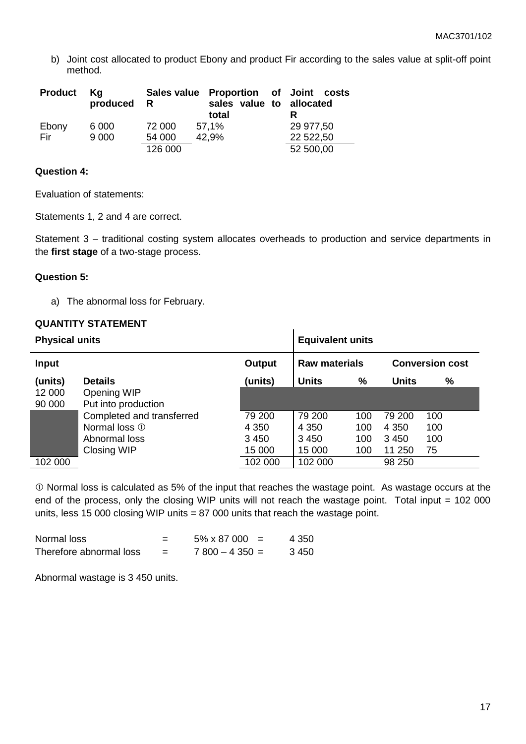b) Joint cost allocated to product Ebony and product Fir according to the sales value at split-off point method.

| <b>Product</b> | Kq<br>produced | R       | Sales value Proportion of Joint costs<br>sales value to allocated<br>total |           |
|----------------|----------------|---------|----------------------------------------------------------------------------|-----------|
| Ebony          | 6 0 0 0        | 72 000  | 57,1%                                                                      | 29 977,50 |
| Fir            | 9 0 0 0        | 54 000  | 42,9%                                                                      | 22 522,50 |
|                |                | 126 000 |                                                                            | 52 500,00 |

## **Question 4:**

Evaluation of statements:

Statements 1, 2 and 4 are correct.

Statement 3 – traditional costing system allocates overheads to production and service departments in the **first stage** of a two-stage process.

#### **Question 5:**

a) The abnormal loss for February.

#### **QUANTITY STATEMENT**

| <b>Physical units</b> |                           |               | <b>Equivalent units</b> |     |              |                        |
|-----------------------|---------------------------|---------------|-------------------------|-----|--------------|------------------------|
| Input                 |                           | <b>Output</b> | <b>Raw materials</b>    |     |              | <b>Conversion cost</b> |
| (units)               | <b>Details</b>            | (units)       | <b>Units</b>            | %   | <b>Units</b> | $\%$                   |
| 12 000                | Opening WIP               |               |                         |     |              |                        |
| 90 000                | Put into production       |               |                         |     |              |                        |
|                       | Completed and transferred | 79 200        | 79 200                  | 100 | 79 200       | 100                    |
|                       | Normal loss 1             | 4 3 5 0       | 4 3 5 0                 | 100 | 4 3 5 0      | 100                    |
|                       | Abnormal loss             | 3450          | 3450                    | 100 | 3 4 5 0      | 100                    |
|                       | Closing WIP               | 15 000        | 15 000                  | 100 | 11 250       | 75                     |
| 102 000               |                           | 102 000       | 102 000                 |     | 98 250       |                        |

 Normal loss is calculated as 5% of the input that reaches the wastage point. As wastage occurs at the end of the process, only the closing WIP units will not reach the wastage point. Total input = 102 000 units, less 15 000 closing WIP units = 87 000 units that reach the wastage point.

| Normal loss             | = | 5% x 87 000     | 4 350 |
|-------------------------|---|-----------------|-------|
| Therefore abnormal loss |   | $7800 - 4350 =$ | 3450  |

Abnormal wastage is 3 450 units.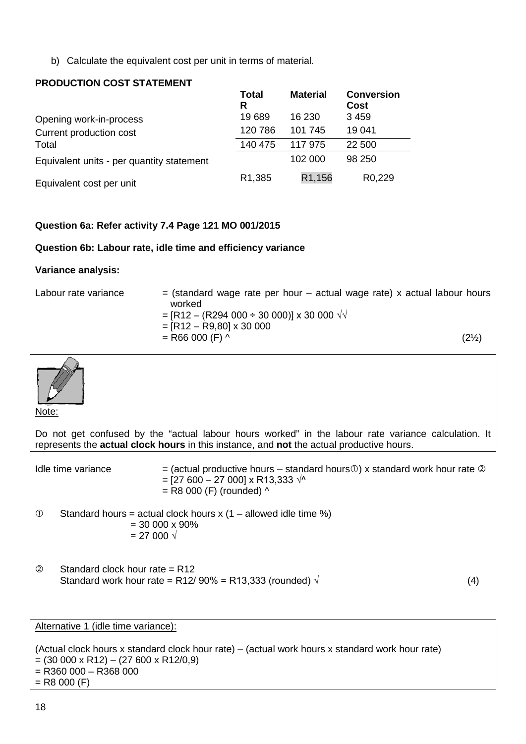b) Calculate the equivalent cost per unit in terms of material.

## **PRODUCTION COST STATEMENT**

|                                           | Total<br>R | <b>Material</b> | <b>Conversion</b><br><b>Cost</b> |
|-------------------------------------------|------------|-----------------|----------------------------------|
| Opening work-in-process                   | 19689      | 16 230          | 3459                             |
| Current production cost                   | 120 786    | 101 745         | 19 041                           |
| Total                                     | 140 475    | 117 975         | 22 500                           |
| Equivalent units - per quantity statement |            | 102 000         | 98 250                           |
| Equivalent cost per unit                  | R1,385     | R1,156          | R <sub>0</sub> ,229              |

## **Question 6a: Refer activity 7.4 Page 121 MO 001/2015**

#### **Question 6b: Labour rate, idle time and efficiency variance**

#### **Variance analysis:**

| Labour rate variance | $=$ (standard wage rate per hour $-$ actual wage rate) x actual labour hours |                  |
|----------------------|------------------------------------------------------------------------------|------------------|
|                      | worked                                                                       |                  |
|                      | = [R12 – (R294 000 ÷ 30 000)] x 30 000 $\sqrt{v}$                            |                  |
|                      | $=$ [R12 - R9,80] x 30 000                                                   |                  |
|                      | $=$ R66 000 (F) ^                                                            | $(2\frac{1}{2})$ |



Note:

Do not get confused by the "actual labour hours worked" in the labour rate variance calculation. It represents the **actual clock hours** in this instance, and **not** the actual productive hours.

Idle time variance  $=$  (actual productive hours – standard hours  $\mathcal{D}$ ) x standard work hour rate  $\mathcal{D}$  $=$  [27 600 – 27 000] x R13,333  $\sqrt{$  $=$  R8 000 (F) (rounded)  $\wedge$ 

 $\degree$  Standard hours = actual clock hours x (1 – allowed idle time %)  $= 30000 \times 90\%$  $= 27000 \sqrt{x}$ 

 $\oslash$  Standard clock hour rate = R12 Standard work hour rate = R12/ 90% = R13,333 (rounded)  $\sqrt{ }$  (4)

Alternative 1 (idle time variance):

(Actual clock hours x standard clock hour rate) – (actual work hours x standard work hour rate)  $=(30 000 \times R12) - (27 600 \times R12/0, 9)$  $=$  R360 000 – R368 000  $=$  R8 000 (F)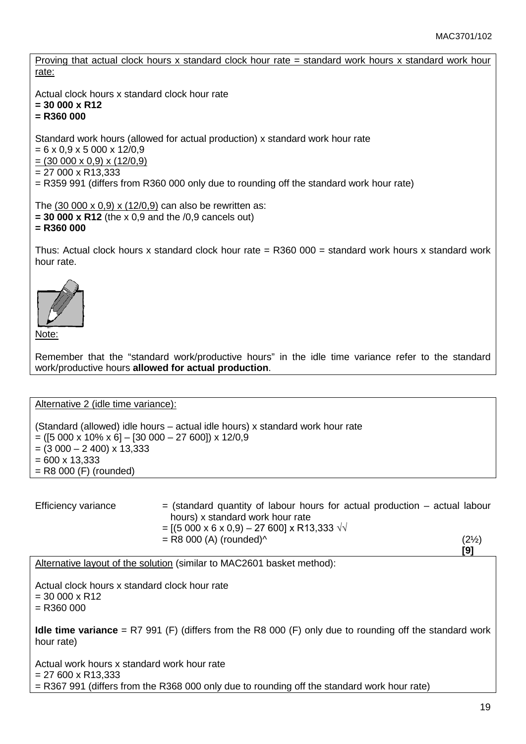Proving that actual clock hours x standard clock hour rate = standard work hours x standard work hour rate:

Actual clock hours x standard clock hour rate

**= 30 000 x R12**

**= R360 000**

Standard work hours (allowed for actual production) x standard work hour rate

 $= 6 \times 0.9 \times 5\,000 \times 12/0.9$ 

- $= (30,000 \times 0.9) \times (12/0.9)$
- $= 27000 \times R13,333$

= R359 991 (differs from R360 000 only due to rounding off the standard work hour rate)

The (30 000 x 0,9) x (12/0,9) can also be rewritten as: **= 30 000 x R12** (the x 0,9 and the /0,9 cancels out) **= R360 000**

Thus: Actual clock hours x standard clock hour rate  $=$  R360 000  $=$  standard work hours x standard work hour rate.



Note:

Remember that the "standard work/productive hours" in the idle time variance refer to the standard work/productive hours **allowed for actual production**.

Alternative 2 (idle time variance):

(Standard (allowed) idle hours – actual idle hours) x standard work hour rate  $= ([5 000 \times 10\% \times 6] - [30 000 - 27 600]) \times 12/0,9$  $= (3000 - 2400) \times 13,333$  $= 600 \times 13.333$ = R8 000 (F) (rounded)

| <b>Efficiency variance</b> | $=$ (standard quantity of labour hours for actual production $-$ actual labour<br>hours) x standard work hour rate |                  |
|----------------------------|--------------------------------------------------------------------------------------------------------------------|------------------|
|                            | $= [(5\ 000\ x\ 6\ x\ 0,9) - 27\ 600] \times R13,333 \ \sqrt{10}$                                                  |                  |
|                            | $=$ R8 000 (A) (rounded) $\wedge$                                                                                  | $(2\frac{1}{2})$ |
|                            |                                                                                                                    | [9]              |

Alternative layout of the solution (similar to MAC2601 basket method):

Actual clock hours x standard clock hour rate

 $= 30000 \times R12$ 

 $=$  R360 000

**Idle time variance** = R7 991 (F) (differs from the R8 000 (F) only due to rounding off the standard work hour rate)

Actual work hours x standard work hour rate  $= 27600 \times R13.333$ = R367 991 (differs from the R368 000 only due to rounding off the standard work hour rate)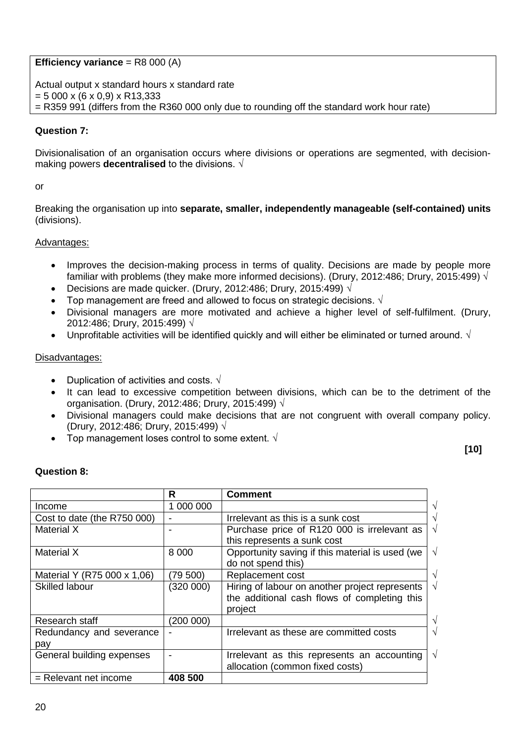**Efficiency variance** = R8 000 (A)

Actual output x standard hours x standard rate  $= 5000 \times (6 \times 0.9) \times R13,333$ = R359 991 (differs from the R360 000 only due to rounding off the standard work hour rate)

### **Question 7:**

Divisionalisation of an organisation occurs where divisions or operations are segmented, with decisionmaking powers **decentralised** to the divisions. √

#### or

Breaking the organisation up into **separate, smaller, independently manageable (self-contained) units** (divisions).

#### Advantages:

- Improves the decision-making process in terms of quality. Decisions are made by people more familiar with problems (they make more informed decisions). (Drury, 2012:486; Drury, 2015:499)  $\sqrt{ }$
- Decisions are made quicker. (Drury, 2012:486; Drury, 2015:499)  $\sqrt{ }$
- Fop management are freed and allowed to focus on strategic decisions.  $\sqrt{ }$
- Divisional managers are more motivated and achieve a higher level of self-fulfilment. (Drury, 2012:486; Drury, 2015:499) √
- Unprofitable activities will be identified quickly and will either be eliminated or turned around.  $\sqrt{ }$

#### Disadvantages:

- Duplication of activities and costs.  $\sqrt{ }$
- It can lead to excessive competition between divisions, which can be to the detriment of the organisation. (Drury, 2012:486; Drury, 2015:499) √
- Divisional managers could make decisions that are not congruent with overall company policy. (Drury, 2012:486; Drury, 2015:499) √
- Top management loses control to some extent.  $\sqrt{ }$

#### **[10]**

#### **Question 8:**

|                             | R         | <b>Comment</b>                                                |
|-----------------------------|-----------|---------------------------------------------------------------|
| Income                      | 1 000 000 | V                                                             |
| Cost to date (the R750 000) |           | Irrelevant as this is a sunk cost<br>$\sqrt{ }$               |
| Material X                  |           | $\sqrt{ }$<br>Purchase price of R120 000 is irrelevant as     |
|                             |           | this represents a sunk cost                                   |
| <b>Material X</b>           | 8 0 0 0   | $\sqrt{2}$<br>Opportunity saving if this material is used (we |
|                             |           | do not spend this)                                            |
| Material Y (R75 000 x 1,06) | (79 500)  | Replacement cost<br>$\sqrt{}$                                 |
| <b>Skilled labour</b>       | (320 000) | $\sqrt{ }$<br>Hiring of labour on another project represents  |
|                             |           | the additional cash flows of completing this                  |
|                             |           | project                                                       |
| Research staff              | (200 000) | $\sqrt{ }$                                                    |
| Redundancy and severance    |           | Irrelevant as these are committed costs<br>$\sqrt{ }$         |
| pay                         |           |                                                               |
| General building expenses   |           | $\sqrt{ }$<br>Irrelevant as this represents an accounting     |
|                             |           | allocation (common fixed costs)                               |
| $=$ Relevant net income     | 408 500   |                                                               |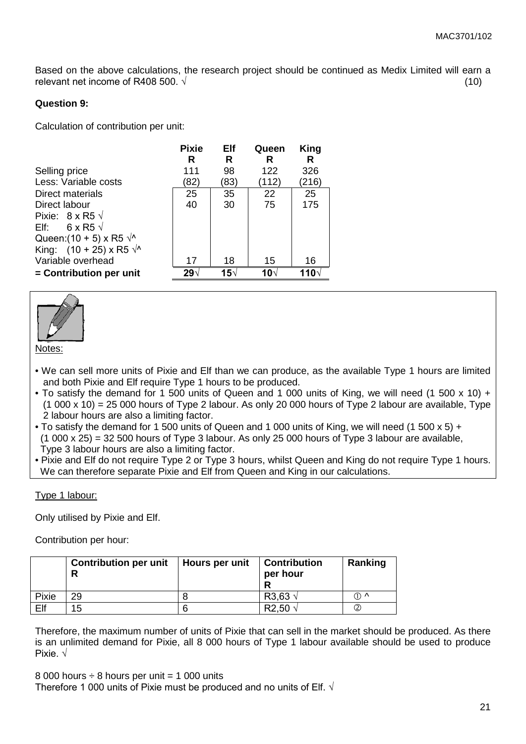Based on the above calculations, the research project should be continued as Medix Limited will earn a relevant net income of R408 500.  $\sqrt{ }$  (10)

### **Question 9:**

Calculation of contribution per unit:

|                                      | <b>Pixie</b> | Elf  | Queen | King  |
|--------------------------------------|--------------|------|-------|-------|
|                                      | R            | R    | R     | R     |
| Selling price                        | 111          | 98   | 122   | 326   |
| Less: Variable costs                 | 82)          | (83) | (112) | (216) |
| Direct materials                     | 25           | 35   | 22    | 25    |
| Direct labour                        | 40           | 30   | 75    | 175   |
| Pixie: $8 \times R5 \sqrt{ }$        |              |      |       |       |
| Elf: $6 \times R5 \sqrt{ }$          |              |      |       |       |
| Queen: $(10 + 5) \times R5 \sqrt{x}$ |              |      |       |       |
| King: $(10 + 25) \times R5 \sqrt{x}$ |              |      |       |       |
| Variable overhead                    | 17           | 18   | 15    | 16    |
| $=$ Contribution per unit            | 29∗          | 15√  | 10∿   | 110∆  |



• We can sell more units of Pixie and Elf than we can produce, as the available Type 1 hours are limited and both Pixie and Elf require Type 1 hours to be produced.

- To satisfy the demand for 1 500 units of Queen and 1 000 units of King, we will need (1 500 x 10) + (1 000 x 10) = 25 000 hours of Type 2 labour. As only 20 000 hours of Type 2 labour are available, Type 2 labour hours are also a limiting factor.
- To satisfy the demand for 1 500 units of Queen and 1 000 units of King, we will need (1 500 x 5) +  $(1\ 000 \times 25) = 32\ 500$  hours of Type 3 labour. As only 25 000 hours of Type 3 labour are available, Type 3 labour hours are also a limiting factor.

• Pixie and Elf do not require Type 2 or Type 3 hours, whilst Queen and King do not require Type 1 hours. We can therefore separate Pixie and Elf from Queen and King in our calculations.

#### Type 1 labour:

Only utilised by Pixie and Elf.

Contribution per hour:

|       | <b>Contribution per unit</b><br>R | Hours per unit | <b>Contribution</b><br>per hour | Ranking         |
|-------|-----------------------------------|----------------|---------------------------------|-----------------|
| Pixie | 29                                |                | R3.63                           | $(1)$ $\Lambda$ |
| Elf   | 15                                |                | 50                              |                 |

Therefore, the maximum number of units of Pixie that can sell in the market should be produced. As there is an unlimited demand for Pixie, all 8 000 hours of Type 1 labour available should be used to produce Pixie. √

8 000 hours  $\div$  8 hours per unit = 1 000 units Therefore 1 000 units of Pixie must be produced and no units of Elf.  $\sqrt{ }$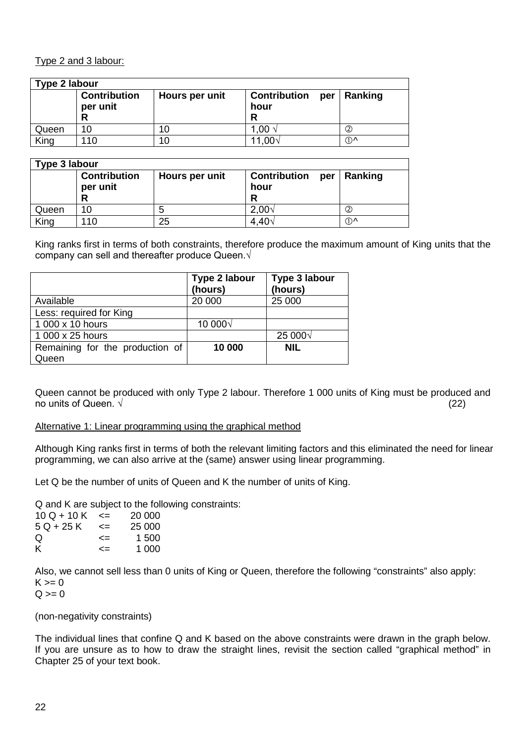### Type 2 and 3 labour:

| Type 2 labour |                                 |                |                                         |         |
|---------------|---------------------------------|----------------|-----------------------------------------|---------|
|               | <b>Contribution</b><br>per unit | Hours per unit | <b>Contribution</b><br>per<br>hour<br>R | Ranking |
| Queen         | 10                              | 10             | 1,00 $\sqrt{ }$                         | 2       |
| King          | 110                             | 10             | 11,00 $\vee$                            | ∩∧      |

| Type 3 labour |                                      |                |                                         |         |
|---------------|--------------------------------------|----------------|-----------------------------------------|---------|
|               | <b>Contribution</b><br>per unit<br>R | Hours per unit | <b>Contribution</b><br>per<br>hour<br>R | Ranking |
| Queen         | 10                                   |                | 2,00v                                   | 2       |
| King          | 10                                   | 25             | $4.40\sqrt{ }$                          | ⊕^      |

King ranks first in terms of both constraints, therefore produce the maximum amount of King units that the company can sell and thereafter produce Queen.√

|                                 | Type 2 labour<br>(hours) | Type 3 labour<br>(hours) |
|---------------------------------|--------------------------|--------------------------|
| Available                       | 20 000                   | 25 000                   |
| Less: required for King         |                          |                          |
| 1 000 x 10 hours                | 10 000√                  |                          |
| 1 000 x 25 hours                |                          | 25 000√                  |
| Remaining for the production of | 10 000                   | <b>NIL</b>               |
| Queen                           |                          |                          |

Queen cannot be produced with only Type 2 labour. Therefore 1 000 units of King must be produced and no units of Queen.  $\sqrt{ }$  (22)

#### Alternative 1: Linear programming using the graphical method

Although King ranks first in terms of both the relevant limiting factors and this eliminated the need for linear programming, we can also arrive at the (same) answer using linear programming.

Let Q be the number of units of Queen and K the number of units of King.

Q and K are subject to the following constraints:

| $\leq$ | 20 000 |
|--------|--------|
| <=     | 25 000 |
| <=     | 1.500  |
| <=     | 1 000  |
|        |        |

Also, we cannot sell less than 0 units of King or Queen, therefore the following "constraints" also apply:  $K \ge 0$ 

 $Q >= 0$ 

(non-negativity constraints)

The individual lines that confine Q and K based on the above constraints were drawn in the graph below. If you are unsure as to how to draw the straight lines, revisit the section called "graphical method" in Chapter 25 of your text book.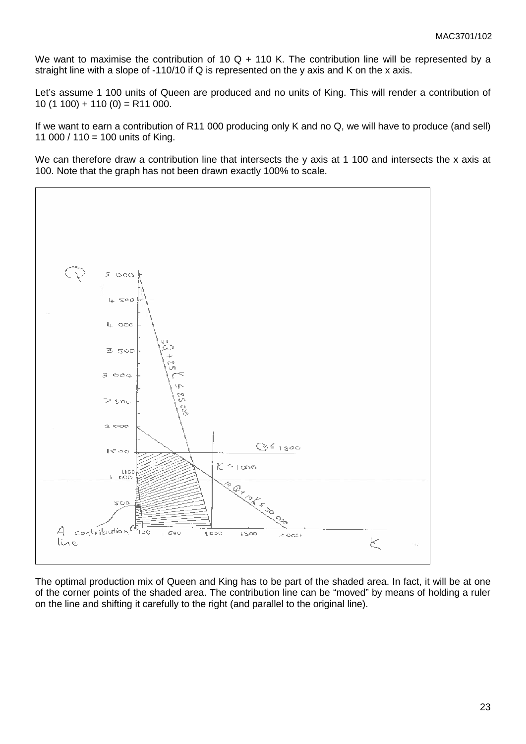We want to maximise the contribution of 10 Q + 110 K. The contribution line will be represented by a straight line with a slope of -110/10 if Q is represented on the y axis and K on the x axis.

Let's assume 1 100 units of Queen are produced and no units of King. This will render a contribution of  $10(1 100) + 110(0) = R11 000.$ 

If we want to earn a contribution of R11 000 producing only K and no Q, we will have to produce (and sell) 11 000 / 110 = 100 units of King.

We can therefore draw a contribution line that intersects the y axis at 1 100 and intersects the x axis at 100. Note that the graph has not been drawn exactly 100% to scale.



The optimal production mix of Queen and King has to be part of the shaded area. In fact, it will be at one of the corner points of the shaded area. The contribution line can be "moved" by means of holding a ruler on the line and shifting it carefully to the right (and parallel to the original line).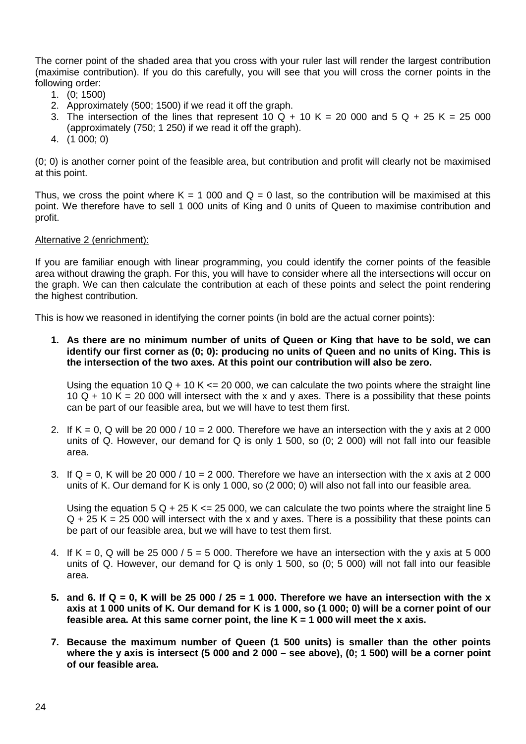The corner point of the shaded area that you cross with your ruler last will render the largest contribution (maximise contribution). If you do this carefully, you will see that you will cross the corner points in the following order:

- 1. (0; 1500)
- 2. Approximately (500; 1500) if we read it off the graph.
- 3. The intersection of the lines that represent 10 Q + 10 K = 20 000 and 5 Q + 25 K = 25 000 (approximately (750; 1 250) if we read it off the graph).
- 4. (1 000; 0)

(0; 0) is another corner point of the feasible area, but contribution and profit will clearly not be maximised at this point.

Thus, we cross the point where  $K = 1000$  and  $Q = 0$  last, so the contribution will be maximised at this point. We therefore have to sell 1 000 units of King and 0 units of Queen to maximise contribution and profit.

#### Alternative 2 (enrichment):

If you are familiar enough with linear programming, you could identify the corner points of the feasible area without drawing the graph. For this, you will have to consider where all the intersections will occur on the graph. We can then calculate the contribution at each of these points and select the point rendering the highest contribution.

This is how we reasoned in identifying the corner points (in bold are the actual corner points):

**1. As there are no minimum number of units of Queen or King that have to be sold, we can identify our first corner as (0; 0): producing no units of Queen and no units of King. This is the intersection of the two axes. At this point our contribution will also be zero.**

Using the equation 10 Q + 10 K  $\leq$  20 000, we can calculate the two points where the straight line 10  $\overline{Q}$  + 10 K = 20 000 will intersect with the x and y axes. There is a possibility that these points can be part of our feasible area, but we will have to test them first.

- 2. If  $K = 0$ , Q will be 20 000 / 10 = 2 000. Therefore we have an intersection with the y axis at 2 000 units of Q. However, our demand for Q is only 1 500, so (0; 2 000) will not fall into our feasible area.
- 3. If  $Q = 0$ , K will be 20 000 / 10 = 2 000. Therefore we have an intersection with the x axis at 2 000 units of K. Our demand for K is only 1 000, so (2 000; 0) will also not fall into our feasible area.

Using the equation  $5 \Omega + 25 K \le 25000$ , we can calculate the two points where the straight line 5  $Q + 25 K = 25 000$  will intersect with the x and y axes. There is a possibility that these points can be part of our feasible area, but we will have to test them first.

- 4. If  $K = 0$ . Q will be 25 000 / 5 = 5 000. Therefore we have an intersection with the y axis at 5 000 units of Q. However, our demand for Q is only 1 500, so (0; 5 000) will not fall into our feasible area.
- **5. and 6. If Q = 0, K will be 25 000 / 25 = 1 000. Therefore we have an intersection with the x axis at 1 000 units of K. Our demand for K is 1 000, so (1 000; 0) will be a corner point of our feasible area. At this same corner point, the line K = 1 000 will meet the x axis.**
- **7. Because the maximum number of Queen (1 500 units) is smaller than the other points where the y axis is intersect (5 000 and 2 000 – see above), (0; 1 500) will be a corner point of our feasible area.**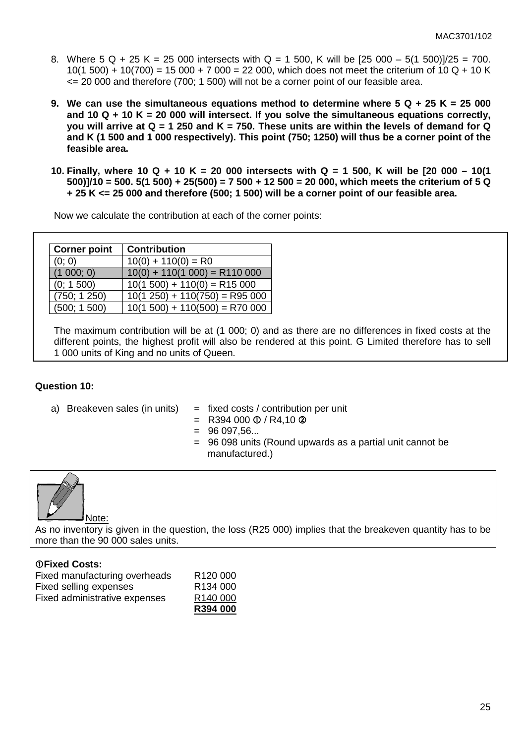- 8. Where  $5 \text{ Q} + 25 \text{ K} = 25000$  intersects with  $\text{Q} = 1500$ . K will be  $[25000 5(1500)]/25 = 700$ . 10(1 500) + 10(700) = 15 000 + 7 000 = 22 000, which does not meet the criterium of 10 Q + 10 K  $\epsilon$  = 20 000 and therefore (700; 1 500) will not be a corner point of our feasible area.
- **9. We can use the simultaneous equations method to determine where 5 Q + 25 K = 25 000 and 10 Q + 10 K = 20 000 will intersect. If you solve the simultaneous equations correctly, you will arrive at Q = 1 250 and K = 750. These units are within the levels of demand for Q and K (1 500 and 1 000 respectively). This point (750; 1250) will thus be a corner point of the feasible area.**
- **10. Finally, where 10 Q + 10 K = 20 000 intersects with Q = 1 500, K will be [20 000 – 10(1 500)]/10 = 500. 5(1 500) + 25(500) = 7 500 + 12 500 = 20 000, which meets the criterium of 5 Q + 25 K <= 25 000 and therefore (500; 1 500) will be a corner point of our feasible area.**

Now we calculate the contribution at each of the corner points:

| <b>Corner point</b> | <b>Contribution</b>              |
|---------------------|----------------------------------|
| (0; 0)              | $10(0) + 110(0) = R0$            |
| (1 000; 0)          | $10(0) + 110(1 000) = R110 000$  |
| (0; 1500)           | $10(1 500) + 110(0) = R15 000$   |
| (750; 1250)         | $10(1 250) + 110(750) = R95 000$ |
| (500; 1500)         | $10(1 500) + 110(500) = R70 000$ |

The maximum contribution will be at (1 000; 0) and as there are no differences in fixed costs at the different points, the highest profit will also be rendered at this point. G Limited therefore has to sell 1 000 units of King and no units of Queen.

#### **Question 10:**

- 
- a) Breakeven sales (in units)  $=$  fixed costs / contribution per unit
	- $=$  R394 000 ① / R4,10 ②
	- $= 96097.56...$
	- = 96 098 units (Round upwards as a partial unit cannot be manufactured.)



As no inventory is given in the question, the loss (R25 000) implies that the breakeven quantity has to be more than the 90 000 sales units.

#### **Fixed Costs:**

|                               | R394 000             |
|-------------------------------|----------------------|
| Fixed administrative expenses | R140 000             |
| Fixed selling expenses        | R <sub>134</sub> 000 |
| Fixed manufacturing overheads | R <sub>120</sub> 000 |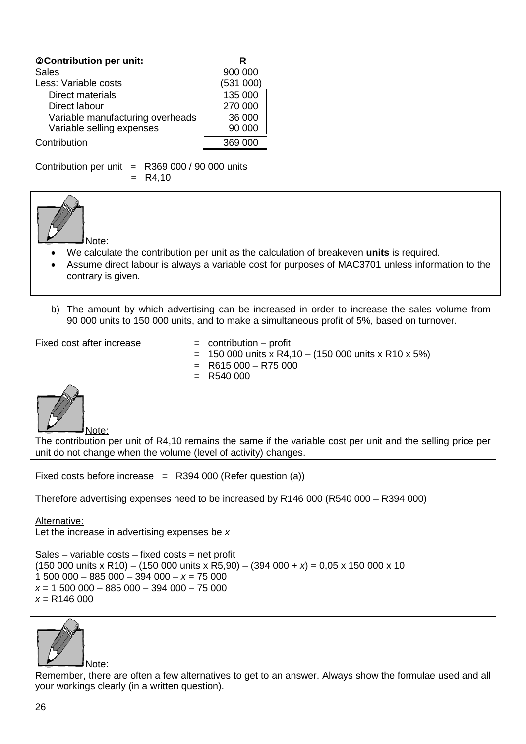| @Contribution per unit:          | R        |
|----------------------------------|----------|
| Sales                            | 900 000  |
| Less: Variable costs             | (531000) |
| Direct materials                 | 135 000  |
| Direct labour                    | 270 000  |
| Variable manufacturing overheads | 36 000   |
| Variable selling expenses        | 90 000   |
| Contribution                     |          |

Contribution per unit  $=$  R369 000 / 90 000 units  $= R4,10$ 



- We calculate the contribution per unit as the calculation of breakeven **units** is required.
- Assume direct labour is always a variable cost for purposes of MAC3701 unless information to the contrary is given.
- b) The amount by which advertising can be increased in order to increase the sales volume from 90 000 units to 150 000 units, and to make a simultaneous profit of 5%, based on turnover.

 $Fixed cost after increase = contribution - profit$ 

- 
- $= 150 000$  units x R4,10 (150 000 units x R10 x 5%)
- $=$  R615 000 R75 000
- $=$  R540 000



The contribution per unit of R4,10 remains the same if the variable cost per unit and the selling price per unit do not change when the volume (level of activity) changes.

Fixed costs before increase  $=$  R394 000 (Refer question (a))

Therefore advertising expenses need to be increased by R146 000 (R540 000 – R394 000)

Alternative: Let the increase in advertising expenses be *x*

 $Sales - variable costs - fixed costs = net profit$ (150 000 units x R10) – (150 000 units x R5,90) – (394 000 + *x*) = 0,05 x 150 000 x 10  $1,500,000 - 885,000 - 394,000 - x = 75,000$ *x* = 1 500 000 – 885 000 – 394 000 – 75 000 *x* = R146 000



Remember, there are often a few alternatives to get to an answer. Always show the formulae used and all your workings clearly (in a written question).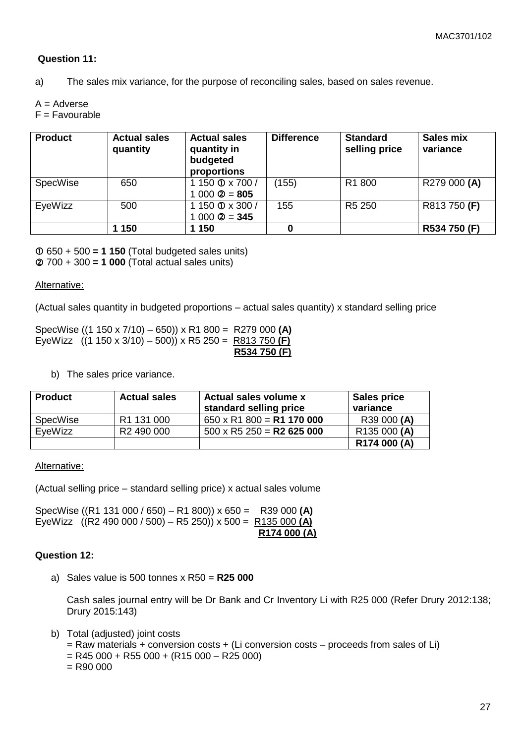#### **Question 11:**

a) The sales mix variance, for the purpose of reconciling sales, based on sales revenue.

 $A =$  Adverse

F = Favourable

| <b>Product</b>  | <b>Actual sales</b><br>quantity | <b>Actual sales</b><br>quantity in<br>budgeted<br>proportions | <b>Difference</b> | <b>Standard</b><br>selling price | Sales mix<br>variance |
|-----------------|---------------------------------|---------------------------------------------------------------|-------------------|----------------------------------|-----------------------|
| <b>SpecWise</b> | 650                             | 1 150 0 x 700 /                                               | (155)             | R <sub>1</sub> 800               | R279 000 (A)          |
|                 |                                 | $1000 \text{ } \textcircled{2} = 805$                         |                   |                                  |                       |
| EyeWizz         | 500                             | 150 ① x 300 /                                                 | 155               | R <sub>5</sub> 250               | R813750 (F)           |
|                 |                                 | $1000 \text{ } \textcircled{2} = 345$                         |                   |                                  |                       |
|                 | 1 150                           | 150                                                           |                   |                                  | R534 750 (F)          |

 650 + 500 **= 1 150** (Total budgeted sales units) 700 + 300 **= 1 000** (Total actual sales units)

#### Alternative:

(Actual sales quantity in budgeted proportions – actual sales quantity) x standard selling price

SpecWise ((1 150 x 7/10) – 650)) x R1 800 = R279 000 **(A)** EyeWizz ((1 150 x 3/10) – 500)) x R5 250 = R813 750 **(F) R534 750 (F)**

b) The sales price variance.

| <b>Product</b>  | <b>Actual sales</b>    | <b>Actual sales volume x</b><br>standard selling price | <b>Sales price</b><br>variance |
|-----------------|------------------------|--------------------------------------------------------|--------------------------------|
| <b>SpecWise</b> | R1 131 000             | $650 \times R1800 = R1170000$                          | R39 000 (A)                    |
| EveWizz         | R <sub>2</sub> 490 000 | $500 \times R5250 = R2625000$                          | R135 000 (A)                   |
|                 |                        |                                                        | R174 000 (A)                   |

Alternative:

(Actual selling price – standard selling price) x actual sales volume

SpecWise ((R1 131 000 / 650) – R1 800)) x 650 = R39 000 **(A)** EyeWizz ((R2 490 000 / 500) – R5 250)) x 500 = R135 000 **(A) R174 000 (A)**

#### **Question 12:**

a) Sales value is 500 tonnes x R50 = **R25 000**

Cash sales journal entry will be Dr Bank and Cr Inventory Li with R25 000 (Refer Drury 2012:138; Drury 2015:143)

- b) Total (adjusted) joint costs
	- $=$  Raw materials + conversion costs + (Li conversion costs proceeds from sales of Li)
	- $=$  R45 000 + R55 000 + (R15 000 R25 000)
	- $=$  R90 000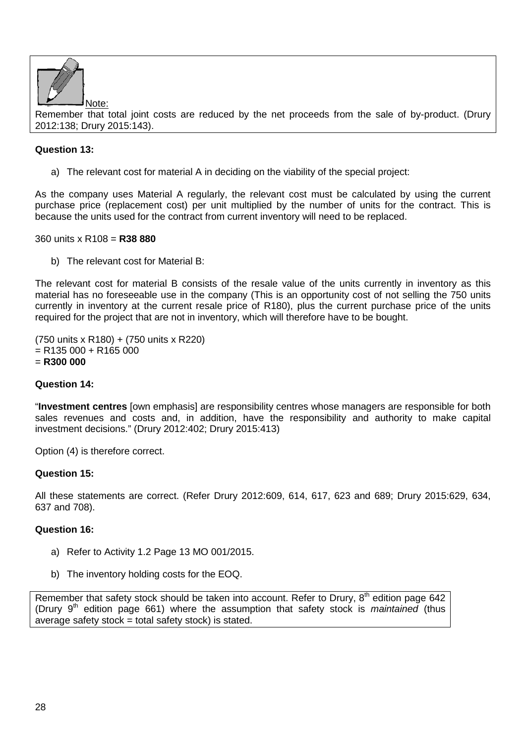

Remember that total joint costs are reduced by the net proceeds from the sale of by-product. (Drury 2012:138; Drury 2015:143).

## **Question 13:**

a) The relevant cost for material A in deciding on the viability of the special project:

As the company uses Material A regularly, the relevant cost must be calculated by using the current purchase price (replacement cost) per unit multiplied by the number of units for the contract. This is because the units used for the contract from current inventory will need to be replaced.

#### 360 units x R108 = **R38 880**

b) The relevant cost for Material B:

The relevant cost for material B consists of the resale value of the units currently in inventory as this material has no foreseeable use in the company (This is an opportunity cost of not selling the 750 units currently in inventory at the current resale price of R180), plus the current purchase price of the units required for the project that are not in inventory, which will therefore have to be bought.

(750 units x R180) + (750 units x R220)  $=$  R135 000 + R165 000 = **R300 000**

#### **Question 14:**

"**Investment centres** [own emphasis] are responsibility centres whose managers are responsible for both sales revenues and costs and, in addition, have the responsibility and authority to make capital investment decisions." (Drury 2012:402; Drury 2015:413)

Option (4) is therefore correct.

#### **Question 15:**

All these statements are correct. (Refer Drury 2012:609, 614, 617, 623 and 689; Drury 2015:629, 634, 637 and 708).

#### **Question 16:**

- a) Refer to Activity 1.2 Page 13 MO 001/2015.
- b) The inventory holding costs for the EOQ.

Remember that safety stock should be taken into account. Refer to Drury,  $8<sup>th</sup>$  edition page 642 (Drury 9<sup>th</sup> edition page 661) where the assumption that safety stock is *maintained* (thus average safety stock = total safety stock) is stated.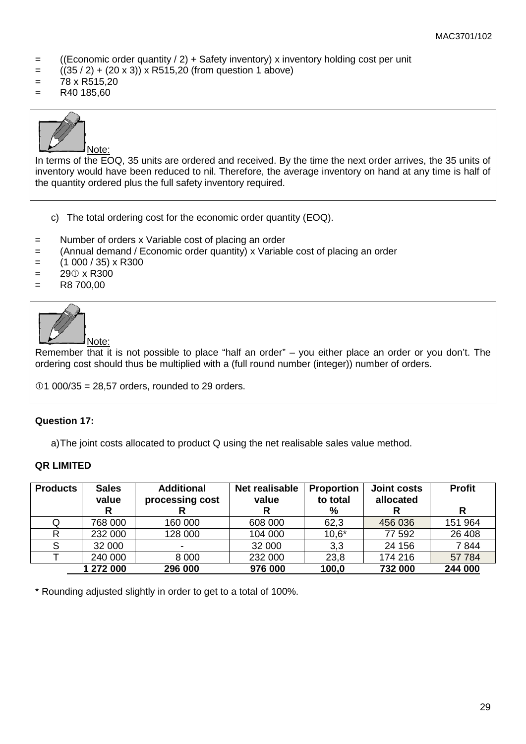- $=$  ((Economic order quantity  $/ 2$ ) + Safety inventory) x inventory holding cost per unit
- $=$  ((35 / 2) + (20 x 3)) x R515,20 (from question 1 above)
- $= 78 \times R515.20$
- $=$  R40 185,60



In terms of the EOQ, 35 units are ordered and received. By the time the next order arrives, the 35 units of inventory would have been reduced to nil. Therefore, the average inventory on hand at any time is half of the quantity ordered plus the full safety inventory required.

- c) The total ordering cost for the economic order quantity (EOQ).
- = Number of orders x Variable cost of placing an order
- = (Annual demand / Economic order quantity) x Variable cost of placing an order
- $=$  (1 000 / 35) x R300
- $= 290 \times R300$
- $=$  R8 700,00



Note:

Remember that it is not possible to place "half an order" – you either place an order or you don't. The ordering cost should thus be multiplied with a (full round number (integer)) number of orders.

 $01 000/35 = 28.57$  orders, rounded to 29 orders.

#### **Question 17:**

a)The joint costs allocated to product Q using the net realisable sales value method.

#### **QR LIMITED**

| <b>Products</b> | <b>Sales</b><br>value | <b>Additional</b><br>processing cost | <b>Net realisable</b><br>value | <b>Proportion</b><br>to total | <b>Joint costs</b><br>allocated | <b>Profit</b> |
|-----------------|-----------------------|--------------------------------------|--------------------------------|-------------------------------|---------------------------------|---------------|
|                 | R                     |                                      |                                | %                             |                                 | R             |
| Q               | 768 000               | 160 000                              | 608 000                        | 62,3                          | 456 036                         | 151 964       |
| R               | 232 000               | 128 000                              | 104 000                        | $10,6*$                       | 77 592                          | 26 408        |
| ິ               | 32 000                | $\overline{\phantom{a}}$             | 32 000                         | 3,3                           | 24 15 6                         | 7844          |
|                 | 240 000               | 8 0 0 0                              | 232 000                        | 23,8                          | 174 216                         | 57 784        |
|                 | 1 272 000             | 296 000                              | 976 000                        | 100,0                         | 732 000                         | 244 000       |

\* Rounding adjusted slightly in order to get to a total of 100%.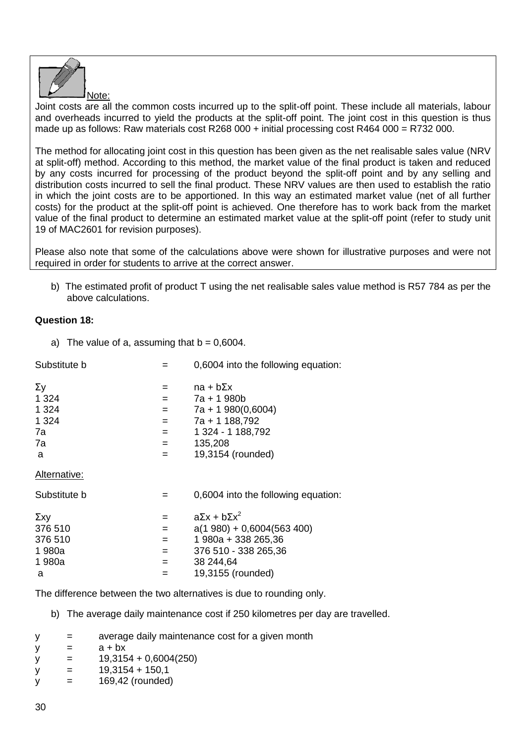

Joint costs are all the common costs incurred up to the split-off point. These include all materials, labour and overheads incurred to yield the products at the split-off point. The joint cost in this question is thus made up as follows: Raw materials cost R268 000  $+$  initial processing cost R464 000 = R732 000.

The method for allocating joint cost in this question has been given as the net realisable sales value (NRV at split-off) method. According to this method, the market value of the final product is taken and reduced by any costs incurred for processing of the product beyond the split-off point and by any selling and distribution costs incurred to sell the final product. These NRV values are then used to establish the ratio in which the joint costs are to be apportioned. In this way an estimated market value (net of all further costs) for the product at the split-off point is achieved. One therefore has to work back from the market value of the final product to determine an estimated market value at the split-off point (refer to study unit 19 of MAC2601 for revision purposes).

Please also note that some of the calculations above were shown for illustrative purposes and were not required in order for students to arrive at the correct answer.

b) The estimated profit of product T using the net realisable sales value method is R57 784 as per the above calculations.

## **Question 18:**

a) The value of a, assuming that  $b = 0,6004$ .

| Substitute b |     | 0,6004 into the following equation: |
|--------------|-----|-------------------------------------|
| Σу           | $=$ | $na + b\Sigma x$                    |
| 1 324        | $=$ | 7a + 1 980b                         |
| 1 324        | $=$ | $7a + 1980(0,6004)$                 |
| 1 324        | $=$ | 7a + 1 188,792                      |
| 7a           | $=$ | 1 324 - 1 188,792                   |
| 7a           | $=$ | 135,208                             |
| a            | $=$ | 19,3154 (rounded)                   |
| Alternative: |     |                                     |
| Substitute b | =   | 0,6004 into the following equation: |
| Σxy          | $=$ | $a\Sigma x + b\Sigma x^2$           |
| 376 510      | $=$ | $a(1 980) + 0,6004(563 400)$        |
| 376 510      | $=$ | 1 980a + 338 265,36                 |
| 1980a        | $=$ | 376 510 - 338 265,36                |
| 1 980a       | $=$ | 38 244,64                           |
| a            | $=$ | 19,3155 (rounded)                   |
|              |     |                                     |

The difference between the two alternatives is due to rounding only.

- b) The average daily maintenance cost if 250 kilometres per day are travelled.
- $y =$  average daily maintenance cost for a given month
- $y = a + bx$
- $y = 19,3154 + 0,6004(250)$
- $y = 19,3154 + 150,1$
- $y = 169,42$  (rounded)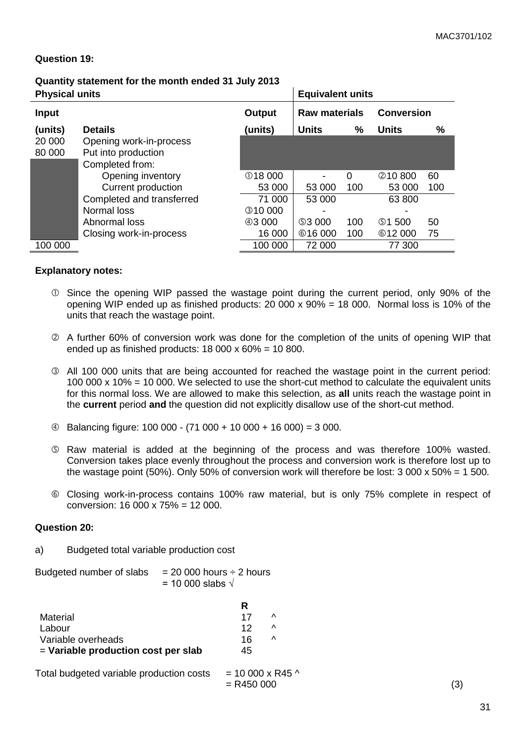#### **Question 19:**

# **Quantity statement for the month ended 31 July 2013**

| <b>Physical units</b> |                           |                | <b>Equivalent units</b> |          |                   |     |
|-----------------------|---------------------------|----------------|-------------------------|----------|-------------------|-----|
| <b>Input</b>          |                           | Output         | <b>Raw materials</b>    |          | <b>Conversion</b> |     |
| (units)               | <b>Details</b>            | (units)        | <b>Units</b>            | %        | <b>Units</b>      | %   |
| 20 000                | Opening work-in-process   |                |                         |          |                   |     |
| 80 000                | Put into production       |                |                         |          |                   |     |
|                       | Completed from:           |                |                         |          |                   |     |
|                       | Opening inventory         | <b>18 000</b>  | -                       | $\Omega$ | 210800            | 60  |
|                       | Current production        | 53 000         | 53 000                  | 100      | 53 000            | 100 |
|                       | Completed and transferred | 71 000         | 53 000                  |          | 63 800            |     |
|                       | Normal loss               | <b>310 000</b> |                         |          |                   |     |
|                       | Abnormal loss             | @3000          | <b>53 000</b>           | 100      | <b>\$1500</b>     | 50  |
|                       | Closing work-in-process   | 16 000         | <b>616000</b>           | 100      | <b>612000</b>     | 75  |
| 100 000               |                           | 100 000        | 72 000                  |          | 77 300            |     |

#### **Explanatory notes:**

- Since the opening WIP passed the wastage point during the current period, only 90% of the opening WIP ended up as finished products: 20 000 x 90% = 18 000. Normal loss is 10% of the units that reach the wastage point.
- A further 60% of conversion work was done for the completion of the units of opening WIP that ended up as finished products:  $18000 \times 60\% = 10800$ .
- All 100 000 units that are being accounted for reached the wastage point in the current period: 100 000 x 10% = 10 000. We selected to use the short-cut method to calculate the equivalent units for this normal loss. We are allowed to make this selection, as **all** units reach the wastage point in the **current** period **and** the question did not explicitly disallow use of the short-cut method.
- $\textcircled{4}$  Balancing figure: 100 000 (71 000 + 10 000 + 16 000) = 3 000.
- Raw material is added at the beginning of the process and was therefore 100% wasted. Conversion takes place evenly throughout the process and conversion work is therefore lost up to the wastage point (50%). Only 50% of conversion work will therefore be lost: 3 000 x 50% = 1 500.
- Closing work-in-process contains 100% raw material, but is only 75% complete in respect of conversion: 16 000 x 75% = 12 000.

#### **Question 20:**

a) Budgeted total variable production cost

| Budgeted number of slabs | $= 20000$ hours $\div$ 2 hours |
|--------------------------|--------------------------------|
|                          | = 10 000 slabs $\sqrt{ }$      |

|                                       | R  |           |
|---------------------------------------|----|-----------|
| Material                              | 17 | ∧         |
| Labour                                | 12 | ∧         |
| Variable overheads                    | 16 | $\lambda$ |
| $=$ Variable production cost per slab | 45 |           |

| Total budgeted variable production costs |  |
|------------------------------------------|--|
|------------------------------------------|--|

 $=$  R450 000 (3)

 $= 10000 \times R45$  ^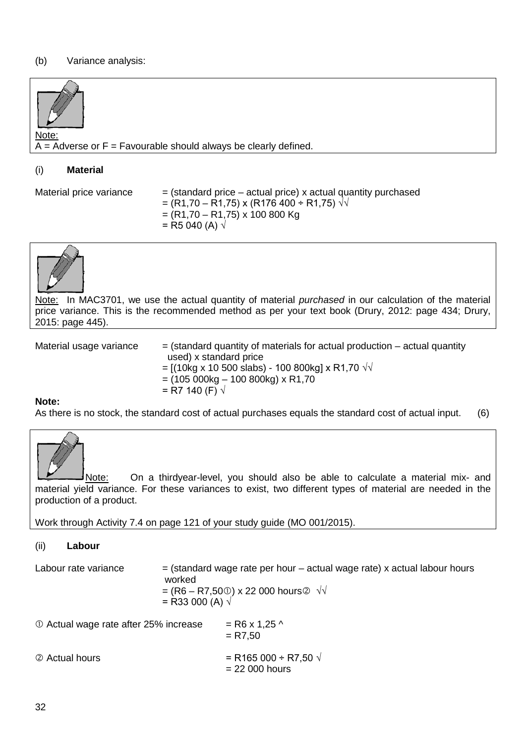## (b) Variance analysis:



## (i) **Material**

Material price variance  $=$  (standard price – actual price) x actual quantity purchased  $=$  (R1,70 – R1,75) x (R176 400 ÷ R1,75)  $\sqrt{v}$  $=(R1,70 - R1,75) \times 100\,800\,kg$  $=$  R5 040 (A)  $\sqrt{ }$ 



Note: In MAC3701, we use the actual quantity of material *purchased* in our calculation of the material price variance. This is the recommended method as per your text book (Drury, 2012: page 434; Drury, 2015: page 445).

Material usage variance  $=$  (standard quantity of materials for actual production – actual quantity used) x standard price  $=$  [(10kg x 10 500 slabs) - 100 800kg] x R1,70 √√  $=$  (105 000kg  $-$  100 800kg) x R1,70

$$
=
$$
 R7 140 (F) √

#### **Note:**

As there is no stock, the standard cost of actual purchases equals the standard cost of actual input. (6)



Note: On a thirdyear-level, you should also be able to calculate a material mix- and material yield variance. For these variances to exist, two different types of material are needed in the production of a product.

Work through Activity 7.4 on page 121 of your study guide (MO 001/2015).

(ii) **Labour**

| Labour rate variance                   | worked<br>= R33 000 (A) $\sqrt{}$ | $=$ (standard wage rate per hour $-$ actual wage rate) x actual labour hours<br>= $(R6 - R7,500)$ x 22 000 hours $\otimes \sqrt{10}$ |
|----------------------------------------|-----------------------------------|--------------------------------------------------------------------------------------------------------------------------------------|
| 10 Actual wage rate after 25% increase |                                   | $=$ R6 x 1,25 ^<br>$= R7.50$                                                                                                         |
| 2 Actual hours                         |                                   | = R165 000 ÷ R7,50 $\sqrt{ }$<br>$= 22000$ hours                                                                                     |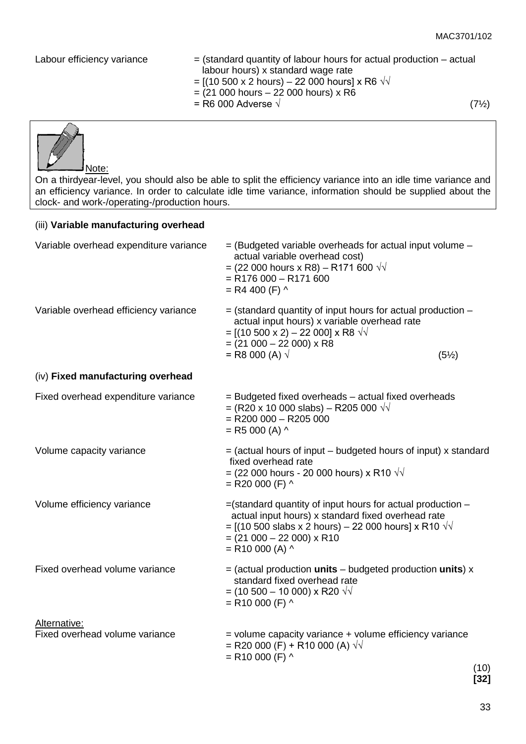- Labour efficiency variance  $=$  (standard quantity of labour hours for actual production actual labour hours) x standard wage rate
	- $=$  [(10 500 x 2 hours) 22 000 hours] x R6 √√
	- $=$  (21 000 hours 22 000 hours) x R6
	- $=$  R6 000 Adverse  $\sqrt{7/2}$



On a thirdyear-level, you should also be able to split the efficiency variance into an idle time variance and an efficiency variance. In order to calculate idle time variance, information should be supplied about the clock- and work-/operating-/production hours.

| (iii) Variable manufacturing overhead          |                                                                                                                                                                                                                                                      |
|------------------------------------------------|------------------------------------------------------------------------------------------------------------------------------------------------------------------------------------------------------------------------------------------------------|
| Variable overhead expenditure variance         | $=$ (Budgeted variable overheads for actual input volume $-$<br>actual variable overhead cost)<br>= (22 000 hours x R8) – R171 600 √√<br>$=$ R176 000 - R171 600<br>$=$ R4 400 (F) $\land$                                                           |
| Variable overhead efficiency variance          | $=$ (standard quantity of input hours for actual production $-$<br>actual input hours) x variable overhead rate<br>$=$ [(10 500 x 2) – 22 000] x R8 $\sqrt{v}$<br>$= (21 000 - 22 000) \times R8$<br>= R8 000 (A) $\sqrt{}$<br>$(5\%)$               |
| (iv) Fixed manufacturing overhead              |                                                                                                                                                                                                                                                      |
| Fixed overhead expenditure variance            | = Budgeted fixed overheads - actual fixed overheads<br>= (R20 x 10 000 slabs) – R205 000 $\sqrt{v}$<br>$=$ R200 000 $-$ R205 000<br>$=$ R5 000 (A) $\land$                                                                                           |
| Volume capacity variance                       | $=$ (actual hours of input – budgeted hours of input) x standard<br>fixed overhead rate<br>= (22 000 hours - 20 000 hours) x R10 $\sqrt{v}$<br>$=$ R20 000 (F) $\wedge$                                                                              |
| Volume efficiency variance                     | $=$ (standard quantity of input hours for actual production $-$<br>actual input hours) x standard fixed overhead rate<br>= [(10 500 slabs x 2 hours) – 22 000 hours] x R10 $\sqrt{v}$<br>$= (21 000 - 22 000) \times R10$<br>$=$ R10 000 (A) $\land$ |
| Fixed overhead volume variance                 | $=$ (actual production units – budgeted production units) $x$<br>standard fixed overhead rate<br>$=$ (10 500 – 10 000) x R20 $\sqrt{v}$<br>$=$ R10 000 (F) $\land$                                                                                   |
| Alternative:<br>Fixed overhead volume variance | $=$ volume capacity variance $+$ volume efficiency variance<br>= R20 000 (F) + R10 000 (A) $\sqrt{v}$<br>$=$ R10 000 (F) $\land$<br>(10)<br>[32]                                                                                                     |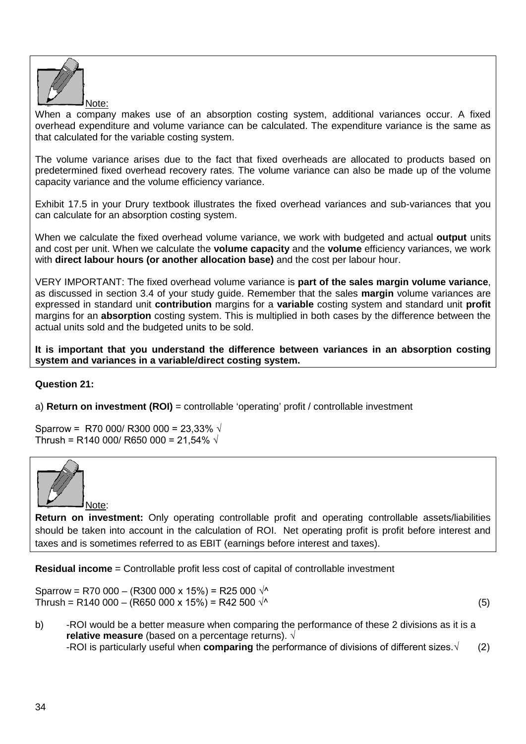

When a company makes use of an absorption costing system, additional variances occur. A fixed overhead expenditure and volume variance can be calculated. The expenditure variance is the same as that calculated for the variable costing system.

The volume variance arises due to the fact that fixed overheads are allocated to products based on predetermined fixed overhead recovery rates. The volume variance can also be made up of the volume capacity variance and the volume efficiency variance.

Exhibit 17.5 in your Drury textbook illustrates the fixed overhead variances and sub-variances that you can calculate for an absorption costing system.

When we calculate the fixed overhead volume variance, we work with budgeted and actual **output** units and cost per unit. When we calculate the **volume capacity** and the **volume** efficiency variances, we work with **direct labour hours (or another allocation base)** and the cost per labour hour.

VERY IMPORTANT: The fixed overhead volume variance is **part of the sales margin volume variance**, as discussed in section 3.4 of your study guide. Remember that the sales **margin** volume variances are expressed in standard unit **contribution** margins for a **variable** costing system and standard unit **profit**  margins for an **absorption** costing system. This is multiplied in both cases by the difference between the actual units sold and the budgeted units to be sold.

**It is important that you understand the difference between variances in an absorption costing system and variances in a variable/direct costing system.** 

## **Question 21:**

a) **Return on investment (ROI)** = controllable 'operating' profit / controllable investment

Sparrow = R70 000/ R300 000 = 23,33%  $\sqrt{ }$ Thrush = R140 000/ R650 000 = 21,54%  $\sqrt{ }$ 



**Return on investment:** Only operating controllable profit and operating controllable assets/liabilities should be taken into account in the calculation of ROI. Net operating profit is profit before interest and taxes and is sometimes referred to as EBIT (earnings before interest and taxes).

**Residual income** = Controllable profit less cost of capital of controllable investment

Sparrow = R70 000 – (R300 000 x 15%) = R25 000  $\sqrt{4}$ Thrush = R140 000 – (R650 000 x 15%) = R42 500  $\sqrt{ }$  (5)

b) -ROI would be a better measure when comparing the performance of these 2 divisions as it is a **relative measure** (based on a percentage returns). *√* -ROI is particularly useful when **comparing** the performance of divisions of different sizes.√ (2)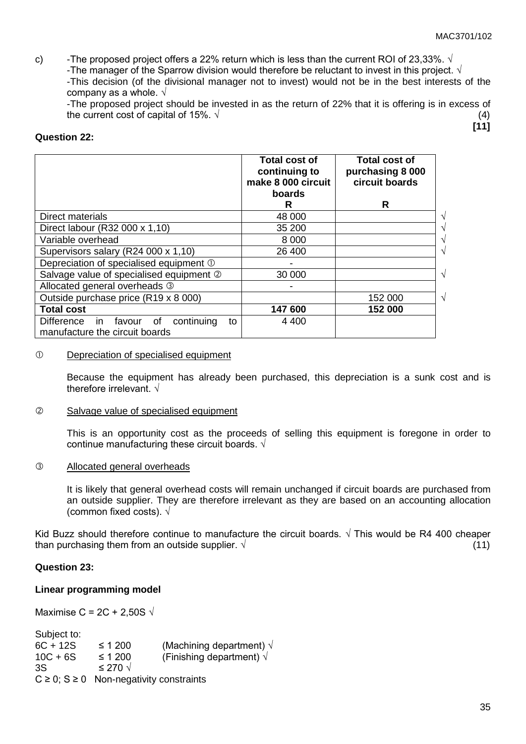c) -The proposed project offers a 22% return which is less than the current ROI of 23,33%.  $\sqrt{ }$ 

-The manager of the Sparrow division would therefore be reluctant to invest in this project.  $\sqrt{ }$ 

-This decision (of the divisional manager not to invest) would not be in the best interests of the company as a whole.  $\sqrt{ }$ 

-The proposed project should be invested in as the return of 22% that it is offering is in excess of the current cost of capital of 15%.  $\sqrt{ }$  (4) **[11]**

#### **Question 22:**

|                                                                               | <b>Total cost of</b><br>continuing to<br>make 8 000 circuit<br><b>boards</b> | Total cost of<br>purchasing 8 000<br>circuit boards |
|-------------------------------------------------------------------------------|------------------------------------------------------------------------------|-----------------------------------------------------|
|                                                                               | R                                                                            | R                                                   |
| Direct materials                                                              | 48 000                                                                       |                                                     |
| Direct labour (R32 000 x 1,10)                                                | 35 200                                                                       |                                                     |
| Variable overhead                                                             | 8 0 0 0                                                                      |                                                     |
| Supervisors salary (R24 000 x 1,10)                                           | 26 400                                                                       |                                                     |
| Depreciation of specialised equipment ①                                       |                                                                              |                                                     |
| Salvage value of specialised equipment 2                                      | 30 000                                                                       |                                                     |
| Allocated general overheads 3                                                 |                                                                              |                                                     |
| Outside purchase price (R19 x 8 000)                                          |                                                                              | $\sqrt{ }$<br>152 000                               |
| <b>Total cost</b>                                                             | 147 600                                                                      | 152 000                                             |
| Difference in favour of<br>continuing<br>to<br>manufacture the circuit boards | 4 4 0 0                                                                      |                                                     |

#### Depreciation of specialised equipment

Because the equipment has already been purchased, this depreciation is a sunk cost and is therefore irrelevant. √

#### Salvage value of specialised equipment

This is an opportunity cost as the proceeds of selling this equipment is foregone in order to continue manufacturing these circuit boards. √

### Allocated general overheads

It is likely that general overhead costs will remain unchanged if circuit boards are purchased from an outside supplier. They are therefore irrelevant as they are based on an accounting allocation (common fixed costs).  $\sqrt{ }$ 

Kid Buzz should therefore continue to manufacture the circuit boards.  $\sqrt{ }$  This would be R4 400 cheaper than purchasing them from an outside supplier.  $\sqrt{ }$  (11)

#### **Question 23:**

#### **Linear programming model**

Maximise C = 2C + 2,50S  $\sqrt{ }$ 

Subject to:<br>6C + 12S  $6C + 12S$   $\leq 1200$  (Machining department)  $\sqrt{10C + 6S}$   $\leq 1200$  (Finishing department)  $\sqrt{10C + 6S}$ (Finishing department)  $\sqrt{}$ 3S ≤ 270  $\sqrt{ }$  $C \geq 0$ ; S  $\geq 0$  Non-negativity constraints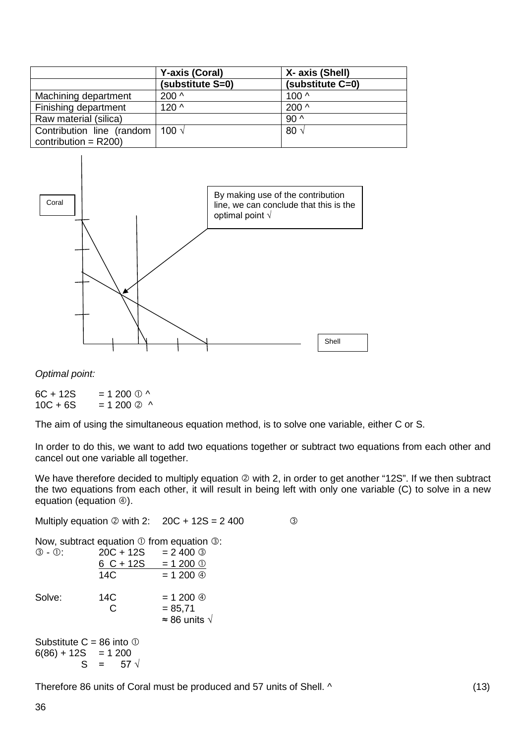|                                                      | <b>Y-axis (Coral)</b> | X- axis (Shell)  |
|------------------------------------------------------|-----------------------|------------------|
|                                                      | (substitute S=0)      | (substitute C=0) |
| Machining department                                 | $200^{\circ}$         | 100 <sub>0</sub> |
| Finishing department                                 | $120^$                | 200 <sub>0</sub> |
| Raw material (silica)                                |                       | $90^{\circ}$     |
| Contribution line (random<br>contribution = $R200$ ) | 100 √                 | 80v              |



*Optimal point:*

 $6C + 12S = 1200 \text{ O}^{\wedge}$ <br>10C + 6S = 1 200 2 ^  $= 1200 \text{ } \textcircled{2}$  ^

The aim of using the simultaneous equation method, is to solve one variable, either C or S.

In order to do this, we want to add two equations together or subtract two equations from each other and cancel out one variable all together.

We have therefore decided to multiply equation  $\oslash$  with 2, in order to get another "12S". If we then subtract the two equations from each other, it will result in being left with only one variable (C) to solve in a new equation (equation  $\circledA$ ).

|                                                                               |                                                                 | ③                                                                                                                                                                                                                                |
|-------------------------------------------------------------------------------|-----------------------------------------------------------------|----------------------------------------------------------------------------------------------------------------------------------------------------------------------------------------------------------------------------------|
|                                                                               |                                                                 |                                                                                                                                                                                                                                  |
|                                                                               |                                                                 |                                                                                                                                                                                                                                  |
|                                                                               |                                                                 |                                                                                                                                                                                                                                  |
| 14C                                                                           |                                                                 |                                                                                                                                                                                                                                  |
| 14C<br>C                                                                      | $= 1200 \text{ }$<br>$= 85,71$<br>$\approx$ 86 units $\sqrt{ }$ |                                                                                                                                                                                                                                  |
| Substitute $C = 86$ into $\odot$<br>$6(86) + 12S = 1200$<br>$S = 57 \sqrt{ }$ |                                                                 |                                                                                                                                                                                                                                  |
|                                                                               |                                                                 | Multiply equation $\oslash$ with 2: $20C + 12S = 2400$<br>Now, subtract equation $\mathbb O$ from equation $\mathbb O$ :<br>$\circled{3}$ - $\circled{1}$ : 20C + 12S = 2400 $\circled{3}$<br>$6 C + 12S = 1200$ ①<br>$= 1200$ ④ |

Therefore 86 units of Coral must be produced and 57 units of Shell. ^ (13)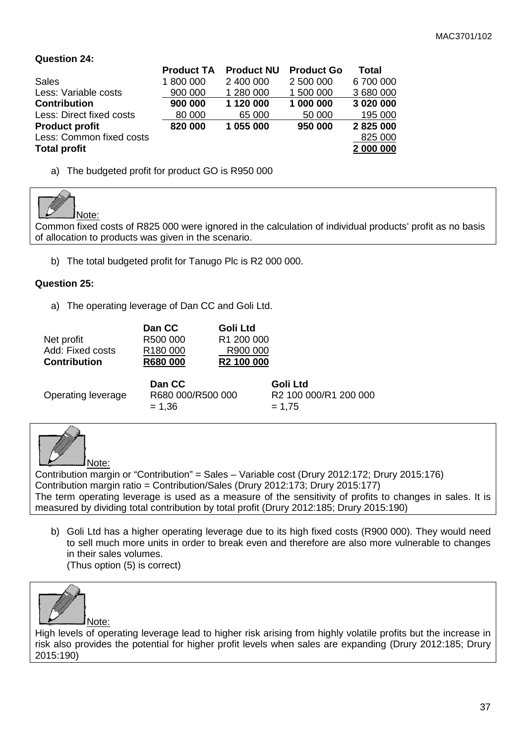## **Question 24:**

|                          | <b>Product TA</b> | <b>Product NU</b> | <b>Product Go</b> | Total     |
|--------------------------|-------------------|-------------------|-------------------|-----------|
| <b>Sales</b>             | 1 800 000         | 2 400 000         | 2 500 000         | 6 700 000 |
| Less: Variable costs     | 900 000           | 1 280 000         | 1 500 000         | 3 680 000 |
| <b>Contribution</b>      | 900 000           | 1 120 000         | 1 000 000         | 3 020 000 |
| Less: Direct fixed costs | 80 000            | 65 000            | 50 000            | 195 000   |
| <b>Product profit</b>    | 820 000           | 1 055 000         | 950 000           | 2 825 000 |
| Less: Common fixed costs |                   |                   |                   | 825 000   |
| <b>Total profit</b>      |                   |                   |                   | 2 000 000 |
|                          |                   |                   |                   |           |

a) The budgeted profit for product GO is R950 000



Common fixed costs of R825 000 were ignored in the calculation of individual products' profit as no basis of allocation to products was given in the scenario.

b) The total budgeted profit for Tanugo Plc is R2 000 000.

## **Question 25:**

a) The operating leverage of Dan CC and Goli Ltd.

|                     | Dan CC               | Goli Ltd               |
|---------------------|----------------------|------------------------|
| Net profit          | R500 000             | R <sub>1</sub> 200 000 |
| Add: Fixed costs    | R <sub>180</sub> 000 | R900 000               |
| <b>Contribution</b> | <b>R680 000</b>      | R <sub>2</sub> 100 000 |

| Operating leverage | Dan CC<br>R680 000/R500 000<br>$= 1.36$ | Goli Ltd<br>R2 100 000/R1 200 000<br>$= 1.75$ |
|--------------------|-----------------------------------------|-----------------------------------------------|
|                    |                                         |                                               |



Contribution margin or "Contribution" = Sales – Variable cost (Drury 2012:172; Drury 2015:176) Contribution margin ratio = Contribution/Sales (Drury 2012:173; Drury 2015:177) The term operating leverage is used as a measure of the sensitivity of profits to changes in sales. It is measured by dividing total contribution by total profit (Drury 2012:185; Drury 2015:190)

b) Goli Ltd has a higher operating leverage due to its high fixed costs (R900 000). They would need to sell much more units in order to break even and therefore are also more vulnerable to changes in their sales volumes.

(Thus option (5) is correct)



High levels of operating leverage lead to higher risk arising from highly volatile profits but the increase in risk also provides the potential for higher profit levels when sales are expanding (Drury 2012:185; Drury 2015:190)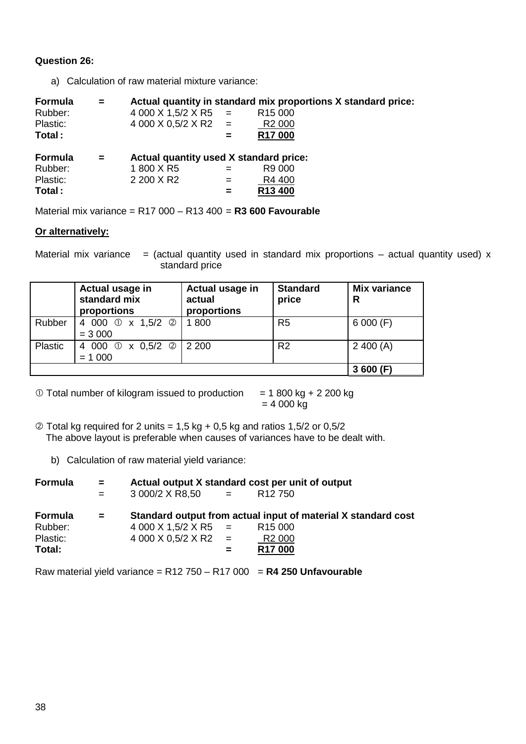## **Question 26:**

a) Calculation of raw material mixture variance:

| Formula<br>Rubber:<br>Plastic:<br>Total : | $=$ | 4 000 X 1,5/2 X R5<br>$4000 \times 0,5/2 \times R2 =$             | $=$<br>= | Actual quantity in standard mix proportions X standard price:<br>R <sub>15</sub> 000<br>R <sub>2</sub> 000<br>R <sub>17</sub> 000 |
|-------------------------------------------|-----|-------------------------------------------------------------------|----------|-----------------------------------------------------------------------------------------------------------------------------------|
| Formula<br>Rubber:<br>Plastic:<br>Total:  | $=$ | Actual quantity used X standard price:<br>1800 X R5<br>2 200 X R2 | $=$      | R9 000<br>R4 400<br>R13 400                                                                                                       |

Material mix variance = R17 000 – R13 400 = **R3 600 Favourable**

## **Or alternatively:**

Material mix variance  $=$  (actual quantity used in standard mix proportions – actual quantity used) x standard price

|         | Actual usage in<br>standard mix<br>proportions | Actual usage in<br>actual<br>proportions | <b>Standard</b><br>price | <b>Mix variance</b><br>R |
|---------|------------------------------------------------|------------------------------------------|--------------------------|--------------------------|
| Rubber  | 4 000 ① x 1,5/2 ②<br>$= 3000$                  | 1800                                     | R <sub>5</sub>           | 6000(F)                  |
| Plastic | 4 000 ① x 0,5/2 ② 2 200<br>$= 1000$            |                                          | R <sub>2</sub>           | 2400(A)                  |
|         |                                                |                                          |                          | 3600(F)                  |

 $\textcircled{1}$  Total number of kilogram issued to production = 1 800 kg + 2 200 kg

 $= 4000 kg$ 

 $\oslash$  Total kg required for 2 units = 1,5 kg + 0,5 kg and ratios 1,5/2 or 0,5/2 The above layout is preferable when causes of variances have to be dealt with.

b) Calculation of raw material yield variance:

| Formula        | <b>SECTION</b> | Actual output X standard cost per unit of output |   |                                                               |  |
|----------------|----------------|--------------------------------------------------|---|---------------------------------------------------------------|--|
|                | $=$ $-$        | $3000/2 \times R8,50 =$                          |   | R <sub>12</sub> 750                                           |  |
| <b>Formula</b> | $\mathbf{r}$   |                                                  |   | Standard output from actual input of material X standard cost |  |
| Rubber:        |                | $4000 \times 1.5/2 \times R5 =$                  |   | R <sub>15</sub> 000                                           |  |
| Plastic:       |                | $4000 \times 0.5/2 \times R2 =$                  |   | R <sub>2</sub> 000                                            |  |
| Total:         |                |                                                  | = | R <sub>17</sub> 000                                           |  |

Raw material yield variance = R12 750 – R17 000 = **R4 250 Unfavourable**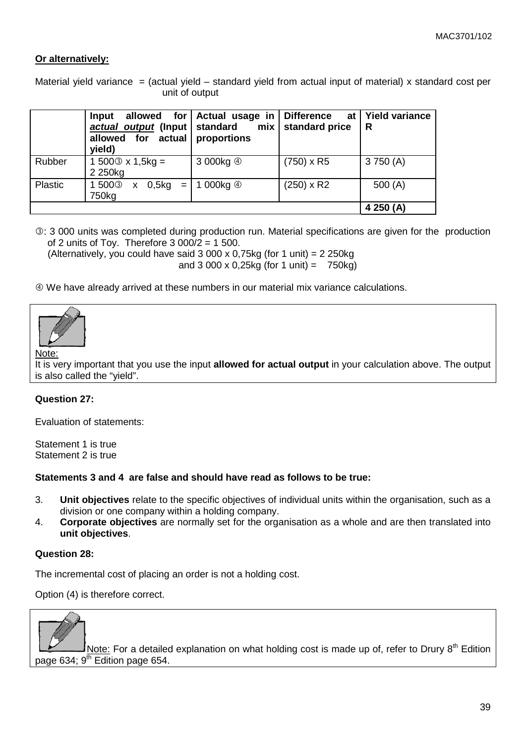## **Or alternatively:**

Material yield variance = (actual yield  $-$  standard yield from actual input of material) x standard cost per unit of output

|         | allowed for<br>Input<br>actual output (Input<br>allowed for actual<br>yield) | Actual usage in<br>standard<br>mix<br>proportions | <b>Difference</b><br>at<br>standard price | <b>Yield variance</b><br>R |
|---------|------------------------------------------------------------------------------|---------------------------------------------------|-------------------------------------------|----------------------------|
| Rubber  | 1 500 $\circ$ x 1,5kg =<br>2 250kg                                           | 3 000kg 4                                         | $(750) \times R5$                         | 3750(A)                    |
| Plastic | 1500 <sup>3</sup><br>0,5kg<br>$=$<br>X<br>750kg                              | 1 000kg 4                                         | $(250) \times R2$                         | 500 $(A)$                  |
|         |                                                                              |                                                   |                                           | 4 250 (A)                  |

: 3 000 units was completed during production run. Material specifications are given for the production of 2 units of Toy. Therefore  $3000/2 = 1500$ .

(Alternatively, you could have said  $3000 \times 0.75$ kg (for 1 unit) = 2 250kg and 3 000 x 0,25kg (for 1 unit) =  $750kg$ )

We have already arrived at these numbers in our material mix variance calculations.



Note:

It is very important that you use the input **allowed for actual output** in your calculation above. The output is also called the "yield".

#### **Question 27:**

Evaluation of statements:

Statement 1 is true Statement 2 is true

#### **Statements 3 and 4 are false and should have read as follows to be true:**

- 3. **Unit objectives** relate to the specific objectives of individual units within the organisation, such as a division or one company within a holding company.
- 4. **Corporate objectives** are normally set for the organisation as a whole and are then translated into **unit objectives**.

#### **Question 28:**

The incremental cost of placing an order is not a holding cost.

Option (4) is therefore correct.



Note: For a detailed explanation on what holding cost is made up of, refer to Drury  $8<sup>th</sup>$  Edition page 634;  $9<sup>th</sup>$  Edition page 654.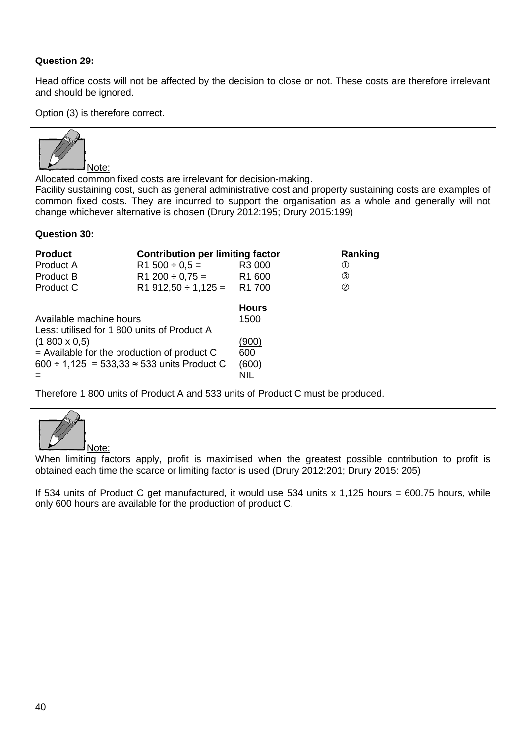## **Question 29:**

Head office costs will not be affected by the decision to close or not. These costs are therefore irrelevant and should be ignored.

Option (3) is therefore correct.



Allocated common fixed costs are irrelevant for decision-making.

Facility sustaining cost, such as general administrative cost and property sustaining costs are examples of common fixed costs. They are incurred to support the organisation as a whole and generally will not change whichever alternative is chosen (Drury 2012:195; Drury 2015:199)

#### **Question 30:**

| <b>Product</b>                                     | <b>Contribution per limiting factor</b> |                    | Ranking       |
|----------------------------------------------------|-----------------------------------------|--------------------|---------------|
| Product A                                          | $R1 500 \div 0.5 =$                     | R3 000             | (1)           |
| <b>Product B</b>                                   | $R1 200 \div 0.75 =$                    | R <sub>1</sub> 600 | ③             |
| Product C                                          | $R1912,50 \div 1,125 = R1700$           |                    | $\circled{2}$ |
|                                                    |                                         | <b>Hours</b>       |               |
| Available machine hours                            |                                         | 1500               |               |
| Less: utilised for 1 800 units of Product A        |                                         |                    |               |
| $(1800 \times 0.5)$                                |                                         | (900)              |               |
| $=$ Available for the production of product C      |                                         | 600                |               |
| 600 ÷ 1,125 = 533,33 $\approx$ 533 units Product C |                                         | (600)              |               |
|                                                    |                                         | NIL                |               |

Therefore 1 800 units of Product A and 533 units of Product C must be produced.



When limiting factors apply, profit is maximised when the greatest possible contribution to profit is obtained each time the scarce or limiting factor is used (Drury 2012:201; Drury 2015: 205)

If 534 units of Product C get manufactured, it would use 534 units x 1,125 hours = 600.75 hours, while only 600 hours are available for the production of product C.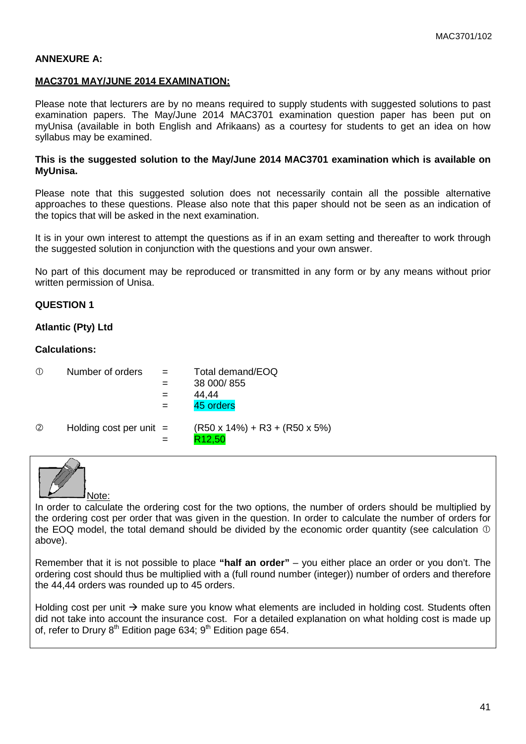#### **ANNEXURE A:**

#### **MAC3701 MAY/JUNE 2014 EXAMINATION:**

Please note that lecturers are by no means required to supply students with suggested solutions to past examination papers. The May/June 2014 MAC3701 examination question paper has been put on myUnisa (available in both English and Afrikaans) as a courtesy for students to get an idea on how syllabus may be examined.

#### **This is the suggested solution to the May/June 2014 MAC3701 examination which is available on MyUnisa.**

Please note that this suggested solution does not necessarily contain all the possible alternative approaches to these questions. Please also note that this paper should not be seen as an indication of the topics that will be asked in the next examination.

It is in your own interest to attempt the questions as if in an exam setting and thereafter to work through the suggested solution in conjunction with the questions and your own answer.

No part of this document may be reproduced or transmitted in any form or by any means without prior written permission of Unisa.

#### **QUESTION 1**

#### **Atlantic (Pty) Ltd**

#### **Calculations:**

| Number of orders | Total demand/EOQ |
|------------------|------------------|
|                  | 20.000105        |

- $=$  38 000/855
- $=$  44.44
- $=$  45 orders
- $\oslash$  Holding cost per unit =  $(R50 \times 14\%) + R3 + (R50 \times 5\%)$ 
	- $=$  R12.50



In order to calculate the ordering cost for the two options, the number of orders should be multiplied by the ordering cost per order that was given in the question. In order to calculate the number of orders for the EOQ model, the total demand should be divided by the economic order quantity (see calculation  $\mathbb O$ above).

Remember that it is not possible to place **"half an order"** – you either place an order or you don't. The ordering cost should thus be multiplied with a (full round number (integer)) number of orders and therefore the 44,44 orders was rounded up to 45 orders.

Holding cost per unit  $\rightarrow$  make sure you know what elements are included in holding cost. Students often did not take into account the insurance cost. For a detailed explanation on what holding cost is made up of, refer to Drury  $8<sup>th</sup>$  Edition page 634;  $9<sup>th</sup>$  Edition page 654.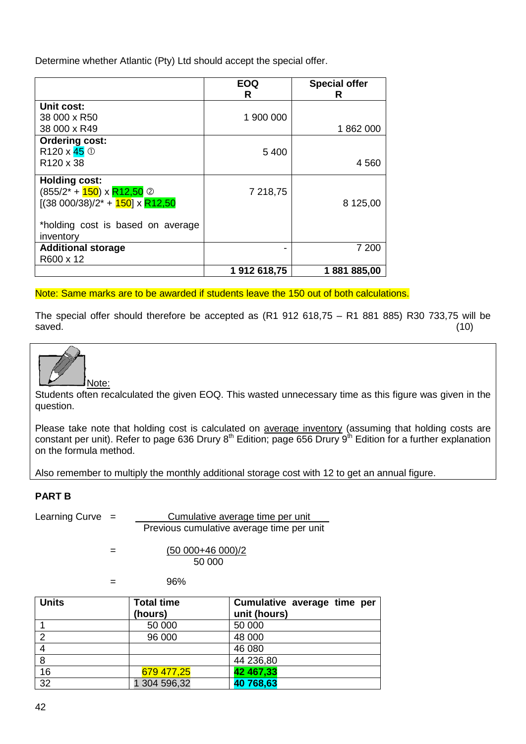Determine whether Atlantic (Pty) Ltd should accept the special offer.

|                                                | <b>EOQ</b><br>R | <b>Special offer</b><br>R |
|------------------------------------------------|-----------------|---------------------------|
| Unit cost:                                     |                 |                           |
| 38 000 x R50                                   | 1 900 000       |                           |
| 38 000 x R49                                   |                 | 1862000                   |
| <b>Ordering cost:</b>                          |                 |                           |
| R <sub>120</sub> x $45^\circ$                  | 5 4 0 0         |                           |
| R <sub>120</sub> x 38                          |                 | 4 5 6 0                   |
| <b>Holding cost:</b>                           |                 |                           |
| $(855/2^* + 150) \times R12,50$ 2              | 7 218,75        |                           |
| $[(38 000/38)/2^* + 150] \times R12,50]$       |                 | 8 125,00                  |
| *holding cost is based on average<br>inventory |                 |                           |
| <b>Additional storage</b>                      |                 | 7 200                     |
| R600 x 12                                      |                 |                           |
|                                                | 1912618.75      | 1881885,00                |

Note: Same marks are to be awarded if students leave the 150 out of both calculations.

The special offer should therefore be accepted as  $(R1 912 618,75 - R1 881 885) R30 733,75$  will be saved. saved. (10)



Students often recalculated the given EOQ. This wasted unnecessary time as this figure was given in the question.

Please take note that holding cost is calculated on average inventory (assuming that holding costs are constant per unit). Refer to page 636 Drury  $8<sup>th</sup>$  Edition; page 656 Drury  $9<sup>th</sup>$  Edition for a further explanation on the formula method.

Also remember to multiply the monthly additional storage cost with 12 to get an annual figure.

## **PART B**

Learning Curve = Cumulative average time per unit Previous cumulative average time per unit

> $=$  (50 000+46 000)/2 50 000

 $=$  96%

| <b>Units</b>    | <b>Total time</b><br>(hours) | Cumulative average time per<br>unit (hours) |
|-----------------|------------------------------|---------------------------------------------|
|                 | 50 000                       | 50 000                                      |
| ⌒               | 96 000                       | 48 000                                      |
|                 |                              | 46 080                                      |
| 8               |                              | 44 236,80                                   |
| 16              | 679 477,25                   | 42 467,33                                   |
| $\overline{32}$ | 304 596,32                   | 40 768,63                                   |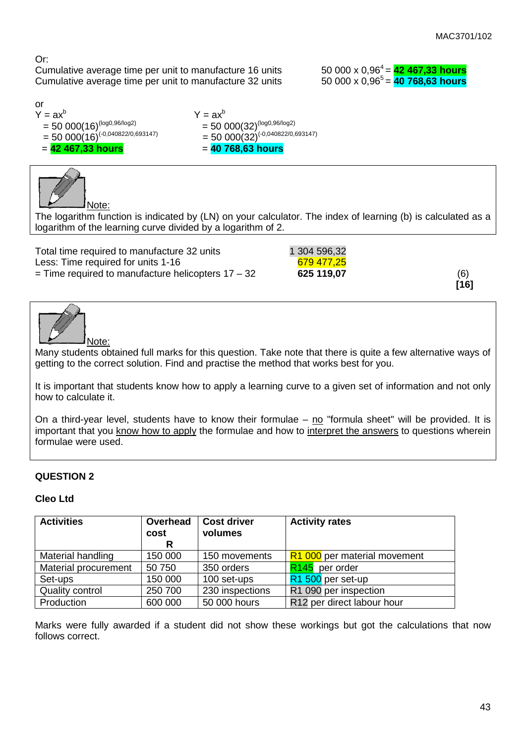Or:

Cumulative average time per unit to manufacture 16 units  $\qquad \qquad 50\ 000 \times 0.96^4 = \frac{42\ 467,33 \text{ hours}}{40\ 768.63 \text{ hours}}$ Cumulative average time per unit to manufacture 32 units

or<br>Y =  $ax^b$ = 50 000(16)<sup>(-0,040822/0,693147)</sup><br>= **42 467,33 hours** 

 $Y = ax^b$ <br>= 50 000(32)<sup>(log0,96/log2)</sup> = 50 000(16)<sup>(log0,96/log2)</sup> = 50 000(32)<sup>(log0,96/log2)</sup><br>= 50 000(16)<sup>(-0,040822/0,693147)</sup> = 50 000(32)<sup>(-0,040822/0,693147)</sup> = **42 467,33 hours** = **40 768,63 hours**



The logarithm function is indicated by (LN) on your calculator. The index of learning (b) is calculated as a logarithm of the learning curve divided by a logarithm of 2.

| Total time required to manufacture 32 units          | 1 304 596,32 |     |
|------------------------------------------------------|--------------|-----|
| Less: Time required for units 1-16                   | 679 477.25   |     |
| $=$ Time required to manufacture helicopters 17 – 32 | 625 119,07   | (6) |

**[16]**



Many students obtained full marks for this question. Take note that there is quite a few alternative ways of getting to the correct solution. Find and practise the method that works best for you.

It is important that students know how to apply a learning curve to a given set of information and not only how to calculate it.

On a third-year level, students have to know their formulae – no "formula sheet" will be provided. It is important that you know how to apply the formulae and how to interpret the answers to questions wherein formulae were used.

## **QUESTION 2**

## **Cleo Ltd**

| <b>Activities</b>    | Overhead<br>cost | <b>Cost driver</b><br>volumes | <b>Activity rates</b>        |
|----------------------|------------------|-------------------------------|------------------------------|
|                      | R.               |                               |                              |
| Material handling    | 150 000          | 150 movements                 | R1 000 per material movement |
| Material procurement | 50 750           | 350 orders                    | R <sub>145</sub> per order   |
| Set-ups              | 150 000          | 100 set-ups                   | R1 500 per set-up            |
| Quality control      | 250 700          | 230 inspections               | R1 090 per inspection        |
| Production           | 600 000          | 50 000 hours                  | R12 per direct labour hour   |

Marks were fully awarded if a student did not show these workings but got the calculations that now follows correct.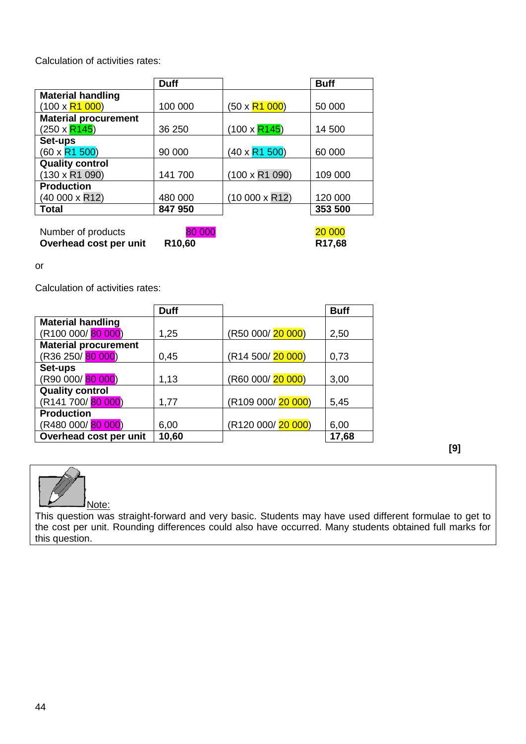Calculation of activities rates:

|                             | <b>Duff</b> |                       | <b>Buff</b> |
|-----------------------------|-------------|-----------------------|-------------|
| <b>Material handling</b>    |             |                       |             |
| $(100 \times R1 000)$       | 100 000     | $(50 \times R1 000)$  | 50 000      |
| <b>Material procurement</b> |             |                       |             |
| (250 x <mark>R145</mark> )  | 36 250      | $(100 \times R145)$   | 14 500      |
| Set-ups                     |             |                       |             |
| (60 x <mark>R1 500</mark> ) | 90 000      | $(40 \times R1 500)$  | 60 000      |
| <b>Quality control</b>      |             |                       |             |
| $(130 \times R1 090)$       | 141 700     | $(100 \times R1 090)$ | 109 000     |
| <b>Production</b>           |             |                       |             |
| (40 000 x R12)              | 480 000     | $(10000 \times R12)$  | 120 000     |
| <b>Total</b>                | 847 950     |                       | 353 500     |

| Number of products     | 80 000             | <b>20 000</b>      |
|------------------------|--------------------|--------------------|
| Overhead cost per unit | R <sub>10,60</sub> | R <sub>17,68</sub> |

or

Calculation of activities rates:

|                                  | <b>Duff</b> |                    | <b>Buff</b> |
|----------------------------------|-------------|--------------------|-------------|
| <b>Material handling</b>         |             |                    |             |
| (R100 000/ <mark>80 000</mark> ) | 1,25        | (R50 000/20 000)   | 2,50        |
| <b>Material procurement</b>      |             |                    |             |
| (R36 250/ <mark>80 000</mark> )  | 0,45        | (R14 500/20 000)   | 0,73        |
| Set-ups                          |             |                    |             |
| (R90 000/ <mark>80 000</mark> )  | 1,13        | (R60 000/20 000)   | 3,00        |
| <b>Quality control</b>           |             |                    |             |
| (R141 700/ <mark>80 000</mark> ) | 1,77        | (R109 000/ 20 000) | 5,45        |
| <b>Production</b>                |             |                    |             |
| (R480 000/ <mark>80 000</mark> ) | 6,00        | (R120 000/ 20 000) | 6,00        |
| Overhead cost per unit           | 10,60       |                    | 17,68       |

**[9]**



This question was straight-forward and very basic. Students may have used different formulae to get to the cost per unit. Rounding differences could also have occurred. Many students obtained full marks for this question.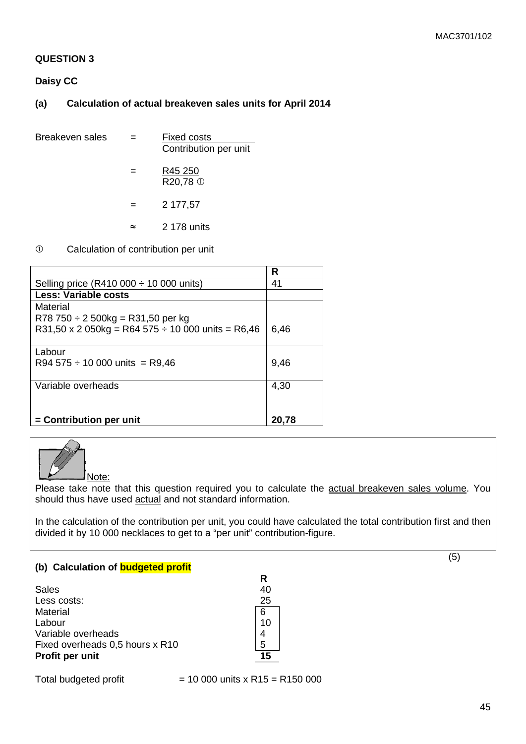#### **QUESTION 3**

**Daisy CC**

## **(a) Calculation of actual breakeven sales units for April 2014**

| Breakeven sales |     | <b>Fixed costs</b><br>Contribution per unit |
|-----------------|-----|---------------------------------------------|
|                 | =   | R45 250<br>R20,78 <sup>①</sup>              |
|                 | $=$ | 2 177,57                                    |
|                 | ≈   | 2 178 units                                 |
|                 |     |                                             |

## Calculation of contribution per unit

|                                                        | R     |
|--------------------------------------------------------|-------|
| Selling price (R410 000 $\div$ 10 000 units)           | 41    |
| <b>Less: Variable costs</b>                            |       |
| Material                                               |       |
| $R78750 \div 2500$ kg = R31,50 per kg                  |       |
| R31,50 x 2 050kg = R64 575 $\div$ 10 000 units = R6,46 | 6.46  |
|                                                        |       |
| Labour                                                 |       |
| R94 575 $\div$ 10 000 units = R9,46                    | 9,46  |
|                                                        |       |
| Variable overheads                                     | 4,30  |
|                                                        |       |
|                                                        |       |
| = Contribution per unit                                | 20.78 |



Please take note that this question required you to calculate the actual breakeven sales volume. You should thus have used actual and not standard information.

In the calculation of the contribution per unit, you could have calculated the total contribution first and then divided it by 10 000 necklaces to get to a "per unit" contribution-figure.

**R**

#### **(b) Calculation of budgeted profit**

| Sales                           | 40 |
|---------------------------------|----|
| Less costs:                     | 25 |
| Material                        |    |
| Labour                          | 10 |
| Variable overheads              |    |
| Fixed overheads 0,5 hours x R10 | 5  |
| Profit per unit                 | 15 |

Total budgeted profit  $= 10 000$  units x R15 = R150 000

(5)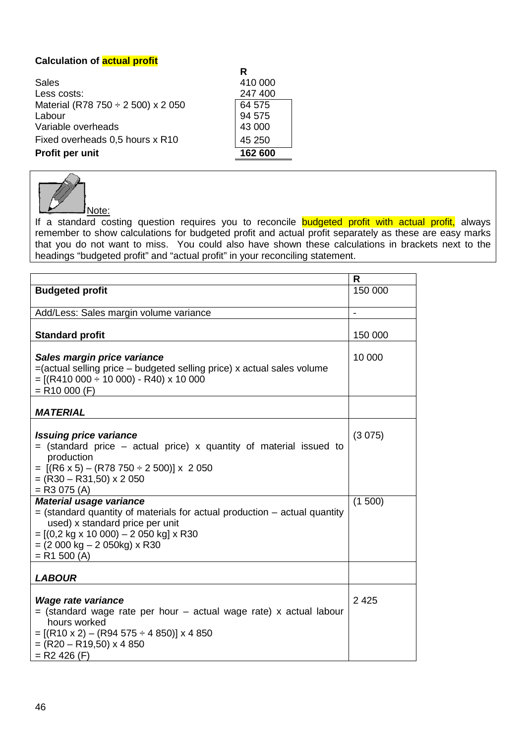## **Calculation of actual profit**

|                                         | R       |
|-----------------------------------------|---------|
| Sales                                   | 410 000 |
| Less costs:                             | 247 400 |
| Material (R78 750 $\div$ 2 500) x 2 050 | 64 575  |
| Labour                                  | 94 575  |
| Variable overheads                      | 43 000  |
| Fixed overheads 0,5 hours x R10         | 45 250  |
| Profit per unit                         | 162 600 |



If a standard costing question requires you to reconcile **budgeted profit with actual profit**, always remember to show calculations for budgeted profit and actual profit separately as these are easy marks that you do not want to miss. You could also have shown these calculations in brackets next to the headings "budgeted profit" and "actual profit" in your reconciling statement.

|                                                                               | $\mathsf{R}$ |
|-------------------------------------------------------------------------------|--------------|
| <b>Budgeted profit</b>                                                        | 150 000      |
|                                                                               |              |
| Add/Less: Sales margin volume variance                                        |              |
|                                                                               |              |
| <b>Standard profit</b>                                                        | 150 000      |
|                                                                               |              |
| Sales margin price variance                                                   | 10 000       |
| =(actual selling price - budgeted selling price) x actual sales volume        |              |
| $= [(R410 000 \div 10 000) - R40) \times 10 000$                              |              |
| $= R10000 (F)$                                                                |              |
|                                                                               |              |
| <b>MATERIAL</b>                                                               |              |
|                                                                               |              |
| <b>Issuing price variance</b>                                                 | (3075)       |
| $=$ (standard price – actual price) x quantity of material issued to          |              |
| production                                                                    |              |
| $= [(R6 \times 5) - (R78 \times 750 \div 2 \times 500)] \times 2 \times 050$  |              |
| $=(R30 - R31,50) \times 2050$                                                 |              |
| $=$ R3 075 (A)                                                                |              |
| <b>Material usage variance</b>                                                | (1500)       |
| $=$ (standard quantity of materials for actual production $-$ actual quantity |              |
| used) x standard price per unit                                               |              |
| $= [(0, 2 \text{ kg} \times 10\ 000) - 2\ 050 \text{ kg}] \times R30$         |              |
| $= (2000 kg - 2050kg) \times R30$                                             |              |
| $= R1 500 (A)$                                                                |              |
|                                                                               |              |
| <b>LABOUR</b>                                                                 |              |
|                                                                               |              |
| <b>Wage rate variance</b>                                                     | 2 4 2 5      |
| $=$ (standard wage rate per hour $-$ actual wage rate) x actual labour        |              |
| hours worked                                                                  |              |
| $= [(R10 \times 2) - (R94 575 \div 4 850)] \times 4 850$                      |              |
| $=(R20 - R19,50) \times 4850$                                                 |              |
| $=$ R2 426 (F)                                                                |              |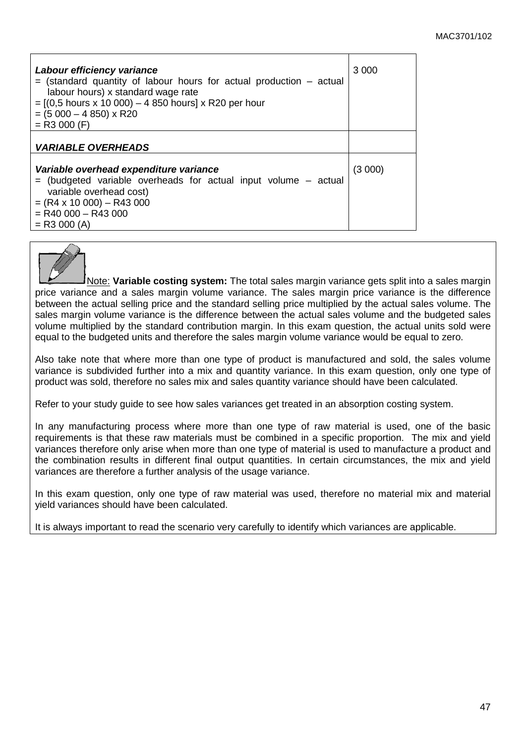| Labour efficiency variance<br>$=$ (standard quantity of labour hours for actual production $-$ actual<br>labour hours) x standard wage rate<br>$=$ [(0,5 hours x 10 000) – 4 850 hours] x R20 per hour<br>$= (5000 - 4850) \times R20$<br>$=$ R3 000 (F) | 3 000  |
|----------------------------------------------------------------------------------------------------------------------------------------------------------------------------------------------------------------------------------------------------------|--------|
| <b>VARIABLE OVERHEADS</b>                                                                                                                                                                                                                                |        |
| Variable overhead expenditure variance<br>$=$ (budgeted variable overheads for actual input volume $-$ actual<br>variable overhead cost)<br>$= (R4 \times 10\,000) - R43\,000$<br>$=$ R40 000 $-$ R43 000<br>$=$ R3 000 (A)                              | (3000) |



Note: **Variable costing system:** The total sales margin variance gets split into a sales margin price variance and a sales margin volume variance. The sales margin price variance is the difference between the actual selling price and the standard selling price multiplied by the actual sales volume. The sales margin volume variance is the difference between the actual sales volume and the budgeted sales volume multiplied by the standard contribution margin. In this exam question, the actual units sold were equal to the budgeted units and therefore the sales margin volume variance would be equal to zero.

Also take note that where more than one type of product is manufactured and sold, the sales volume variance is subdivided further into a mix and quantity variance. In this exam question, only one type of product was sold, therefore no sales mix and sales quantity variance should have been calculated.

Refer to your study guide to see how sales variances get treated in an absorption costing system.

In any manufacturing process where more than one type of raw material is used, one of the basic requirements is that these raw materials must be combined in a specific proportion. The mix and yield variances therefore only arise when more than one type of material is used to manufacture a product and the combination results in different final output quantities. In certain circumstances, the mix and yield variances are therefore a further analysis of the usage variance.

In this exam question, only one type of raw material was used, therefore no material mix and material yield variances should have been calculated.

It is always important to read the scenario very carefully to identify which variances are applicable.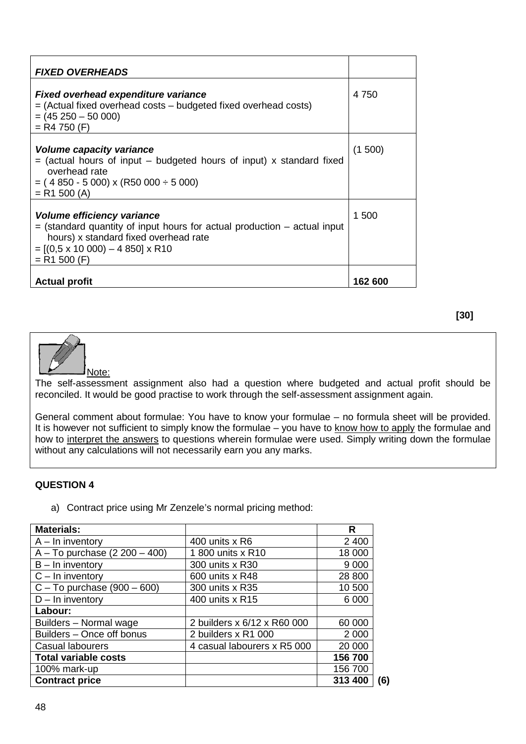| <b>FIXED OVERHEADS</b>                                                                                                                                                                                                 |         |
|------------------------------------------------------------------------------------------------------------------------------------------------------------------------------------------------------------------------|---------|
| <b>Fixed overhead expenditure variance</b><br>$=$ (Actual fixed overhead costs $-$ budgeted fixed overhead costs)<br>$= (45250 - 50000)$<br>$=$ R4 750 (F)                                                             | 4 750   |
| Volume capacity variance<br>$=$ (actual hours of input – budgeted hours of input) x standard fixed<br>overhead rate<br>$= (4850 - 5000)$ x (R50 000 $\div$ 5 000)<br>$=$ R1 500 (A)                                    | (1500)  |
| Volume efficiency variance<br>$=$ (standard quantity of input hours for actual production $-$ actual input<br>hours) x standard fixed overhead rate<br>$=[(0.5 \times 10\ 000) - 4\ 850] \times R10$<br>$=$ R1 500 (F) | 1 500   |
| <b>Actual profit</b>                                                                                                                                                                                                   | 162 600 |

Note:

The self-assessment assignment also had a question where budgeted and actual profit should be reconciled. It would be good practise to work through the self-assessment assignment again.

General comment about formulae: You have to know your formulae – no formula sheet will be provided. It is however not sufficient to simply know the formulae – you have to know how to apply the formulae and how to interpret the answers to questions wherein formulae were used. Simply writing down the formulae without any calculations will not necessarily earn you any marks.

#### **QUESTION 4**

a) Contract price using Mr Zenzele's normal pricing method:

| <b>Materials:</b>               |                             | R       |
|---------------------------------|-----------------------------|---------|
| $A - In$ inventory              | 400 units x R6              | 2 4 0 0 |
| $A - To$ purchase (2 200 - 400) | 1800 units x R10            | 18 000  |
| $B - In$ inventory              | 300 units x R30             | 9 0 0 0 |
| $C - In$ inventory              | 600 units x R48             | 28 800  |
| $C - To$ purchase (900 - 600)   | 300 units x R35             | 10 500  |
| $D - In$ inventory              | 400 units x R15             | 6 0 0 0 |
| Labour:                         |                             |         |
| Builders - Normal wage          | 2 builders x 6/12 x R60 000 | 60 000  |
| Builders - Once off bonus       | 2 builders x R1 000         | 2 0 0 0 |
| Casual labourers                | 4 casual labourers x R5 000 | 20 000  |
| <b>Total variable costs</b>     |                             | 156 700 |
| 100% mark-up                    |                             | 156 700 |
| <b>Contract price</b>           |                             | 313 400 |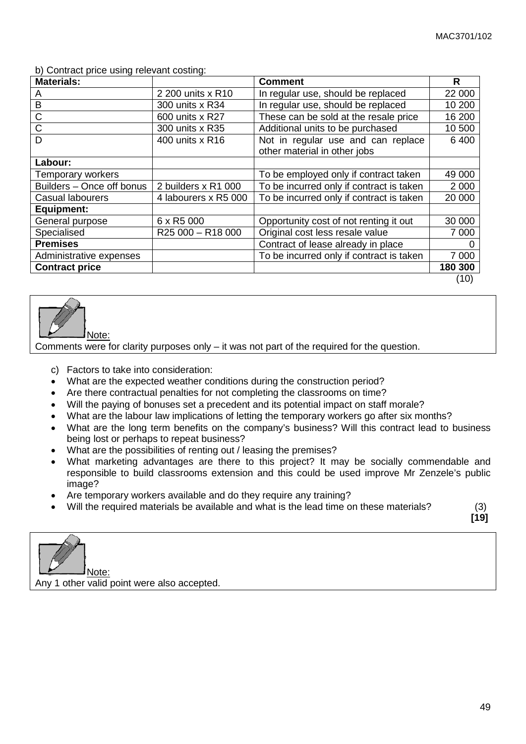b) Contract price using relevant costing:

| <b>Materials:</b>         |                      | <b>Comment</b>                           | R       |
|---------------------------|----------------------|------------------------------------------|---------|
| A                         | 2 200 units x R10    | In regular use, should be replaced       | 22 000  |
| B                         | 300 units x R34      | In regular use, should be replaced       | 10 200  |
| $\mathsf C$               | 600 units x R27      | These can be sold at the resale price    | 16 200  |
| $\mathsf C$               | 300 units x R35      | Additional units to be purchased         | 10 500  |
| D                         | 400 units x R16      | Not in regular use and can replace       | 6 4 0 0 |
|                           |                      | other material in other jobs             |         |
| Labour:                   |                      |                                          |         |
| Temporary workers         |                      | To be employed only if contract taken    | 49 000  |
| Builders - Once off bonus | 2 builders x R1 000  | To be incurred only if contract is taken | 2 0 0 0 |
| Casual labourers          | 4 labourers x R5 000 | To be incurred only if contract is taken | 20 000  |
| <b>Equipment:</b>         |                      |                                          |         |
| General purpose           | 6 x R5 000           | Opportunity cost of not renting it out   | 30 000  |
| Specialised               | R25 000 - R18 000    | Original cost less resale value          | 7 000   |
| <b>Premises</b>           |                      | Contract of lease already in place       |         |
| Administrative expenses   |                      | To be incurred only if contract is taken | 7 0 0 0 |
| <b>Contract price</b>     |                      |                                          | 180 300 |
|                           |                      |                                          | (10)    |



Comments were for clarity purposes only – it was not part of the required for the question.

- c) Factors to take into consideration:
- What are the expected weather conditions during the construction period?
- Are there contractual penalties for not completing the classrooms on time?
- Will the paying of bonuses set a precedent and its potential impact on staff morale?
- What are the labour law implications of letting the temporary workers go after six months?
- What are the long term benefits on the company's business? Will this contract lead to business being lost or perhaps to repeat business?
- What are the possibilities of renting out / leasing the premises?
- What marketing advantages are there to this project? It may be socially commendable and responsible to build classrooms extension and this could be used improve Mr Zenzele's public image?
- Are temporary workers available and do they require any training?
- Will the required materials be available and what is the lead time on these materials? (3)

**[19]** 

Note:

Any 1 other valid point were also accepted.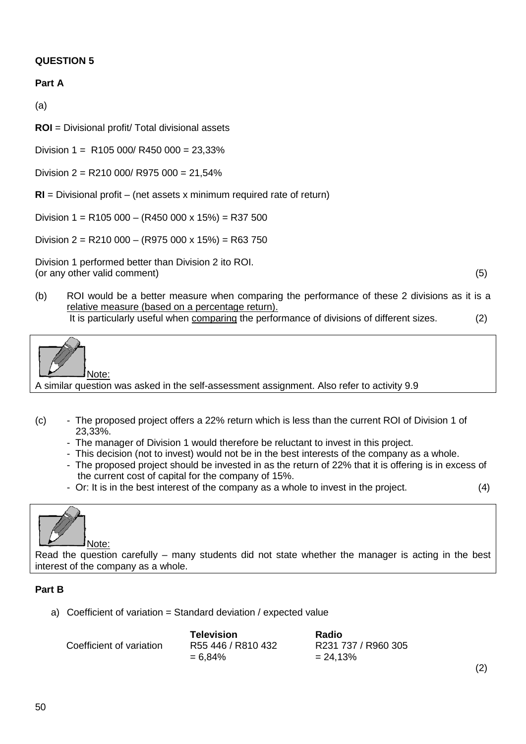## **QUESTION 5**

## **Part A**

(a)

**ROI** = Divisional profit/ Total divisional assets

Division  $1 = R105 000/R450 000 = 23.33%$ 

Division 2 = R210 000/ R975 000 = 21,54%

**RI** = Divisional profit – (net assets x minimum required rate of return)

Division 1 = R105 000 - (R450 000 x 15%) = R37 500

Division 2 = R210 000 - (R975 000 x 15%) = R63 750

Division 1 performed better than Division 2 ito ROI. (or any other valid comment) (5)

(2)

(b) ROI would be a better measure when comparing the performance of these 2 divisions as it is a relative measure (based on a percentage return). It is particularly useful when comparing the performance of divisions of different sizes. (2)

Note:

A similar question was asked in the self-assessment assignment. Also refer to activity 9.9

- (c) The proposed project offers a 22% return which is less than the current ROI of Division 1 of 23,33%.
	- The manager of Division 1 would therefore be reluctant to invest in this project.
	- This decision (not to invest) would not be in the best interests of the company as a whole.
	- The proposed project should be invested in as the return of 22% that it is offering is in excess of the current cost of capital for the company of 15%.
	- Or: It is in the best interest of the company as a whole to invest in the project. (4)



Read the question carefully – many students did not state whether the manager is acting in the best interest of the company as a whole.

## **Part B**

a) Coefficient of variation = Standard deviation / expected value

|                          | Television         | <b>Radio</b>        |
|--------------------------|--------------------|---------------------|
| Coefficient of variation | R55 446 / R810 432 | R231 737 / R960 305 |
|                          | $= 6.84\%$         | $= 24.13%$          |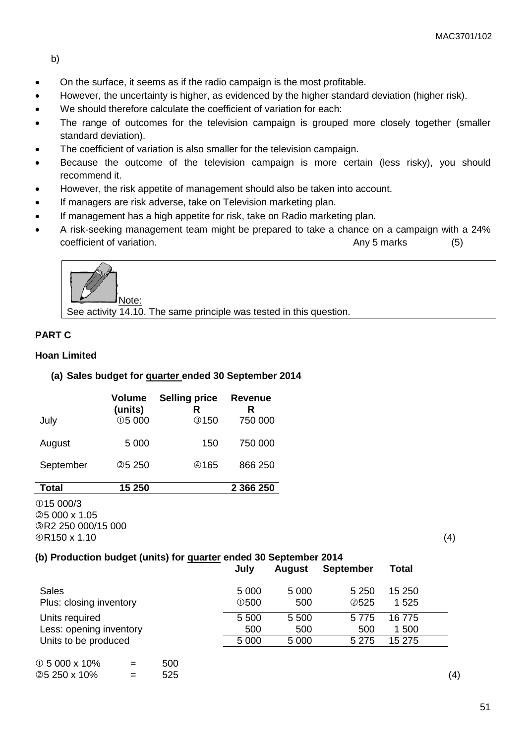b)

- On the surface, it seems as if the radio campaign is the most profitable.
- However, the uncertainty is higher, as evidenced by the higher standard deviation (higher risk).
- We should therefore calculate the coefficient of variation for each:
- The range of outcomes for the television campaign is grouped more closely together (smaller standard deviation).
- The coefficient of variation is also smaller for the television campaign.
- Because the outcome of the television campaign is more certain (less risky), you should recommend it.
- However, the risk appetite of management should also be taken into account.
- If managers are risk adverse, take on Television marketing plan.
- If management has a high appetite for risk, take on Radio marketing plan.
- A risk-seeking management team might be prepared to take a chance on a campaign with a 24% coefficient of variation. Coefficient of variation. Coefficient of variation.



See activity 14.10. The same principle was tested in this question.

## **PART C**

## **Hoan Limited**

## **(a) Sales budget for quarter ended 30 September 2014**

| July      | Volume<br>(units)<br>$\circledcirc$ 5 000 | <b>Selling price</b><br>R<br><b>③150</b> | <b>Revenue</b><br>R<br>750 000 |
|-----------|-------------------------------------------|------------------------------------------|--------------------------------|
| August    | 5 0 0 0                                   | 150                                      | 750 000                        |
| September | <b>25250</b>                              | @165                                     | 866 250                        |
| Total     | 15 250                                    |                                          | 2 366 250                      |

15 000/3 5 000 x 1.05 R2 250 000/15 000  $\oplus$  R150 x 1.10 (4)

## **(b) Production budget (units) for quarter ended 30 September 2014**

|                         | July              | <b>August</b> | <b>September</b> | Total   |  |
|-------------------------|-------------------|---------------|------------------|---------|--|
| <b>Sales</b>            | 5 0 0 0           | 5 0 0 0       | 5 2 5 0          | 15 250  |  |
| Plus: closing inventory | $\overline{0}500$ | 500           | <b>2525</b>      | 1 5 2 5 |  |
| Units required          | 5 500             | 5 500         | 5775             | 16 775  |  |
| Less: opening inventory | 500               | 500           | 500              | 1 500   |  |
| Units to be produced    | 5 0 0 0           | 5 0 0 0       | 5 2 7 5          | 15 275  |  |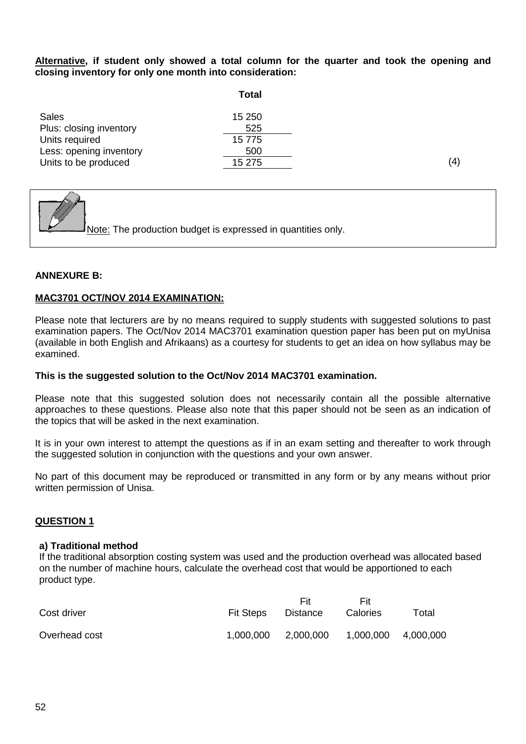**Alternative, if student only showed a total column for the quarter and took the opening and closing inventory for only one month into consideration:**

|                         | Total  |
|-------------------------|--------|
| Sales                   | 15 250 |
| Plus: closing inventory | 525    |
| Units required          | 15 775 |
| Less: opening inventory | 500    |
| Units to be produced    | 15 275 |



#### **ANNEXURE B:**

#### **MAC3701 OCT/NOV 2014 EXAMINATION:**

Please note that lecturers are by no means required to supply students with suggested solutions to past examination papers. The Oct/Nov 2014 MAC3701 examination question paper has been put on myUnisa (available in both English and Afrikaans) as a courtesy for students to get an idea on how syllabus may be examined.

#### **This is the suggested solution to the Oct/Nov 2014 MAC3701 examination.**

Please note that this suggested solution does not necessarily contain all the possible alternative approaches to these questions. Please also note that this paper should not be seen as an indication of the topics that will be asked in the next examination.

It is in your own interest to attempt the questions as if in an exam setting and thereafter to work through the suggested solution in conjunction with the questions and your own answer.

No part of this document may be reproduced or transmitted in any form or by any means without prior written permission of Unisa.

#### **QUESTION 1**

#### **a) Traditional method**

If the traditional absorption costing system was used and the production overhead was allocated based on the number of machine hours, calculate the overhead cost that would be apportioned to each product type.

| Cost driver   | <b>Fit Steps</b> | Fit<br>Distance | Fit<br>Calories     | Total |
|---------------|------------------|-----------------|---------------------|-------|
| Overhead cost | 1,000,000        | 2,000,000       | 1,000,000 4,000,000 |       |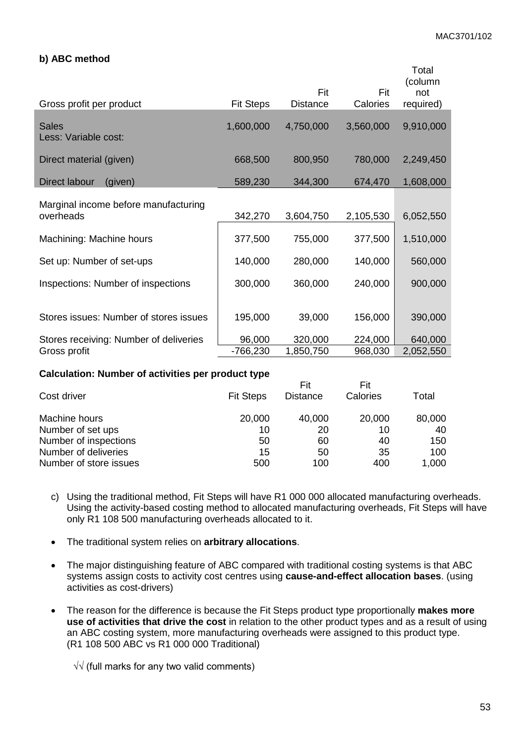#### **b) ABC method**

| Gross profit per product                          | <b>Fit Steps</b> | Fit<br><b>Distance</b> | Fit<br>Calories | Total<br>(column<br>not<br>required) |
|---------------------------------------------------|------------------|------------------------|-----------------|--------------------------------------|
| <b>Sales</b><br>Less: Variable cost:              | 1,600,000        | 4,750,000              | 3,560,000       | 9,910,000                            |
| Direct material (given)                           | 668,500          | 800,950                | 780,000         | 2,249,450                            |
| Direct labour<br>(given)                          | 589,230          | 344,300                | 674,470         | 1,608,000                            |
| Marginal income before manufacturing<br>overheads | 342,270          | 3,604,750              | 2,105,530       | 6,052,550                            |
| Machining: Machine hours                          | 377,500          | 755,000                | 377,500         | 1,510,000                            |
| Set up: Number of set-ups                         | 140,000          | 280,000                | 140,000         | 560,000                              |
| Inspections: Number of inspections                | 300,000          | 360,000                | 240,000         | 900,000                              |
| Stores issues: Number of stores issues            | 195,000          | 39,000                 | 156,000         | 390,000                              |
| Stores receiving: Number of deliveries            | 96,000           | 320,000                | 224,000         | 640,000                              |
| Gross profit                                      | -766,230         | 1,850,750              | 968,030         | 2,052,550                            |

#### **Calculation: Number of activities per product type**

|                  | Fit             | Fit      |        |
|------------------|-----------------|----------|--------|
| <b>Fit Steps</b> | <b>Distance</b> | Calories | Total  |
| 20,000           | 40,000          | 20,000   | 80,000 |
| 10               | 20              | 10       | 40     |
| 50               | 60              | 40       | 150    |
| 15               | 50              | 35       | 100    |
| 500              | 100             | 400      | 1,000  |
|                  |                 |          |        |

- c) Using the traditional method, Fit Steps will have R1 000 000 allocated manufacturing overheads. Using the activity-based costing method to allocated manufacturing overheads, Fit Steps will have only R1 108 500 manufacturing overheads allocated to it.
- The traditional system relies on **arbitrary allocations**.
- The major distinguishing feature of ABC compared with traditional costing systems is that ABC systems assign costs to activity cost centres using **cause-and-effect allocation bases**. (using activities as cost-drivers)
- The reason for the difference is because the Fit Steps product type proportionally **makes more use of activities that drive the cost** in relation to the other product types and as a result of using an ABC costing system, more manufacturing overheads were assigned to this product type. (R1 108 500 ABC vs R1 000 000 Traditional)

√√ (full marks for any two valid comments)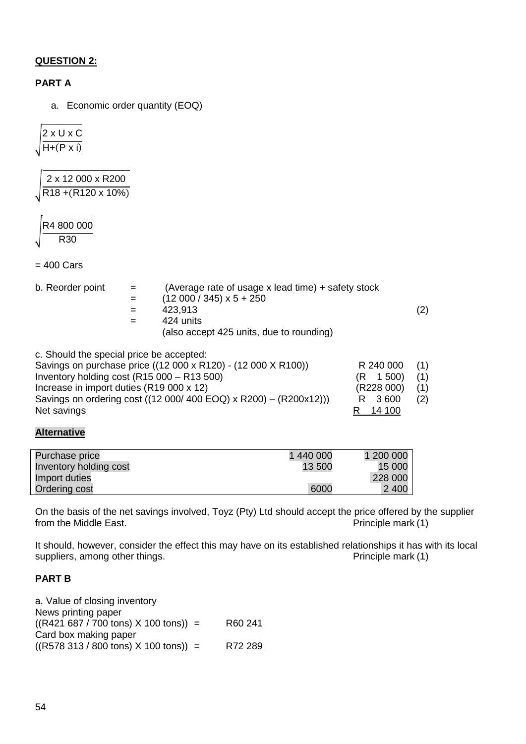## **QUESTION 2:**

## **PART A**

a. Economic order quantity (EOQ)

�2 x U x C  $H+(P x i)$ 

� 2 x 12 000 x R200 R18 +(R120 x 10%)

�R4 800 000 R30

 $= 400$  Cars

|  | b. Reorder point |  |
|--|------------------|--|
|--|------------------|--|

| b. Reorder point | $=$ | (Average rate of usage x lead time) + safety stock |     |
|------------------|-----|----------------------------------------------------|-----|
|                  | $=$ | $(12000 / 345) \times 5 + 250$                     |     |
|                  | $=$ | 423.913                                            | (2) |
|                  | $=$ | 424 units                                          |     |
|                  |     | (also accept 425 units, due to rounding)           |     |

| c. Should the special price be accepted:                          |              |     |
|-------------------------------------------------------------------|--------------|-----|
| Savings on purchase price ((12 000 x R120) - (12 000 X R100))     | R 240 000    | (1) |
| Inventory holding cost (R15 000 - R13 500)                        | $(R \t1500)$ | (1) |
| Increase in import duties (R19 000 x 12)                          | (R228 000)   | (1) |
| Savings on ordering cost ((12 000/ 400 EOQ) x R200) - (R200x12))) | R 3600       | (2) |
| Net savings                                                       | 14 100       |     |

## **Alternative**

| Purchase price         | 1 440 000 | 1 200 000 |
|------------------------|-----------|-----------|
| Inventory holding cost | 13 500    | 15 000    |
| Import duties          |           | 228 000   |
| Ordering cost          | 6000      | 2 4 0 0   |

On the basis of the net savings involved, Toyz (Pty) Ltd should accept the price offered by the supplier from the Middle East.  $P$ rinciple mark  $(1)$ 

It should, however, consider the effect this may have on its established relationships it has with its local suppliers, among other things. suppliers, among other things.

### **PART B**

| a. Value of closing inventory                                |         |
|--------------------------------------------------------------|---------|
| News printing paper                                          |         |
| $((R421 687 / 700 \text{ tons}) \times 100 \text{ tons})) =$ | R60 241 |
| Card box making paper                                        |         |
| $((R578 313 / 800 \text{ tons}) \times 100 \text{ tons})) =$ | R72 289 |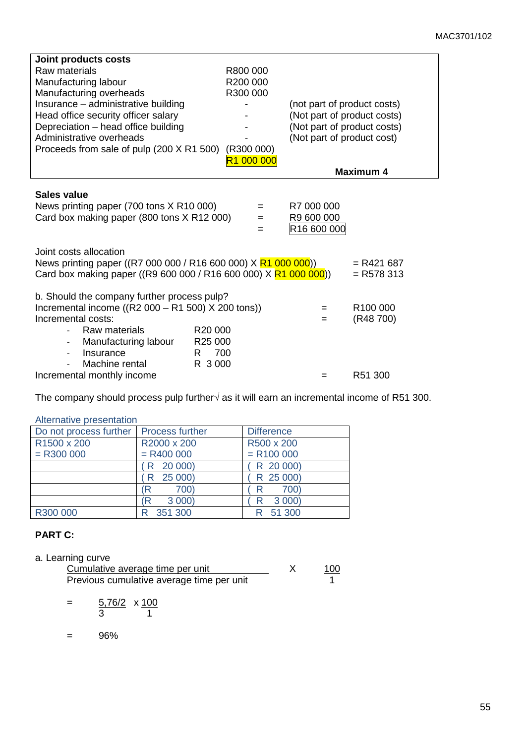| Joint products costs<br>Raw materials<br>Manufacturing labour<br>Manufacturing overheads<br>Insurance - administrative building<br>Head office security officer salary<br>Depreciation - head office building<br>Administrative overheads<br>Proceeds from sale of pulp (200 X R1 500) | R800 000<br>R200 000<br>R300 000<br>(R300 000)<br>000 000<br>R1. | (not part of product costs)<br>(Not part of product costs)<br>(Not part of product costs)<br>(Not part of product cost) |                                   |
|----------------------------------------------------------------------------------------------------------------------------------------------------------------------------------------------------------------------------------------------------------------------------------------|------------------------------------------------------------------|-------------------------------------------------------------------------------------------------------------------------|-----------------------------------|
|                                                                                                                                                                                                                                                                                        |                                                                  |                                                                                                                         | <b>Maximum 4</b>                  |
| Sales value<br>News printing paper (700 tons X R10 000)<br>Card box making paper (800 tons X R12 000)                                                                                                                                                                                  | $=$<br>$=$<br>=                                                  | R7 000 000<br>R9 600 000<br>R16 600 000                                                                                 |                                   |
| Joint costs allocation<br>News printing paper ((R7 000 000 / R16 600 000) X R1 000 000))<br>Card box making paper ((R9 600 000 / R16 600 000) X R1 000 000))                                                                                                                           |                                                                  |                                                                                                                         | $= R421687$<br>$=$ R578 313       |
| b. Should the company further process pulp?<br>Incremental income ((R2 $000 - R1$ 500) X 200 tons))<br>Incremental costs:<br>Raw materials<br>Manufacturing labour<br>$\overline{\phantom{0}}$<br>Insurance<br>$\overline{a}$<br>Machine rental                                        | R <sub>20</sub> 000<br>R25 000<br>700<br>R.<br>R 3000            | $=$<br>=                                                                                                                | R <sub>100</sub> 000<br>(R48 700) |
| Incremental monthly income                                                                                                                                                                                                                                                             |                                                                  | =                                                                                                                       | R51 300                           |

The company should process pulp further√ as it will earn an incremental income of R51 300.

#### Alternative presentation

| Do not process further | <b>Process further</b> | <b>Difference</b> |
|------------------------|------------------------|-------------------|
| R1500 x 200            | R2000 x 200            | R500 x 200        |
| $=$ R300 000           | $= R400000$            | $= R100000$       |
|                        | R 20 000)              | R 20 000)         |
|                        | R 25 000)              | R 25 000)         |
|                        | 700)<br>R)             | 700)<br>R         |
|                        | 3 0 0 0 )<br>Έ         | 3 0 0 0 )         |
| R300 000               | 351 300                | 51 300            |

## **PART C:**

| a. Learning curve |  |
|-------------------|--|
|                   |  |

| Cumulative average time per unit          | 100 |
|-------------------------------------------|-----|
| Previous cumulative average time per unit |     |

$$
= \frac{5,76/2}{3} \times \frac{100}{1}
$$

= 96%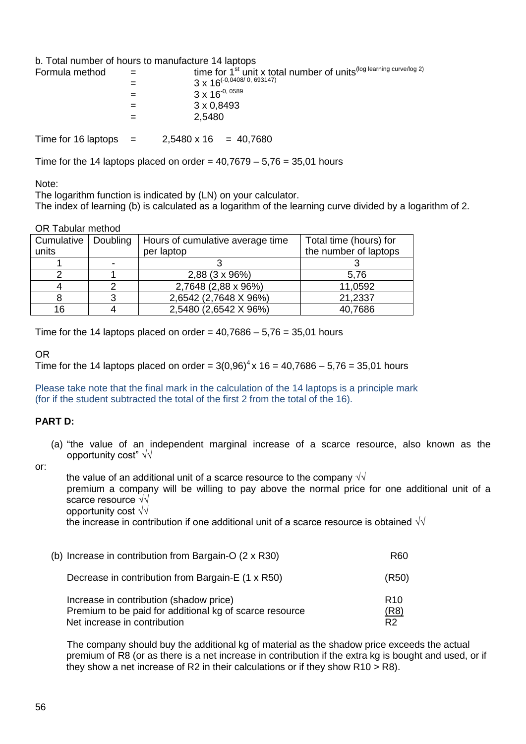b. Total number of hours to manufacture 14 laptops

| Formula method |     | time for 1 <sup>st</sup> unit x total number of units <sup>(log learning curve/log 2)</sup> |
|----------------|-----|---------------------------------------------------------------------------------------------|
|                | =   | $3 \times 16^{(-0.0408/0.693147)}$                                                          |
|                |     | $3 \times 16^{-0,0589}$                                                                     |
|                |     | 3 x 0,8493                                                                                  |
|                | $=$ | 2,5480                                                                                      |
|                |     |                                                                                             |

Time for 16 laptops  $=$  2,5480 x 16  $=$  40,7680

Time for the 14 laptops placed on order =  $40,7679 - 5,76 = 35,01$  hours

Note:

The logarithm function is indicated by (LN) on your calculator.

The index of learning (b) is calculated as a logarithm of the learning curve divided by a logarithm of 2.

#### OR Tabular method

| Cumulative<br>units | Doubling | Hours of cumulative average time<br>per laptop | Total time (hours) for<br>the number of laptops |
|---------------------|----------|------------------------------------------------|-------------------------------------------------|
|                     |          |                                                |                                                 |
|                     |          | 2,88 (3 x 96%)                                 | 5,76                                            |
|                     |          | 2,7648 (2,88 x 96%)                            | 11,0592                                         |
|                     |          | 2,6542 (2,7648 X 96%)                          | 21,2337                                         |
| 16                  |          | 2,5480 (2,6542 X 96%)                          | 40,7686                                         |

Time for the 14 laptops placed on order =  $40,7686 - 5,76 = 35,01$  hours

## OR

Time for the 14 laptops placed on order =  $3(0.96)^4$  x 16 = 40.7686 – 5.76 = 35.01 hours

Please take note that the final mark in the calculation of the 14 laptops is a principle mark (for if the student subtracted the total of the first 2 from the total of the 16).

## **PART D:**

(a) "the value of an independent marginal increase of a scarce resource, also known as the opportunity cost" √√

or:

the value of an additional unit of a scarce resource to the company  $\sqrt{\sqrt{}}$ premium a company will be willing to pay above the normal price for one additional unit of a scarce resource √√ opportunity cost √√ the increase in contribution if one additional unit of a scarce resource is obtained  $\sqrt{\sqrt{ }}$ 

| (b) Increase in contribution from Bargain-O $(2 \times R30)$                                                                       | R60                                       |
|------------------------------------------------------------------------------------------------------------------------------------|-------------------------------------------|
| Decrease in contribution from Bargain-E (1 x R50)                                                                                  | (R50)                                     |
| Increase in contribution (shadow price)<br>Premium to be paid for additional kg of scarce resource<br>Net increase in contribution | R <sub>10</sub><br>(R8)<br>R <sub>2</sub> |

The company should buy the additional kg of material as the shadow price exceeds the actual premium of R8 (or as there is a net increase in contribution if the extra kg is bought and used, or if they show a net increase of R2 in their calculations or if they show  $R10 > R8$ ).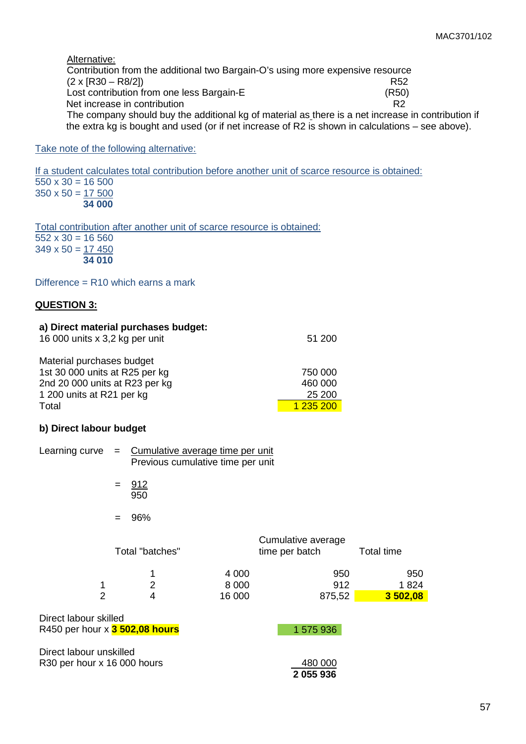Alternative:

Contribution from the additional two Bargain-O's using more expensive resource  $(2 \times [R30 - R8/2])$  R52<br>
Lost contribution from one less Bargain-E Lost contribution from one less Bargain-E<br>
Net increase in contribution<br>
R2 Net increase in contribution The company should buy the additional kg of material as there is a net increase in contribution if the extra kg is bought and used (or if net increase of R2 is shown in calculations – see above).

#### Take note of the following alternative:

If a student calculates total contribution before another unit of scarce resource is obtained:  $550 \times 30 = 16500$  $350 \times 50 = 17500$  **34 000**

Total contribution after another unit of scarce resource is obtained:  $\overline{552 \times 30} = 16560$  $349 \times 50 = 17450$  **34 010**

Difference  $=$  R10 which earns a mark

#### **QUESTION 3:**

| a) Direct material purchases budget:<br>16 000 units x 3,2 kg per unit | 51 200    |
|------------------------------------------------------------------------|-----------|
| Material purchases budget                                              |           |
| 1st 30 000 units at R25 per kg                                         | 750 000   |
| 2nd 20 000 units at R23 per kg                                         | 460 000   |
| 1 200 units at R21 per kg                                              | 25 200    |
| Total                                                                  | 1 235 200 |

#### **b) Direct labour budget**

| Learning curve                                          | = Cumulative average time per unit<br>Previous cumulative time per unit |                 |         |                    |            |
|---------------------------------------------------------|-------------------------------------------------------------------------|-----------------|---------|--------------------|------------|
|                                                         | $=$                                                                     | 912<br>950      |         |                    |            |
|                                                         |                                                                         | 96%             |         |                    |            |
|                                                         |                                                                         |                 |         | Cumulative average |            |
|                                                         |                                                                         | Total "batches" |         | time per batch     | Total time |
|                                                         |                                                                         | 1               | 4 0 0 0 | 950                | 950        |
| 1                                                       |                                                                         | $\overline{2}$  | 8 0 0 0 | 912                | 1824       |
| $\overline{2}$                                          |                                                                         | 4               | 16 000  | 875,52             | 3 502,08   |
| Direct labour skilled<br>R450 per hour x 3 502,08 hours |                                                                         |                 |         | 1 575 936          |            |
|                                                         |                                                                         |                 |         |                    |            |
| Direct labour unskilled                                 |                                                                         |                 |         |                    |            |
| R30 per hour x 16 000 hours                             |                                                                         |                 |         | 480 000            |            |
|                                                         |                                                                         |                 |         | 2 055 936          |            |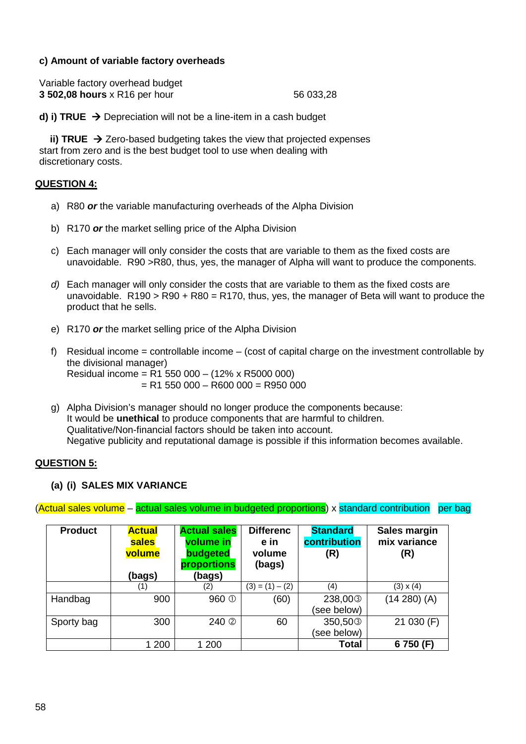## **c) Amount of variable factory overheads**

| Variable factory overhead budget |           |
|----------------------------------|-----------|
| 3 502,08 hours x R16 per hour    | 56 033,28 |

**d) i) TRUE**  $\rightarrow$  **Depreciation will not be a line-item in a cash budget** 

**ii) TRUE**  $\rightarrow$  Zero-based budgeting takes the view that projected expenses start from zero and is the best budget tool to use when dealing with discretionary costs.

### **QUESTION 4:**

- a) R80 *or* the variable manufacturing overheads of the Alpha Division
- b) R170 *or* the market selling price of the Alpha Division
- c) Each manager will only consider the costs that are variable to them as the fixed costs are unavoidable. R90 >R80, thus, yes, the manager of Alpha will want to produce the components.
- *d)* Each manager will only consider the costs that are variable to them as the fixed costs are unavoidable.  $R190 > R90 + R80 = R170$ , thus, yes, the manager of Beta will want to produce the product that he sells.
- e) R170 *or* the market selling price of the Alpha Division
- f) Residual income = controllable income (cost of capital charge on the investment controllable by the divisional manager) Residual income = R1 550 000 – (12% x R5000 000)  $= R1 550 000 - R600 000 = R950 000$
- g) Alpha Division's manager should no longer produce the components because: It would be **unethical** to produce components that are harmful to children. Qualitative/Non-financial factors should be taken into account. Negative publicity and reputational damage is possible if this information becomes available.

#### **QUESTION 5:**

#### **(a) (i) SALES MIX VARIANCE**

(Actual sales volume – actual sales volume in budgeted proportions) x standard contribution per bag

| <b>Product</b> | <b>Actual</b><br>sales<br>volume<br>(bags) | <b>Actual sales</b><br>volume in<br>budgeted<br>proportions<br>(bags) | <b>Differenc</b><br>e in<br>volume<br>(bags) | <b>Standard</b><br>contribution<br>(R) | Sales margin<br>mix variance<br>(R) |
|----------------|--------------------------------------------|-----------------------------------------------------------------------|----------------------------------------------|----------------------------------------|-------------------------------------|
|                | (1)                                        | (2)                                                                   | $(3) = (1) - (2)$                            | (4)                                    | $(3) \times (4)$                    |
| Handbag        | 900                                        | 960 <sup>①</sup>                                                      | (60)                                         | 238,00 <sup>3</sup>                    | $(14 280)$ (A)                      |
|                |                                            |                                                                       |                                              | (see below)                            |                                     |
| Sporty bag     | 300                                        | 240 <sup>2</sup>                                                      | 60                                           | 350,50 <sup>3</sup>                    | 21 030 (F)                          |
|                |                                            |                                                                       |                                              | (see below)                            |                                     |
|                | 1 200                                      | 1 200                                                                 |                                              | <b>Total</b>                           | 6750 (F)                            |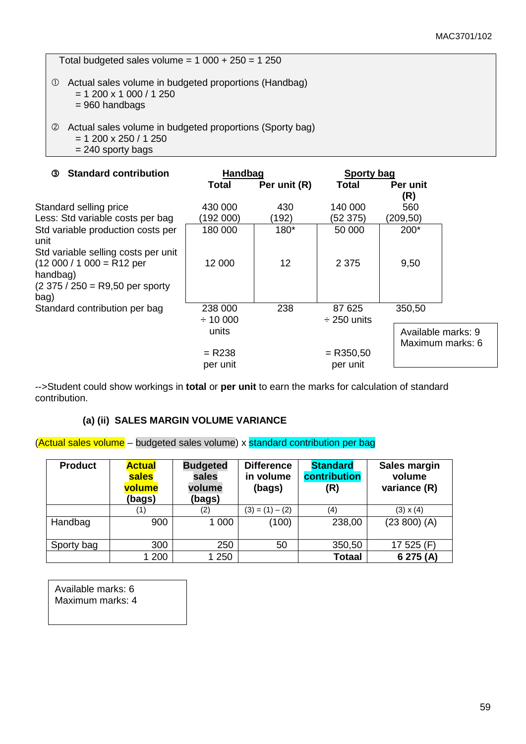Total budgeted sales volume =  $1\overline{000 + 250} = 1250$ 

- Actual sales volume in budgeted proportions (Handbag)
	- $= 1200 \times 1000 / 1250$
	- = 960 handbags
- Actual sales volume in budgeted proportions (Sporty bag)  $= 1200 \times 250 / 1250$ 
	- = 240 sporty bags

| <b>Standard contribution</b><br>จ                                                                                | Handbag              |              | Sporty bag              |                                        |  |
|------------------------------------------------------------------------------------------------------------------|----------------------|--------------|-------------------------|----------------------------------------|--|
|                                                                                                                  | Total                | Per unit (R) | <b>Total</b>            | Per unit<br>(R)                        |  |
| Standard selling price                                                                                           | 430 000              | 430          | 140 000                 | 560                                    |  |
| Less: Std variable costs per bag                                                                                 | (192 000)            | (192)        | (52 375)                | (209,50)                               |  |
| Std variable production costs per<br>unit                                                                        | 180 000              | 180*         | 50 000                  | $200*$                                 |  |
| Std variable selling costs per unit<br>$(12000 / 1000 = R12$ per<br>handbag)<br>$(2375 / 250 = R9,50$ per sporty | 12 000               | 12           | 2 3 7 5                 | 9,50                                   |  |
| bag)<br>Standard contribution per bag                                                                            | 238 000              | 238          | 87 625                  | 350,50                                 |  |
|                                                                                                                  | $\div$ 10 000        |              | $\div$ 250 units        |                                        |  |
|                                                                                                                  | units                |              |                         | Available marks: 9<br>Maximum marks: 6 |  |
|                                                                                                                  | $= R238$<br>per unit |              | $=$ R350,50<br>per unit |                                        |  |

-->Student could show workings in **total** or **per unit** to earn the marks for calculation of standard contribution.

#### **(a) (ii) SALES MARGIN VOLUME VARIANCE**

(Actual sales volume – budgeted sales volume) x standard contribution per bag

| <b>Product</b> | <b>Actual</b><br>sales<br>volume<br>(bags) | <b>Budgeted</b><br>sales<br>volume<br>(bags) | <b>Difference</b><br>in volume<br>(bags) | <b>Standard</b><br>contribution<br>(R) | Sales margin<br>volume<br>variance (R) |
|----------------|--------------------------------------------|----------------------------------------------|------------------------------------------|----------------------------------------|----------------------------------------|
|                |                                            | (2)                                          | $(3) = (1) - (2)$                        | (4)                                    | $(3) \times (4)$                       |
| Handbag        | 900                                        | 1 0 0 0                                      | (100)                                    | 238,00                                 | $(23 800)$ (A)                         |
| Sporty bag     | 300                                        | 250                                          | 50                                       | 350,50                                 | 17 525 (F)                             |
|                | 200                                        | 1 250                                        |                                          | <b>Totaal</b>                          | 6 275 (A)                              |

Available marks: 6 Maximum marks: 4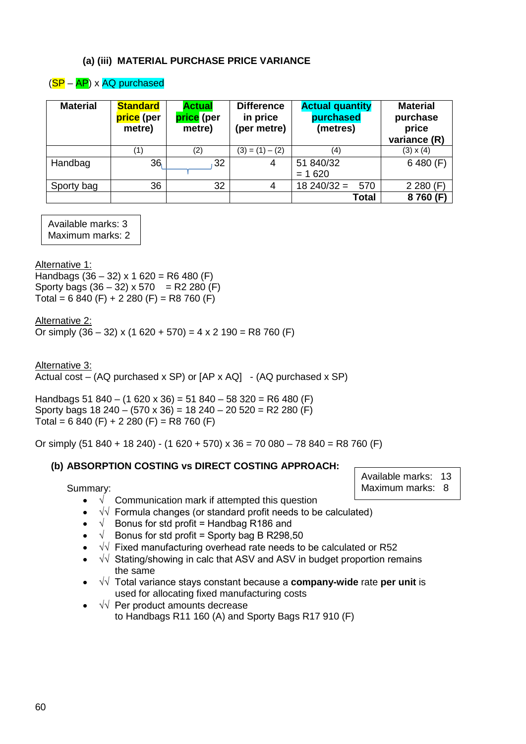#### **(a) (iii) MATERIAL PURCHASE PRICE VARIANCE**

## $(SP - AP)$  x AQ purchased

| <b>Material</b> | <b>Standard</b><br>price (per<br>metre) | <b>Actual</b><br>price (per<br>metre) | <b>Difference</b><br>in price<br>(per metre) | <b>Actual quantity</b><br>purchased<br>(metres) | <b>Material</b><br>purchase<br>price<br>variance (R) |
|-----------------|-----------------------------------------|---------------------------------------|----------------------------------------------|-------------------------------------------------|------------------------------------------------------|
|                 | (1)                                     | (2)                                   | $(3) = (1) - (2)$                            | (4)                                             | $(3) \times (4)$                                     |
| Handbag         | 36                                      | 32                                    | 4                                            | 51 840/32<br>$= 1620$                           | 6480(F)                                              |
| Sporty bag      | 36                                      | 32                                    | 4                                            | $18240/32 =$<br>570                             | 2280(F)                                              |
|                 |                                         |                                       |                                              | <b>Total</b>                                    | 8760 (F)                                             |

Available marks: 3 Maximum marks: 2

Alternative 1:

Handbags  $(36 - 32) \times 1620 = R6480$  (F) Sporty bags  $(36 - 32) \times 570 = R2 280$  (F) Total =  $6840$  (F) +  $2280$  (F) = R8 760 (F)

Alternative 2:

Or simply  $(36 - 32)$  x  $(1 620 + 570) = 4 \times 2 190 = R8 760$  (F)

Alternative 3: Actual cost – (AQ purchased x SP) or  $[AP \times AQ] - (AQ$  purchased x SP)

Handbags 51 840 – (1 620 x 36) = 51 840 – 58 320 = R6 480 (F) Sporty bags  $18\,240 - (570 \times 36) = 18\,240 - 20\,520 = R2\,280$  (F) Total =  $6840$  (F) + 2 280 (F) = R8 760 (F)

Or simply (51 840 + 18 240) - (1 620 + 570) x 36 = 70 080 - 78 840 = R8 760 (F)

## **(b) ABSORPTION COSTING vs DIRECT COSTING APPROACH:**

Summary:

- $\sqrt{ }$  Communication mark if attempted this question
- √√ Formula changes (or standard profit needs to be calculated)
- $\sqrt{\phantom{a}}$  Bonus for std profit = Handbag R186 and
- $\sqrt{\phantom{a}}$  Bonus for std profit = Sporty bag B R298,50
- √√ Fixed manufacturing overhead rate needs to be calculated or R52
- √√ Stating/showing in calc that ASV and ASV in budget proportion remains the same
- √√ Total variance stays constant because a **company-wide** rate **per unit** is used for allocating fixed manufacturing costs
- √√ Per product amounts decrease to Handbags R11 160 (A) and Sporty Bags R17 910 (F)

Available marks: 13 Maximum marks: 8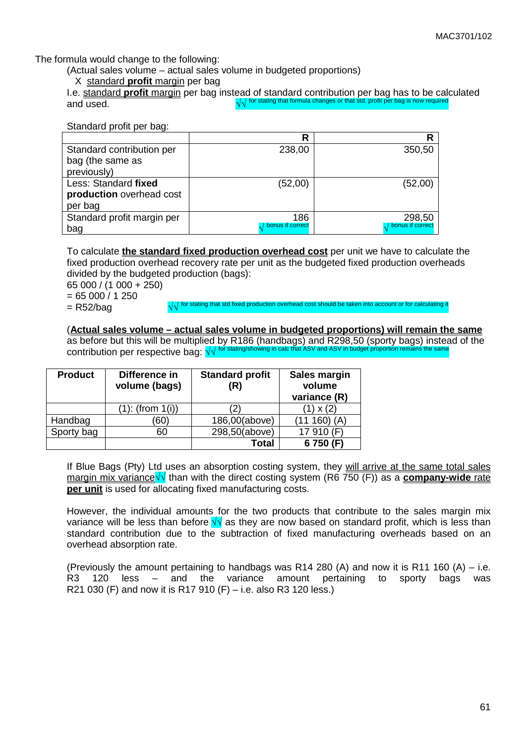The formula would change to the following:

(Actual sales volume – actual sales volume in budgeted proportions)

#### X standard **profit** margin per bag

I.e. standard **profit** margin per bag instead of standard contribution per bag has to be calculated and used. √√ for stating that formula changes or that std. profit per bag is now required

Standard profit per bag:

|                            | R                | R                  |
|----------------------------|------------------|--------------------|
| Standard contribution per  | 238,00           | 350,50             |
| bag (the same as           |                  |                    |
| previously)                |                  |                    |
| Less: Standard fixed       | (52,00)          | (52,00)            |
| production overhead cost   |                  |                    |
| per bag                    |                  |                    |
| Standard profit margin per | 186              | 298,50             |
| bag                        | bonus if correct | / bonus if correct |

To calculate **the standard fixed production overhead cost** per unit we have to calculate the fixed production overhead recovery rate per unit as the budgeted fixed production overheads divided by the budgeted production (bags):

65 000 / (1 000 + 250)

 $= 65000 / 1250$ 

= R52/bag and a stating that std fixed production overhead cost should be taken into account or for calculation

(**Actual sales volume – actual sales volume in budgeted proportions) will remain the same**

as before but this will be multiplied by R186 (handbags) and R298,50 (sporty bags) instead of the contribution per respective bag:  $\sqrt{v}$ 

| <b>Product</b> | Difference in<br>volume (bags) | <b>Standard profit</b><br>(R) | Sales margin<br>volume<br>variance (R) |
|----------------|--------------------------------|-------------------------------|----------------------------------------|
|                | $(1)$ : (from $1(i)$ )         |                               | $(1) \times (2)$                       |
| Handbag        | (60)                           | 186,00(above)                 | (11160)<br>(A)                         |
| Sporty bag     | 60                             | 298,50(above)                 | 17 910 (F)                             |
|                |                                | Total                         | 6750 (F)                               |

If Blue Bags (Pty) Ltd uses an absorption costing system, they will arrive at the same total sales margin mix variance√√ than with the direct costing system (R6 750 (F)) as a **company-wide** rate **per unit** is used for allocating fixed manufacturing costs.

However, the individual amounts for the two products that contribute to the sales margin mix variance will be less than before  $\sqrt{v}$  as they are now based on standard profit, which is less than standard contribution due to the subtraction of fixed manufacturing overheads based on an overhead absorption rate.

(Previously the amount pertaining to handbags was R14 280 (A) and now it is R11 160 (A) – i.e.<br>R3 120 less – and the variance amount pertaining to sporty bags was R3 120 less – and the variance amount pertaining to sporty bags was R21 030 (F) and now it is R17 910 (F) – i.e. also R3 120 less.)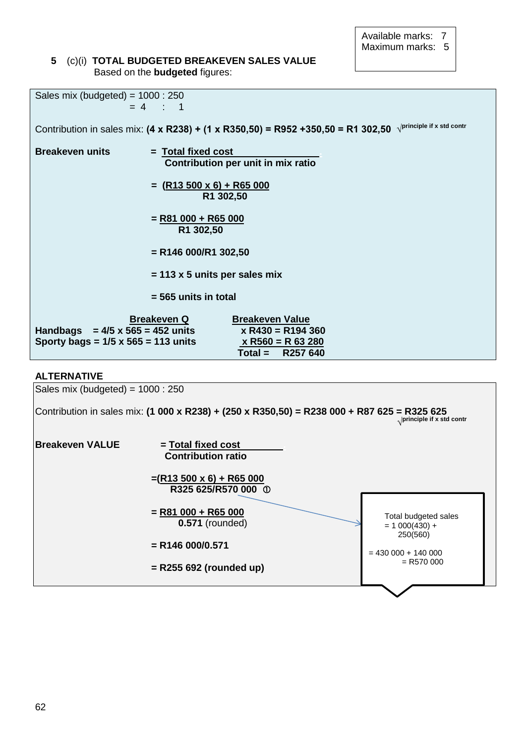Available marks: 7 Maximum marks: 5

#### **5** (c)(i) **TOTAL BUDGETED BREAKEVEN SALES VALUE** Based on the **budgeted** figures:

| Sales mix (budgeted) = $1000 : 250$                                                   |                                                                                                                                        |  |  |
|---------------------------------------------------------------------------------------|----------------------------------------------------------------------------------------------------------------------------------------|--|--|
|                                                                                       | $= 4 : 1$                                                                                                                              |  |  |
|                                                                                       | Contribution in sales mix: $(4 \times R238) + (1 \times R350,50) = R952 + 350,50 = R1 302,50$ $\sqrt{\text{principle if x std contr}}$ |  |  |
| <b>Breakeven units</b>                                                                | $=$ Total fixed cost<br>Contribution per unit in mix ratio                                                                             |  |  |
|                                                                                       | $=$ (R13 500 x 6) + R65 000<br>R1 302,50                                                                                               |  |  |
| $=$ R81 000 + R65 000<br>R1 302,50                                                    |                                                                                                                                        |  |  |
| $=$ R146 000/R1 302,50                                                                |                                                                                                                                        |  |  |
| $= 113 \times 5$ units per sales mix                                                  |                                                                                                                                        |  |  |
|                                                                                       | $= 565$ units in total                                                                                                                 |  |  |
| Handbags $= 4/5 \times 565 = 452$ units<br>Sporty bags = $1/5 \times 565 = 113$ units | <b>Breakeven Q</b><br><b>Breakeven Value</b><br>$x R430 = R194360$<br>$x R560 = R 63 280$<br>$Total =$<br>R257 640                     |  |  |

#### **ALTERNATIVE**